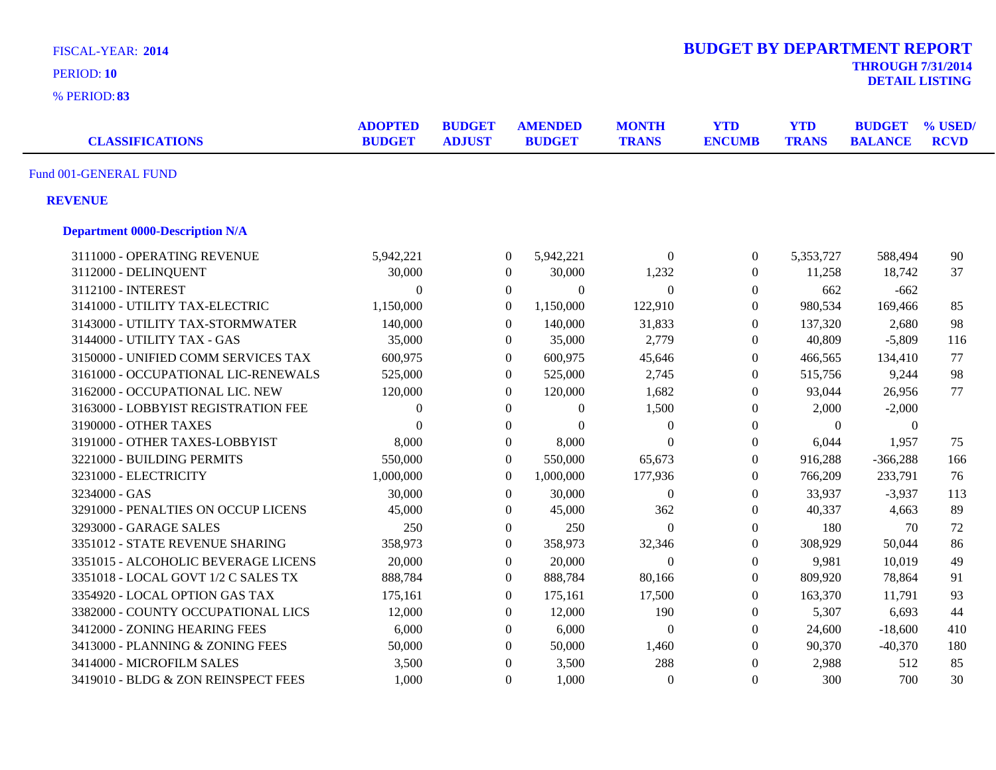| <b>FISCAL-YEAR: 2014</b>               |                                 |                                |                  |                                 |                              | <b>BUDGET BY DEPARTMENT REPORT</b> |                            |                                 |                        |
|----------------------------------------|---------------------------------|--------------------------------|------------------|---------------------------------|------------------------------|------------------------------------|----------------------------|---------------------------------|------------------------|
| PERIOD: 10                             |                                 |                                |                  |                                 |                              |                                    |                            | <b>THROUGH 7/31/2014</b>        | <b>DETAIL LISTING</b>  |
| % PERIOD: 83                           |                                 |                                |                  |                                 |                              |                                    |                            |                                 |                        |
| <b>CLASSIFICATIONS</b>                 | <b>ADOPTED</b><br><b>BUDGET</b> | <b>BUDGET</b><br><b>ADJUST</b> |                  | <b>AMENDED</b><br><b>BUDGET</b> | <b>MONTH</b><br><b>TRANS</b> | <b>YTD</b><br><b>ENCUMB</b>        | <b>YTD</b><br><b>TRANS</b> | <b>BUDGET</b><br><b>BALANCE</b> | % USED/<br><b>RCVD</b> |
| Fund 001-GENERAL FUND                  |                                 |                                |                  |                                 |                              |                                    |                            |                                 |                        |
| <b>REVENUE</b>                         |                                 |                                |                  |                                 |                              |                                    |                            |                                 |                        |
| <b>Department 0000-Description N/A</b> |                                 |                                |                  |                                 |                              |                                    |                            |                                 |                        |
| 3111000 - OPERATING REVENUE            | 5,942,221                       |                                | $\boldsymbol{0}$ | 5,942,221                       | $\boldsymbol{0}$             | $\boldsymbol{0}$                   | 5,353,727                  | 588,494                         | 90                     |
| 3112000 - DELINQUENT                   | 30,000                          |                                | $\boldsymbol{0}$ | 30,000                          | 1,232                        | $\boldsymbol{0}$                   | 11,258                     | 18,742                          | 37                     |
| 3112100 - INTEREST                     | $\Omega$                        |                                | $\boldsymbol{0}$ | $\theta$                        | $\theta$                     | $\boldsymbol{0}$                   | 662                        | $-662$                          |                        |
| 3141000 - UTILITY TAX-ELECTRIC         | 1,150,000                       |                                | $\boldsymbol{0}$ | 1,150,000                       | 122,910                      | $\boldsymbol{0}$                   | 980,534                    | 169,466                         | 85                     |
| 3143000 - UTILITY TAX-STORMWATER       | 140,000                         |                                | $\overline{0}$   | 140,000                         | 31,833                       | $\boldsymbol{0}$                   | 137,320                    | 2,680                           | 98                     |
| 3144000 - UTILITY TAX - GAS            | 35,000                          |                                | $\boldsymbol{0}$ | 35,000                          | 2,779                        | $\boldsymbol{0}$                   | 40,809                     | $-5,809$                        | 116                    |
| 3150000 - UNIFIED COMM SERVICES TAX    | 600,975                         |                                | $\boldsymbol{0}$ | 600,975                         | 45,646                       | $\boldsymbol{0}$                   | 466,565                    | 134,410                         | 77                     |
| 3161000 - OCCUPATIONAL LIC-RENEWALS    | 525,000                         |                                | $\overline{0}$   | 525,000                         | 2,745                        | $\theta$                           | 515,756                    | 9,244                           | 98                     |
| 3162000 - OCCUPATIONAL LIC. NEW        | 120,000                         |                                | $\boldsymbol{0}$ | 120,000                         | 1,682                        | $\boldsymbol{0}$                   | 93,044                     | 26,956                          | 77                     |
| 3163000 - LOBBYIST REGISTRATION FEE    | $\theta$                        |                                | $\boldsymbol{0}$ | $\overline{0}$                  | 1,500                        | $\overline{0}$                     | 2,000                      | $-2,000$                        |                        |
| 3190000 - OTHER TAXES                  | $\Omega$                        |                                | $\boldsymbol{0}$ | $\mathbf{0}$                    | $\boldsymbol{0}$             | $\boldsymbol{0}$                   | $\Omega$                   | $\Omega$                        |                        |
| 3191000 - OTHER TAXES-LOBBYIST         | 8,000                           |                                | $\boldsymbol{0}$ | 8,000                           | $\theta$                     | $\boldsymbol{0}$                   | 6,044                      | 1,957                           | 75                     |
| 3221000 - BUILDING PERMITS             | 550,000                         |                                | $\Omega$         | 550,000                         | 65,673                       | $\boldsymbol{0}$                   | 916,288                    | $-366,288$                      | 166                    |
| 3231000 - ELECTRICITY                  | 1,000,000                       |                                | $\Omega$         | 1,000,000                       | 177,936                      | $\boldsymbol{0}$                   | 766,209                    | 233,791                         | 76                     |
| 3234000 - GAS                          | 30,000                          |                                | $\Omega$         | 30,000                          | $\theta$                     | $\boldsymbol{0}$                   | 33,937                     | $-3,937$                        | 113                    |
| 3291000 - PENALTIES ON OCCUP LICENS    | 45,000                          |                                | $\boldsymbol{0}$ | 45,000                          | 362                          | $\boldsymbol{0}$                   | 40,337                     | 4,663                           | 89                     |
| 3293000 - GARAGE SALES                 | 250                             |                                | $\boldsymbol{0}$ | 250                             | $\overline{0}$               | $\boldsymbol{0}$                   | 180                        | 70                              | 72                     |
| 3351012 - STATE REVENUE SHARING        | 358,973                         |                                | $\boldsymbol{0}$ | 358,973                         | 32,346                       | $\overline{0}$                     | 308,929                    | 50,044                          | 86                     |
| 3351015 - ALCOHOLIC BEVERAGE LICENS    | 20,000                          |                                | $\boldsymbol{0}$ | 20,000                          | $\Omega$                     | $\boldsymbol{0}$                   | 9,981                      | 10,019                          | 49                     |
| 3351018 - LOCAL GOVT 1/2 C SALES TX    | 888,784                         |                                | $\Omega$         | 888,784                         | 80,166                       | $\overline{0}$                     | 809,920                    | 78,864                          | 91                     |
| 3354920 - LOCAL OPTION GAS TAX         | 175,161                         |                                | $\boldsymbol{0}$ | 175,161                         | 17,500                       | $\overline{0}$                     | 163,370                    | 11,791                          | 93                     |
| 3382000 - COUNTY OCCUPATIONAL LICS     | 12,000                          |                                | $\theta$         | 12,000                          | 190                          | $\boldsymbol{0}$                   | 5,307                      | 6,693                           | 44                     |
| 3412000 - ZONING HEARING FEES          | 6,000                           |                                | $\theta$         | 6,000                           | $\theta$                     | $\overline{0}$                     | 24,600                     | $-18,600$                       | 410                    |
| 3413000 - PLANNING & ZONING FEES       | 50,000                          |                                | $\overline{0}$   | 50,000                          | 1,460                        | $\boldsymbol{0}$                   | 90,370                     | $-40,370$                       | 180                    |
| 3414000 - MICROFILM SALES              | 3,500                           |                                | $\theta$         | 3,500                           | 288                          | $\boldsymbol{0}$                   | 2,988                      | 512                             | 85                     |
| 3419010 - BLDG & ZON REINSPECT FEES    | 1,000                           |                                | $\Omega$         | 1,000                           | $\Omega$                     | $\overline{0}$                     | 300                        | 700                             | 30                     |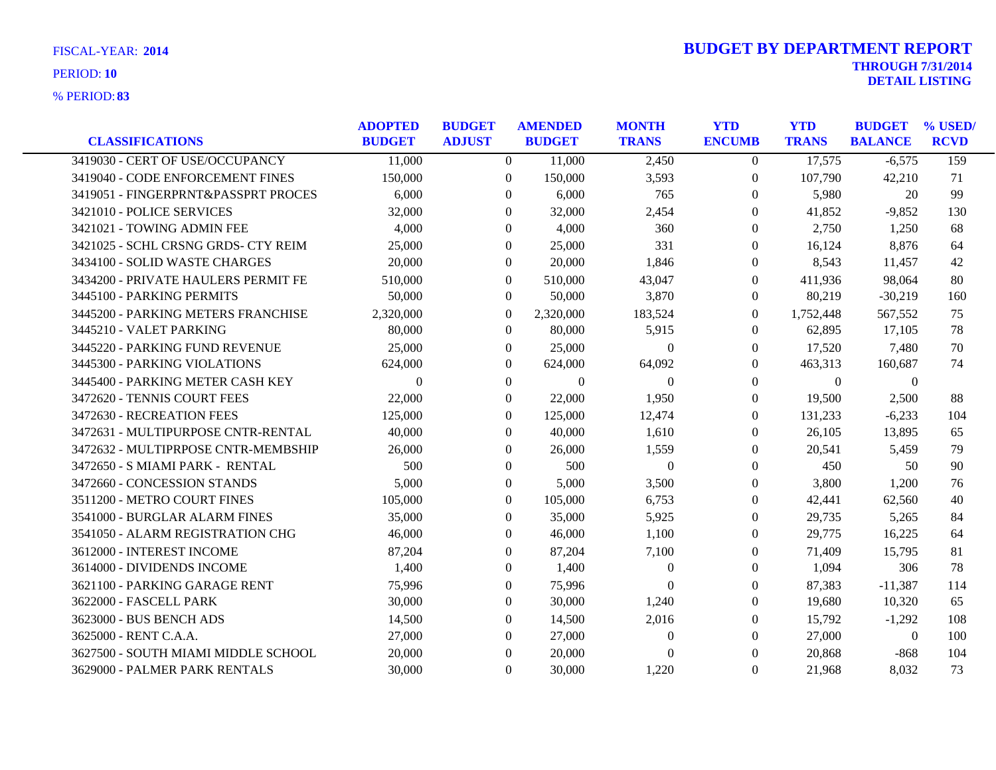| <b>CLASSIFICATIONS</b>              | <b>ADOPTED</b><br><b>BUDGET</b> | <b>BUDGET</b><br><b>ADJUST</b> | <b>AMENDED</b><br><b>BUDGET</b> | <b>MONTH</b><br><b>TRANS</b> | <b>YTD</b><br><b>ENCUMB</b> | <b>YTD</b><br><b>TRANS</b> | <b>BUDGET</b><br><b>BALANCE</b> | % USED/<br><b>RCVD</b> |
|-------------------------------------|---------------------------------|--------------------------------|---------------------------------|------------------------------|-----------------------------|----------------------------|---------------------------------|------------------------|
| 3419030 - CERT OF USE/OCCUPANCY     | 11,000                          | $\Omega$                       | 11,000                          | 2,450                        | $\theta$                    | 17,575                     | $-6,575$                        | 159                    |
| 3419040 - CODE ENFORCEMENT FINES    | 150,000                         | $\overline{0}$                 | 150,000                         | 3,593                        | $\boldsymbol{0}$            | 107,790                    | 42,210                          | 71                     |
| 3419051 - FINGERPRNT&PASSPRT PROCES | 6,000                           | 0                              | 6,000                           | 765                          | $\Omega$                    | 5,980                      | 20                              | 99                     |
| 3421010 - POLICE SERVICES           | 32,000                          | $\Omega$                       | 32,000                          | 2,454                        | $\overline{0}$              | 41,852                     | $-9,852$                        | 130                    |
| 3421021 - TOWING ADMIN FEE          | 4,000                           | $\overline{0}$                 | 4,000                           | 360                          | $\overline{0}$              | 2,750                      | 1,250                           | 68                     |
| 3421025 - SCHL CRSNG GRDS- CTY REIM | 25,000                          | $\Omega$                       | 25,000                          | 331                          | $\Omega$                    | 16,124                     | 8,876                           | 64                     |
| 3434100 - SOLID WASTE CHARGES       | 20,000                          | $\Omega$                       | 20,000                          | 1,846                        | $\theta$                    | 8,543                      | 11,457                          | 42                     |
| 3434200 - PRIVATE HAULERS PERMIT FE | 510,000                         | $\Omega$                       | 510,000                         | 43,047                       | $\theta$                    | 411,936                    | 98,064                          | 80                     |
| 3445100 - PARKING PERMITS           | 50,000                          | $\overline{0}$                 | 50,000                          | 3,870                        | $\boldsymbol{0}$            | 80,219                     | $-30,219$                       | 160                    |
| 3445200 - PARKING METERS FRANCHISE  | 2,320,000                       | $\Omega$                       | 2,320,000                       | 183,524                      | $\Omega$                    | 1,752,448                  | 567.552                         | 75                     |
| 3445210 - VALET PARKING             | 80,000                          | $\Omega$                       | 80,000                          | 5,915                        | $\Omega$                    | 62,895                     | 17,105                          | 78                     |
| 3445220 - PARKING FUND REVENUE      | 25,000                          | $\overline{0}$                 | 25,000                          | $\overline{0}$               | $\boldsymbol{0}$            | 17,520                     | 7,480                           | 70                     |
| 3445300 - PARKING VIOLATIONS        | 624,000                         | $\Omega$                       | 624,000                         | 64,092                       | $\theta$                    | 463,313                    | 160,687                         | 74                     |
| 3445400 - PARKING METER CASH KEY    | $\Omega$                        | $\overline{0}$                 | $\Omega$                        | $\Omega$                     | $\theta$                    | $\Omega$                   | $\theta$                        |                        |
| 3472620 - TENNIS COURT FEES         | 22,000                          | $\Omega$                       | 22,000                          | 1,950                        | $\Omega$                    | 19,500                     | 2,500                           | 88                     |
| 3472630 - RECREATION FEES           | 125,000                         | $\overline{0}$                 | 125,000                         | 12,474                       | $\overline{0}$              | 131,233                    | $-6,233$                        | 104                    |
| 3472631 - MULTIPURPOSE CNTR-RENTAL  | 40,000                          | 0                              | 40,000                          | 1,610                        | 0                           | 26,105                     | 13,895                          | 65                     |
| 3472632 - MULTIPRPOSE CNTR-MEMBSHIP | 26,000                          | $\Omega$                       | 26,000                          | 1,559                        | $\Omega$                    | 20,541                     | 5,459                           | 79                     |
| 3472650 - S MIAMI PARK - RENTAL     | 500                             | $\Omega$                       | 500                             | $\theta$                     | $\Omega$                    | 450                        | 50                              | 90                     |
| 3472660 - CONCESSION STANDS         | 5,000                           | $\overline{0}$                 | 5,000                           | 3,500                        | $\theta$                    | 3,800                      | 1,200                           | 76                     |
| 3511200 - METRO COURT FINES         | 105,000                         | $\Omega$                       | 105,000                         | 6,753                        | $\theta$                    | 42,441                     | 62,560                          | 40                     |
| 3541000 - BURGLAR ALARM FINES       | 35,000                          | $\Omega$                       | 35,000                          | 5,925                        | $\Omega$                    | 29,735                     | 5,265                           | 84                     |
| 3541050 - ALARM REGISTRATION CHG    | 46,000                          | $\Omega$                       | 46,000                          | 1,100                        | $\overline{0}$              | 29,775                     | 16,225                          | 64                     |
| 3612000 - INTEREST INCOME           | 87,204                          | $\overline{0}$                 | 87,204                          | 7,100                        | $\theta$                    | 71,409                     | 15,795                          | 81                     |
| 3614000 - DIVIDENDS INCOME          | 1,400                           | $\Omega$                       | 1,400                           | $\theta$                     | $\Omega$                    | 1,094                      | 306                             | 78                     |
| 3621100 - PARKING GARAGE RENT       | 75,996                          | $\overline{0}$                 | 75,996                          | $\theta$                     | $\overline{0}$              | 87,383                     | $-11,387$                       | 114                    |
| 3622000 - FASCELL PARK              | 30,000                          | $\Omega$                       | 30,000                          | 1,240                        | $\overline{0}$              | 19,680                     | 10,320                          | 65                     |
| 3623000 - BUS BENCH ADS             | 14,500                          | $\Omega$                       | 14,500                          | 2,016                        | $\theta$                    | 15,792                     | $-1,292$                        | 108                    |
| 3625000 - RENT C.A.A.               | 27,000                          | $\Omega$                       | 27,000                          | $\theta$                     | $\Omega$                    | 27,000                     | $\theta$                        | 100                    |
| 3627500 - SOUTH MIAMI MIDDLE SCHOOL | 20,000                          | $\Omega$                       | 20,000                          | $\Omega$                     | $\theta$                    | 20,868                     | $-868$                          | 104                    |
| 3629000 - PALMER PARK RENTALS       | 30,000                          | $\Omega$                       | 30,000                          | 1,220                        | $\Omega$                    | 21,968                     | 8,032                           | 73                     |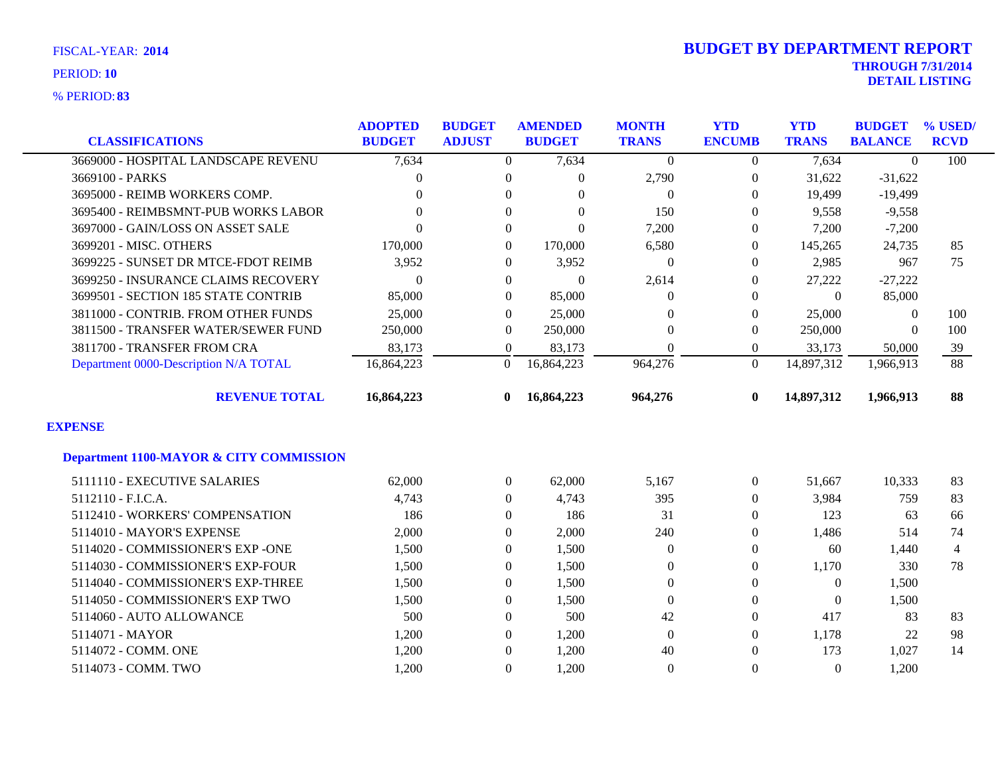**83** % PERIOD:

| <b>CLASSIFICATIONS</b>                             | <b>ADOPTED</b><br><b>BUDGET</b> | <b>BUDGET</b><br><b>ADJUST</b> | <b>AMENDED</b><br><b>BUDGET</b> | <b>MONTH</b><br><b>TRANS</b> | <b>YTD</b><br><b>ENCUMB</b> | <b>YTD</b><br><b>TRANS</b> | <b>BUDGET</b><br><b>BALANCE</b> | % USED/<br><b>RCVD</b> |
|----------------------------------------------------|---------------------------------|--------------------------------|---------------------------------|------------------------------|-----------------------------|----------------------------|---------------------------------|------------------------|
| 3669000 - HOSPITAL LANDSCAPE REVENU                | 7,634                           | $\overline{0}$                 | 7,634                           | $\theta$                     | $\theta$                    | 7,634                      | $\theta$                        | 100                    |
| 3669100 - PARKS                                    | $\Omega$                        | $\theta$                       | $\Omega$                        | 2,790                        | $\overline{0}$              | 31,622                     | $-31,622$                       |                        |
| 3695000 - REIMB WORKERS COMP.                      | $\Omega$                        | $\Omega$                       | $\Omega$                        | $\theta$                     | $\Omega$                    | 19,499                     | $-19,499$                       |                        |
| 3695400 - REIMBSMNT-PUB WORKS LABOR                | $\Omega$                        | $\Omega$                       | $\Omega$                        | 150                          | $\Omega$                    | 9,558                      | $-9,558$                        |                        |
| 3697000 - GAIN/LOSS ON ASSET SALE                  | $\Omega$                        | $\overline{0}$                 | $\Omega$                        | 7,200                        | $\overline{0}$              | 7,200                      | $-7,200$                        |                        |
| 3699201 - MISC. OTHERS                             | 170,000                         | $\theta$                       | 170,000                         | 6,580                        | $\Omega$                    | 145,265                    | 24,735                          | 85                     |
| 3699225 - SUNSET DR MTCE-FDOT REIMB                | 3,952                           | $\overline{0}$                 | 3,952                           | $\theta$                     | $\Omega$                    | 2,985                      | 967                             | 75                     |
| 3699250 - INSURANCE CLAIMS RECOVERY                | $\overline{0}$                  | $\boldsymbol{0}$               | $\overline{0}$                  | 2,614                        | $\boldsymbol{0}$            | 27,222                     | $-27,222$                       |                        |
| 3699501 - SECTION 185 STATE CONTRIB                | 85,000                          | $\overline{0}$                 | 85,000                          | $\overline{0}$               | $\Omega$                    | $\theta$                   | 85,000                          |                        |
| 3811000 - CONTRIB. FROM OTHER FUNDS                | 25,000                          | $\overline{0}$                 | 25,000                          | $\Omega$                     | $\theta$                    | 25,000                     | $\mathbf{0}$                    | 100                    |
| 3811500 - TRANSFER WATER/SEWER FUND                | 250,000                         | $\theta$                       | 250,000                         | $\Omega$                     | $\Omega$                    | 250,000                    | $\Omega$                        | 100                    |
| 3811700 - TRANSFER FROM CRA                        | 83,173                          | $\boldsymbol{0}$               | 83,173                          | $\overline{0}$               | $\Omega$                    | 33,173                     | 50,000                          | 39                     |
| Department 0000-Description N/A TOTAL              | 16,864,223                      | $\overline{0}$                 | 16,864,223                      | 964,276                      | $\Omega$                    | 14,897,312                 | 1,966,913                       | 88                     |
| <b>REVENUE TOTAL</b>                               | 16,864,223                      | 0                              | 16,864,223                      | 964,276                      | $\bf{0}$                    | 14,897,312                 | 1,966,913                       | 88                     |
| <b>EXPENSE</b>                                     |                                 |                                |                                 |                              |                             |                            |                                 |                        |
| <b>Department 1100-MAYOR &amp; CITY COMMISSION</b> |                                 |                                |                                 |                              |                             |                            |                                 |                        |
| 5111110 - EXECUTIVE SALARIES                       | 62,000                          | $\boldsymbol{0}$               | 62,000                          | 5,167                        | $\overline{0}$              | 51,667                     | 10,333                          | 83                     |
| 5112110 - F.I.C.A.                                 | 4,743                           | $\overline{0}$                 | 4,743                           | 395                          | $\overline{0}$              | 3,984                      | 759                             | 83                     |
| 5112410 - WORKERS' COMPENSATION                    | 186                             | $\theta$                       | 186                             | 31                           | $\Omega$                    | 123                        | 63                              | 66                     |
| 5114010 - MAYOR'S EXPENSE                          | 2,000                           | $\overline{0}$                 | 2,000                           | 240                          | $\theta$                    | 1,486                      | 514                             | 74                     |
| 5114020 - COMMISSIONER'S EXP -ONE                  | 1,500                           | $\overline{0}$                 | 1,500                           | $\theta$                     | $\theta$                    | 60                         | 1,440                           | $\overline{4}$         |
| 5114030 - COMMISSIONER'S EXP-FOUR                  | 1,500                           | $\overline{0}$                 | 1,500                           | $\theta$                     | $\Omega$                    | 1,170                      | 330                             | 78                     |
| 5114040 - COMMISSIONER'S EXP-THREE                 | 1,500                           | $\overline{0}$                 | 1,500                           | $\overline{0}$               | $\Omega$                    | $\mathbf{0}$               | 1,500                           |                        |
| 5114050 - COMMISSIONER'S EXP TWO                   | 1,500                           | $\boldsymbol{0}$               | 1,500                           | $\boldsymbol{0}$             | $\theta$                    | $\boldsymbol{0}$           | 1,500                           |                        |
| 5114060 - AUTO ALLOWANCE                           | 500                             | $\overline{0}$                 | 500                             | 42                           | $\theta$                    | 417                        | 83                              | 83                     |
| 5114071 - MAYOR                                    | 1,200                           | $\theta$                       | 1,200                           | $\theta$                     | 0                           | 1,178                      | 22                              | 98                     |
| 5114072 - COMM. ONE                                | 1,200                           | $\Omega$                       | 1,200                           | 40                           | $\Omega$                    | 173                        | 1,027                           | 14                     |
| 5114073 - COMM. TWO                                | 1,200                           | $\Omega$                       | 1,200                           | $\mathbf{0}$                 | $\Omega$                    | $\theta$                   | 1,200                           |                        |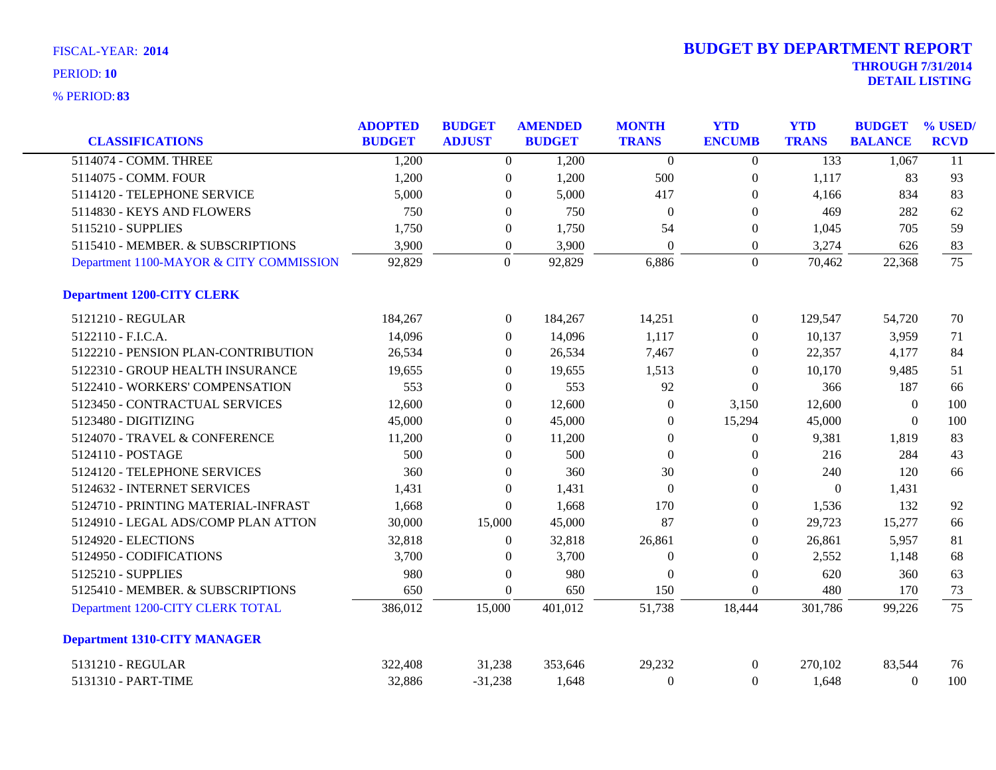| <b>CLASSIFICATIONS</b>                  | <b>ADOPTED</b><br><b>BUDGET</b> | <b>BUDGET</b><br><b>ADJUST</b> |                  | <b>AMENDED</b><br><b>BUDGET</b> | <b>MONTH</b><br><b>TRANS</b> | <b>YTD</b><br><b>ENCUMB</b> | <b>YTD</b><br><b>TRANS</b> | <b>BUDGET</b><br><b>BALANCE</b> | % USED/<br><b>RCVD</b> |
|-----------------------------------------|---------------------------------|--------------------------------|------------------|---------------------------------|------------------------------|-----------------------------|----------------------------|---------------------------------|------------------------|
| 5114074 - COMM. THREE                   | 1,200                           |                                | $\overline{0}$   | 1,200                           | $\theta$                     | $\overline{0}$              | 133                        | 1,067                           | 11                     |
| 5114075 - COMM. FOUR                    | 1,200                           |                                | $\boldsymbol{0}$ | 1,200                           | 500                          | $\boldsymbol{0}$            | 1,117                      | 83                              | 93                     |
| 5114120 - TELEPHONE SERVICE             | 5,000                           |                                | $\overline{0}$   | 5,000                           | 417                          | $\overline{0}$              | 4,166                      | 834                             | 83                     |
| 5114830 - KEYS AND FLOWERS              | 750                             |                                | $\boldsymbol{0}$ | 750                             | $\theta$                     | $\boldsymbol{0}$            | 469                        | 282                             | 62                     |
| 5115210 - SUPPLIES                      | 1,750                           |                                | $\boldsymbol{0}$ | 1,750                           | 54                           | $\boldsymbol{0}$            | 1,045                      | 705                             | 59                     |
| 5115410 - MEMBER. & SUBSCRIPTIONS       | 3,900                           |                                | $\boldsymbol{0}$ | 3,900                           | $\boldsymbol{0}$             | $\boldsymbol{0}$            | 3,274                      | 626                             | 83                     |
| Department 1100-MAYOR & CITY COMMISSION | 92,829                          |                                | $\overline{0}$   | 92,829                          | 6,886                        | $\overline{0}$              | 70,462                     | 22,368                          | 75                     |
| <b>Department 1200-CITY CLERK</b>       |                                 |                                |                  |                                 |                              |                             |                            |                                 |                        |
| 5121210 - REGULAR                       | 184,267                         |                                | $\overline{0}$   | 184,267                         | 14,251                       | $\mathbf{0}$                | 129,547                    | 54,720                          | 70                     |
| 5122110 - F.I.C.A.                      | 14,096                          |                                | $\overline{0}$   | 14,096                          | 1,117                        | $\theta$                    | 10,137                     | 3,959                           | 71                     |
| 5122210 - PENSION PLAN-CONTRIBUTION     | 26,534                          |                                | $\boldsymbol{0}$ | 26,534                          | 7,467                        | $\boldsymbol{0}$            | 22,357                     | 4,177                           | 84                     |
| 5122310 - GROUP HEALTH INSURANCE        | 19,655                          |                                | $\Omega$         | 19,655                          | 1,513                        | $\Omega$                    | 10,170                     | 9,485                           | 51                     |
| 5122410 - WORKERS' COMPENSATION         | 553                             |                                | $\overline{0}$   | 553                             | 92                           | $\theta$                    | 366                        | 187                             | 66                     |
| 5123450 - CONTRACTUAL SERVICES          | 12,600                          |                                | $\overline{0}$   | 12,600                          | $\theta$                     | 3,150                       | 12,600                     | $\overline{0}$                  | 100                    |
| 5123480 - DIGITIZING                    | 45,000                          |                                | $\boldsymbol{0}$ | 45,000                          | $\boldsymbol{0}$             | 15,294                      | 45,000                     | $\boldsymbol{0}$                | 100                    |
| 5124070 - TRAVEL & CONFERENCE           | 11,200                          |                                | $\overline{0}$   | 11,200                          | $\theta$                     | $\boldsymbol{0}$            | 9,381                      | 1,819                           | 83                     |
| 5124110 - POSTAGE                       | 500                             |                                | $\overline{0}$   | 500                             | $\Omega$                     | $\theta$                    | 216                        | 284                             | 43                     |
| 5124120 - TELEPHONE SERVICES            | 360                             |                                | $\overline{0}$   | 360                             | 30                           | $\theta$                    | 240                        | 120                             | 66                     |
| 5124632 - INTERNET SERVICES             | 1,431                           |                                | $\boldsymbol{0}$ | 1,431                           | $\Omega$                     | $\overline{0}$              | $\Omega$                   | 1,431                           |                        |
| 5124710 - PRINTING MATERIAL-INFRAST     | 1,668                           |                                | $\boldsymbol{0}$ | 1,668                           | 170                          | $\boldsymbol{0}$            | 1,536                      | 132                             | 92                     |
| 5124910 - LEGAL ADS/COMP PLAN ATTON     | 30,000                          | 15,000                         |                  | 45,000                          | 87                           | $\boldsymbol{0}$            | 29,723                     | 15,277                          | 66                     |
| 5124920 - ELECTIONS                     | 32,818                          |                                | $\Omega$         | 32,818                          | 26,861                       | $\overline{0}$              | 26,861                     | 5,957                           | 81                     |
| 5124950 - CODIFICATIONS                 | 3,700                           |                                | $\boldsymbol{0}$ | 3,700                           | $\theta$                     | $\theta$                    | 2,552                      | 1,148                           | 68                     |
| 5125210 - SUPPLIES                      | 980                             |                                | $\boldsymbol{0}$ | 980                             | $\theta$                     | $\boldsymbol{0}$            | 620                        | 360                             | 63                     |
| 5125410 - MEMBER. & SUBSCRIPTIONS       | 650                             |                                | $\boldsymbol{0}$ | 650                             | 150                          | $\boldsymbol{0}$            | 480                        | 170                             | 73                     |
| Department 1200-CITY CLERK TOTAL        | 386,012                         | 15,000                         |                  | 401,012                         | 51,738                       | 18,444                      | 301,786                    | 99,226                          | 75                     |
| <b>Department 1310-CITY MANAGER</b>     |                                 |                                |                  |                                 |                              |                             |                            |                                 |                        |
| 5131210 - REGULAR                       | 322,408                         | 31,238                         |                  | 353,646                         | 29,232                       | $\mathbf{0}$                | 270,102                    | 83,544                          | 76                     |
| 5131310 - PART-TIME                     | 32,886                          | $-31,238$                      |                  | 1,648                           | $\theta$                     | $\Omega$                    | 1,648                      | $\overline{0}$                  | 100                    |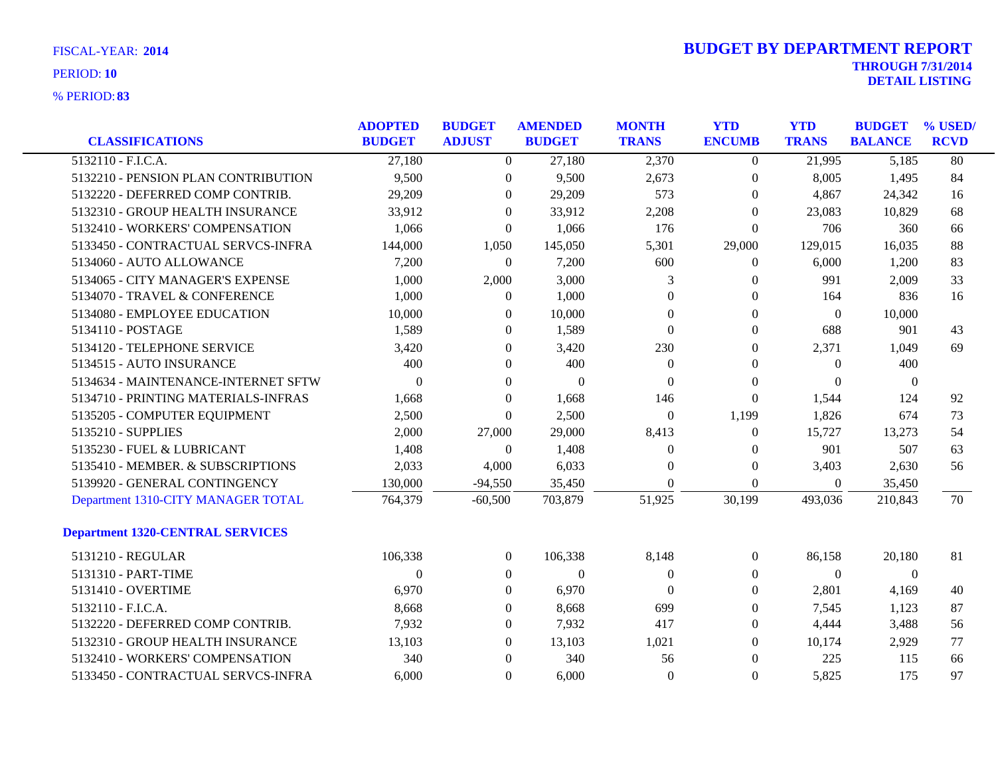| <b>CLASSIFICATIONS</b>                  | <b>ADOPTED</b><br><b>BUDGET</b> | <b>BUDGET</b><br><b>ADJUST</b> | <b>AMENDED</b><br><b>BUDGET</b> | <b>MONTH</b><br><b>TRANS</b> | <b>YTD</b><br><b>ENCUMB</b> | <b>YTD</b><br><b>TRANS</b> | <b>BUDGET</b><br><b>BALANCE</b> | % USED/<br><b>RCVD</b> |
|-----------------------------------------|---------------------------------|--------------------------------|---------------------------------|------------------------------|-----------------------------|----------------------------|---------------------------------|------------------------|
| 5132110 - F.I.C.A.                      | 27,180                          | $\overline{0}$                 | 27,180                          | 2,370                        | $\overline{0}$              | 21,995                     | 5,185                           | 80                     |
| 5132210 - PENSION PLAN CONTRIBUTION     | 9,500                           | $\overline{0}$                 | 9,500                           | 2,673                        | $\boldsymbol{0}$            | 8,005                      | 1,495                           | 84                     |
| 5132220 - DEFERRED COMP CONTRIB.        | 29,209                          | $\overline{0}$                 | 29,209                          | 573                          | $\boldsymbol{0}$            | 4,867                      | 24,342                          | 16                     |
| 5132310 - GROUP HEALTH INSURANCE        | 33,912                          | $\theta$                       | 33,912                          | 2,208                        | $\mathbf{0}$                | 23,083                     | 10,829                          | 68                     |
| 5132410 - WORKERS' COMPENSATION         | 1,066                           | $\overline{0}$                 | 1,066                           | 176                          | $\mathbf{0}$                | 706                        | 360                             | 66                     |
| 5133450 - CONTRACTUAL SERVCS-INFRA      | 144,000                         | 1,050                          | 145,050                         | 5,301                        | 29,000                      | 129,015                    | 16,035                          | 88                     |
| 5134060 - AUTO ALLOWANCE                | 7,200                           | $\mathbf{0}$                   | 7,200                           | 600                          | 0                           | 6,000                      | 1,200                           | 83                     |
| 5134065 - CITY MANAGER'S EXPENSE        | 1,000                           | 2,000                          | 3,000                           | 3                            | $\mathbf{0}$                | 991                        | 2,009                           | 33                     |
| 5134070 - TRAVEL & CONFERENCE           | 1,000                           | $\mathbf{0}$                   | 1,000                           | $\theta$                     | $\mathbf{0}$                | 164                        | 836                             | 16                     |
| 5134080 - EMPLOYEE EDUCATION            | 10,000                          | $\overline{0}$                 | 10,000                          | $\boldsymbol{0}$             | $\boldsymbol{0}$            | $\theta$                   | 10,000                          |                        |
| 5134110 - POSTAGE                       | 1,589                           | $\theta$                       | 1,589                           | $\boldsymbol{0}$             | $\boldsymbol{0}$            | 688                        | 901                             | 43                     |
| 5134120 - TELEPHONE SERVICE             | 3,420                           | $\overline{0}$                 | 3,420                           | 230                          | $\overline{0}$              | 2,371                      | 1,049                           | 69                     |
| 5134515 - AUTO INSURANCE                | 400                             | $\overline{0}$                 | 400                             | $\boldsymbol{0}$             | $\mathbf{0}$                | $\theta$                   | 400                             |                        |
| 5134634 - MAINTENANCE-INTERNET SFTW     | $\theta$                        | $\overline{0}$                 | $\overline{0}$                  | $\overline{0}$               | $\boldsymbol{0}$            | $\mathbf{0}$               | $\boldsymbol{0}$                |                        |
| 5134710 - PRINTING MATERIALS-INFRAS     | 1,668                           | $\theta$                       | 1,668                           | 146                          | $\boldsymbol{0}$            | 1,544                      | 124                             | 92                     |
| 5135205 - COMPUTER EQUIPMENT            | 2,500                           | $\theta$                       | 2,500                           | $\theta$                     | 1,199                       | 1,826                      | 674                             | 73                     |
| 5135210 - SUPPLIES                      | 2,000                           | 27,000                         | 29,000                          | 8,413                        | $\overline{0}$              | 15,727                     | 13,273                          | 54                     |
| 5135230 - FUEL & LUBRICANT              | 1,408                           | $\mathbf{0}$                   | 1,408                           | $\boldsymbol{0}$             | $\boldsymbol{0}$            | 901                        | 507                             | 63                     |
| 5135410 - MEMBER. & SUBSCRIPTIONS       | 2,033                           | 4,000                          | 6,033                           | $\overline{0}$               | $\boldsymbol{0}$            | 3,403                      | 2,630                           | 56                     |
| 5139920 - GENERAL CONTINGENCY           | 130,000                         | $-94,550$                      | 35,450                          | $\theta$                     | $\overline{0}$              | $\Omega$                   | 35,450                          |                        |
| Department 1310-CITY MANAGER TOTAL      | 764,379                         | $-60,500$                      | 703,879                         | 51,925                       | 30,199                      | 493,036                    | 210,843                         | 70                     |
| <b>Department 1320-CENTRAL SERVICES</b> |                                 |                                |                                 |                              |                             |                            |                                 |                        |
| 5131210 - REGULAR                       | 106,338                         | $\overline{0}$                 | 106,338                         | 8,148                        | $\boldsymbol{0}$            | 86,158                     | 20,180                          | 81                     |
| 5131310 - PART-TIME                     | $\Omega$                        | $\overline{0}$                 | $\boldsymbol{0}$                | $\theta$                     | $\overline{0}$              | $\mathbf{0}$               | $\overline{0}$                  |                        |
| 5131410 - OVERTIME                      | 6,970                           | $\overline{0}$                 | 6,970                           | $\theta$                     | $\boldsymbol{0}$            | 2,801                      | 4,169                           | 40                     |
| 5132110 - F.I.C.A.                      | 8,668                           | $\mathbf{0}$                   | 8,668                           | 699                          | $\boldsymbol{0}$            | 7,545                      | 1,123                           | 87                     |
| 5132220 - DEFERRED COMP CONTRIB.        | 7,932                           | $\overline{0}$                 | 7,932                           | 417                          | $\boldsymbol{0}$            | 4,444                      | 3,488                           | 56                     |
| 5132310 - GROUP HEALTH INSURANCE        | 13,103                          | $\overline{0}$                 | 13,103                          | 1,021                        | $\overline{0}$              | 10,174                     | 2,929                           | 77                     |
| 5132410 - WORKERS' COMPENSATION         | 340                             | $\overline{0}$                 | 340                             | 56                           | $\boldsymbol{0}$            | 225                        | 115                             | 66                     |
| 5133450 - CONTRACTUAL SERVCS-INFRA      | 6,000                           | $\overline{0}$                 | 6,000                           | $\theta$                     | $\overline{0}$              | 5,825                      | 175                             | 97                     |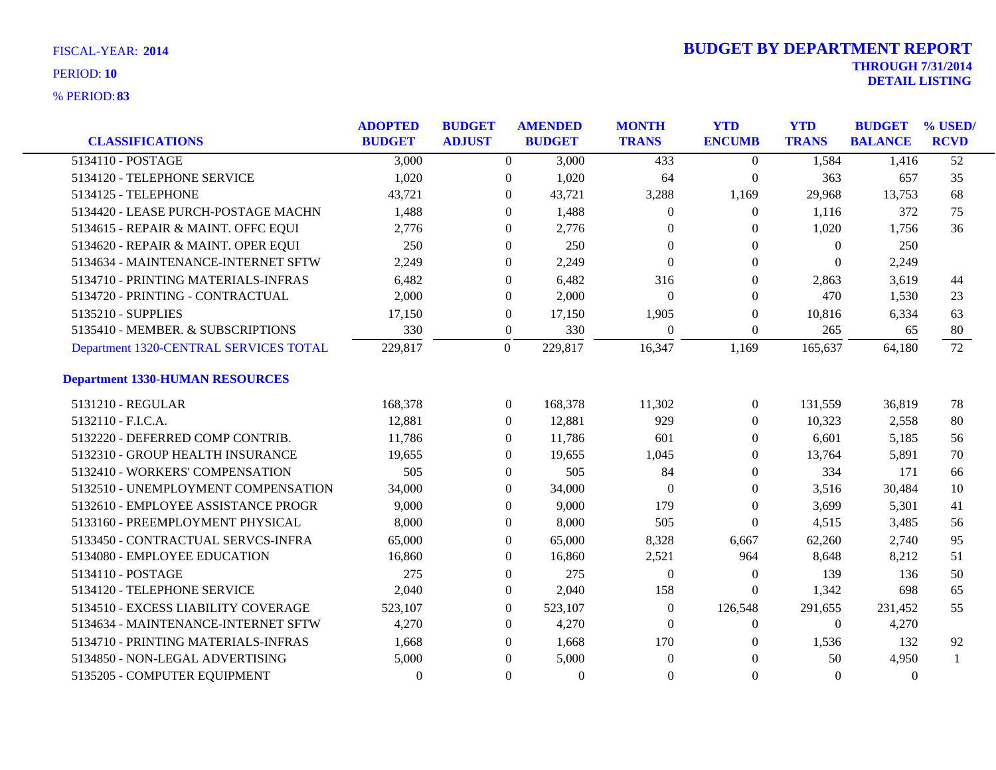| <b>CLASSIFICATIONS</b>                 | <b>ADOPTED</b><br><b>BUDGET</b> | <b>BUDGET</b><br><b>ADJUST</b> |                  | <b>AMENDED</b><br><b>BUDGET</b> | <b>MONTH</b><br><b>TRANS</b> | <b>YTD</b><br><b>ENCUMB</b> | <b>YTD</b><br><b>TRANS</b> | <b>BUDGET</b><br><b>BALANCE</b> | % USED/<br><b>RCVD</b> |
|----------------------------------------|---------------------------------|--------------------------------|------------------|---------------------------------|------------------------------|-----------------------------|----------------------------|---------------------------------|------------------------|
| 5134110 - POSTAGE                      | 3,000                           |                                | $\overline{0}$   | 3,000                           | 433                          | $\theta$                    | 1,584                      | 1,416                           | $\overline{52}$        |
| 5134120 - TELEPHONE SERVICE            | 1,020                           |                                | $\boldsymbol{0}$ | 1,020                           | 64                           | $\boldsymbol{0}$            | 363                        | 657                             | 35                     |
| 5134125 - TELEPHONE                    | 43,721                          |                                | $\theta$         | 43,721                          | 3,288                        | 1,169                       | 29,968                     | 13,753                          | 68                     |
| 5134420 - LEASE PURCH-POSTAGE MACHN    | 1,488                           |                                | $\Omega$         | 1,488                           | $\theta$                     | $\boldsymbol{0}$            | 1,116                      | 372                             | 75                     |
| 5134615 - REPAIR & MAINT. OFFC EQUI    | 2,776                           |                                | $\mathbf{0}$     | 2,776                           | $\theta$                     | $\Omega$                    | 1,020                      | 1,756                           | 36                     |
| 5134620 - REPAIR & MAINT. OPER EQUI    | 250                             |                                | $\mathbf{0}$     | 250                             | $\overline{0}$               | $\theta$                    | $\boldsymbol{0}$           | 250                             |                        |
| 5134634 - MAINTENANCE-INTERNET SFTW    | 2,249                           |                                | $\theta$         | 2,249                           | $\theta$                     | $\Omega$                    | $\theta$                   | 2,249                           |                        |
| 5134710 - PRINTING MATERIALS-INFRAS    | 6,482                           |                                | $\mathbf{0}$     | 6,482                           | 316                          | $\theta$                    | 2,863                      | 3,619                           | 44                     |
| 5134720 - PRINTING - CONTRACTUAL       | 2,000                           |                                | $\mathbf{0}$     | 2,000                           | $\overline{0}$               | $\mathbf{0}$                | 470                        | 1,530                           | 23                     |
| 5135210 - SUPPLIES                     | 17,150                          |                                | $\boldsymbol{0}$ | 17,150                          | 1,905                        | $\boldsymbol{0}$            | 10,816                     | 6,334                           | 63                     |
| 5135410 - MEMBER. & SUBSCRIPTIONS      | 330                             |                                | $\boldsymbol{0}$ | 330                             | $\overline{0}$               | $\mathbf{0}$                | 265                        | 65                              | 80                     |
| Department 1320-CENTRAL SERVICES TOTAL | 229,817                         |                                | $\boldsymbol{0}$ | 229,817                         | 16,347                       | 1,169                       | 165,637                    | 64,180                          | 72                     |
| <b>Department 1330-HUMAN RESOURCES</b> |                                 |                                |                  |                                 |                              |                             |                            |                                 |                        |
| 5131210 - REGULAR                      | 168,378                         |                                | $\overline{0}$   | 168,378                         | 11,302                       | $\boldsymbol{0}$            | 131,559                    | 36,819                          | 78                     |
| 5132110 - F.I.C.A.                     | 12,881                          |                                | $\overline{0}$   | 12,881                          | 929                          | $\theta$                    | 10,323                     | 2,558                           | 80                     |
| 5132220 - DEFERRED COMP CONTRIB.       | 11,786                          |                                | $\Omega$         | 11,786                          | 601                          | $\Omega$                    | 6,601                      | 5,185                           | 56                     |
| 5132310 - GROUP HEALTH INSURANCE       | 19,655                          |                                | $\mathbf{0}$     | 19,655                          | 1,045                        | $\Omega$                    | 13,764                     | 5,891                           | 70                     |
| 5132410 - WORKERS' COMPENSATION        | 505                             |                                | $\mathbf{0}$     | 505                             | 84                           | $\mathbf{0}$                | 334                        | 171                             | 66                     |
| 5132510 - UNEMPLOYMENT COMPENSATION    | 34,000                          |                                | $\Omega$         | 34,000                          | $\Omega$                     | $\theta$                    | 3,516                      | 30,484                          | 10                     |
| 5132610 - EMPLOYEE ASSISTANCE PROGR    | 9,000                           |                                | $\Omega$         | 9,000                           | 179                          | $\Omega$                    | 3,699                      | 5,301                           | 41                     |
| 5133160 - PREEMPLOYMENT PHYSICAL       | 8,000                           |                                | $\mathbf{0}$     | 8,000                           | 505                          | $\boldsymbol{0}$            | 4,515                      | 3,485                           | 56                     |
| 5133450 - CONTRACTUAL SERVCS-INFRA     | 65,000                          |                                | $\mathbf{0}$     | 65,000                          | 8,328                        | 6,667                       | 62,260                     | 2,740                           | 95                     |
| 5134080 - EMPLOYEE EDUCATION           | 16,860                          |                                | $\theta$         | 16,860                          | 2,521                        | 964                         | 8,648                      | 8,212                           | 51                     |
| 5134110 - POSTAGE                      | 275                             |                                | $\Omega$         | 275                             | $\theta$                     | $\overline{0}$              | 139                        | 136                             | 50                     |
| 5134120 - TELEPHONE SERVICE            | 2,040                           |                                | $\mathbf{0}$     | 2,040                           | 158                          | $\Omega$                    | 1,342                      | 698                             | 65                     |
| 5134510 - EXCESS LIABILITY COVERAGE    | 523,107                         |                                | $\mathbf{0}$     | 523,107                         | $\theta$                     | 126,548                     | 291,655                    | 231,452                         | 55                     |
| 5134634 - MAINTENANCE-INTERNET SFTW    | 4,270                           |                                | $\Omega$         | 4,270                           | $\theta$                     | $\theta$                    | $\Omega$                   | 4,270                           |                        |
| 5134710 - PRINTING MATERIALS-INFRAS    | 1,668                           |                                | $\Omega$         | 1,668                           | 170                          | $\Omega$                    | 1,536                      | 132                             | 92                     |
| 5134850 - NON-LEGAL ADVERTISING        | 5,000                           |                                | $\Omega$         | 5,000                           | $\theta$                     | $\Omega$                    | 50                         | 4,950                           |                        |
| 5135205 - COMPUTER EQUIPMENT           | $\Omega$                        |                                | $\Omega$         | $\Omega$                        | $\theta$                     | $\Omega$                    | $\Omega$                   | $\Omega$                        |                        |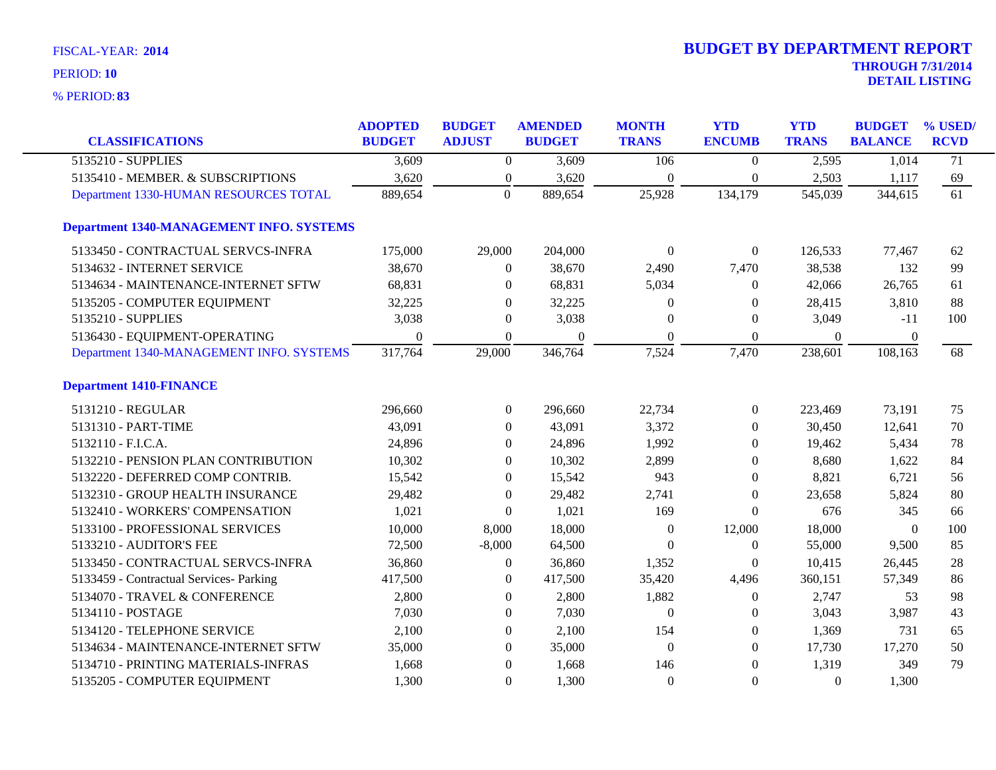| <b>CLASSIFICATIONS</b>                          | <b>ADOPTED</b><br><b>BUDGET</b> | <b>BUDGET</b><br><b>ADJUST</b> | <b>AMENDED</b><br><b>BUDGET</b> | <b>MONTH</b><br><b>TRANS</b> | <b>YTD</b><br><b>ENCUMB</b> | <b>YTD</b><br><b>TRANS</b> | <b>BUDGET</b><br><b>BALANCE</b> | % USED/<br><b>RCVD</b> |
|-------------------------------------------------|---------------------------------|--------------------------------|---------------------------------|------------------------------|-----------------------------|----------------------------|---------------------------------|------------------------|
| 5135210 - SUPPLIES                              | 3,609                           | $\overline{0}$                 | 3,609                           | 106                          | $\boldsymbol{0}$            | 2,595                      | 1,014                           | $\overline{71}$        |
| 5135410 - MEMBER. & SUBSCRIPTIONS               | 3,620                           | $\boldsymbol{0}$               | 3,620                           | $\mathbf{0}$                 | $\theta$                    | 2,503                      | 1,117                           | 69                     |
| Department 1330-HUMAN RESOURCES TOTAL           | 889,654                         | $\boldsymbol{0}$               | 889,654                         | 25,928                       | 134,179                     | 545,039                    | 344,615                         | $\overline{61}$        |
| <b>Department 1340-MANAGEMENT INFO. SYSTEMS</b> |                                 |                                |                                 |                              |                             |                            |                                 |                        |
| 5133450 - CONTRACTUAL SERVCS-INFRA              | 175,000                         | 29,000                         | 204,000                         | $\theta$                     | $\overline{0}$              | 126,533                    | 77,467                          | 62                     |
| 5134632 - INTERNET SERVICE                      | 38,670                          | $\boldsymbol{0}$               | 38,670                          | 2,490                        | 7,470                       | 38,538                     | 132                             | 99                     |
| 5134634 - MAINTENANCE-INTERNET SFTW             | 68,831                          | $\overline{0}$                 | 68,831                          | 5,034                        | 0                           | 42,066                     | 26,765                          | 61                     |
| 5135205 - COMPUTER EQUIPMENT                    | 32,225                          | $\Omega$                       | 32,225                          | $\theta$                     | $\Omega$                    | 28,415                     | 3,810                           | 88                     |
| 5135210 - SUPPLIES                              | 3,038                           | $\mathbf{0}$                   | 3,038                           | $\theta$                     | $\theta$                    | 3,049                      | $-11$                           | 100                    |
| 5136430 - EQUIPMENT-OPERATING                   | $\overline{0}$                  | $\boldsymbol{0}$               | $\Omega$                        | $\boldsymbol{0}$             | $\boldsymbol{0}$            | $\boldsymbol{0}$           | $\overline{0}$                  |                        |
| Department 1340-MANAGEMENT INFO. SYSTEMS        | 317,764                         | 29,000                         | 346,764                         | 7,524                        | 7,470                       | 238,601                    | 108,163                         | 68                     |
| <b>Department 1410-FINANCE</b>                  |                                 |                                |                                 |                              |                             |                            |                                 |                        |
| 5131210 - REGULAR                               | 296,660                         | $\boldsymbol{0}$               | 296,660                         | 22,734                       | $\overline{0}$              | 223,469                    | 73,191                          | 75                     |
| 5131310 - PART-TIME                             | 43,091                          | $\theta$                       | 43,091                          | 3,372                        | $\theta$                    | 30,450                     | 12,641                          | 70                     |
| 5132110 - F.I.C.A.                              | 24,896                          | $\overline{0}$                 | 24,896                          | 1,992                        | $\theta$                    | 19,462                     | 5,434                           | 78                     |
| 5132210 - PENSION PLAN CONTRIBUTION             | 10,302                          | $\overline{0}$                 | 10,302                          | 2,899                        | $\theta$                    | 8,680                      | 1,622                           | 84                     |
| 5132220 - DEFERRED COMP CONTRIB.                | 15,542                          | $\theta$                       | 15,542                          | 943                          | $\theta$                    | 8,821                      | 6,721                           | 56                     |
| 5132310 - GROUP HEALTH INSURANCE                | 29,482                          | $\theta$                       | 29,482                          | 2,741                        | $\theta$                    | 23,658                     | 5,824                           | 80                     |
| 5132410 - WORKERS' COMPENSATION                 | 1,021                           | $\boldsymbol{0}$               | 1,021                           | 169                          | $\Omega$                    | 676                        | 345                             | 66                     |
| 5133100 - PROFESSIONAL SERVICES                 | 10,000                          | 8,000                          | 18,000                          | $\boldsymbol{0}$             | 12,000                      | 18,000                     | $\boldsymbol{0}$                | 100                    |
| 5133210 - AUDITOR'S FEE                         | 72,500                          | $-8,000$                       | 64,500                          | $\theta$                     | $\overline{0}$              | 55,000                     | 9,500                           | 85                     |
| 5133450 - CONTRACTUAL SERVCS-INFRA              | 36,860                          | $\boldsymbol{0}$               | 36,860                          | 1,352                        | $\overline{0}$              | 10,415                     | 26,445                          | 28                     |
| 5133459 - Contractual Services- Parking         | 417,500                         | $\overline{0}$                 | 417,500                         | 35,420                       | 4,496                       | 360,151                    | 57,349                          | 86                     |
| 5134070 - TRAVEL & CONFERENCE                   | 2,800                           | $\overline{0}$                 | 2,800                           | 1,882                        | $\boldsymbol{0}$            | 2,747                      | 53                              | 98                     |
| 5134110 - POSTAGE                               | 7,030                           | $\overline{0}$                 | 7,030                           | $\overline{0}$               | $\boldsymbol{0}$            | 3,043                      | 3,987                           | 43                     |
| 5134120 - TELEPHONE SERVICE                     | 2,100                           | $\overline{0}$                 | 2,100                           | 154                          | $\Omega$                    | 1,369                      | 731                             | 65                     |
| 5134634 - MAINTENANCE-INTERNET SFTW             | 35,000                          | $\boldsymbol{0}$               | 35,000                          | $\boldsymbol{0}$             | $\overline{0}$              | 17,730                     | 17,270                          | 50                     |
| 5134710 - PRINTING MATERIALS-INFRAS             | 1,668                           | $\boldsymbol{0}$               | 1,668                           | 146                          | $\overline{0}$              | 1,319                      | 349                             | 79                     |
| 5135205 - COMPUTER EQUIPMENT                    | 1,300                           | $\overline{0}$                 | 1,300                           | $\theta$                     | $\overline{0}$              | $\theta$                   | 1,300                           |                        |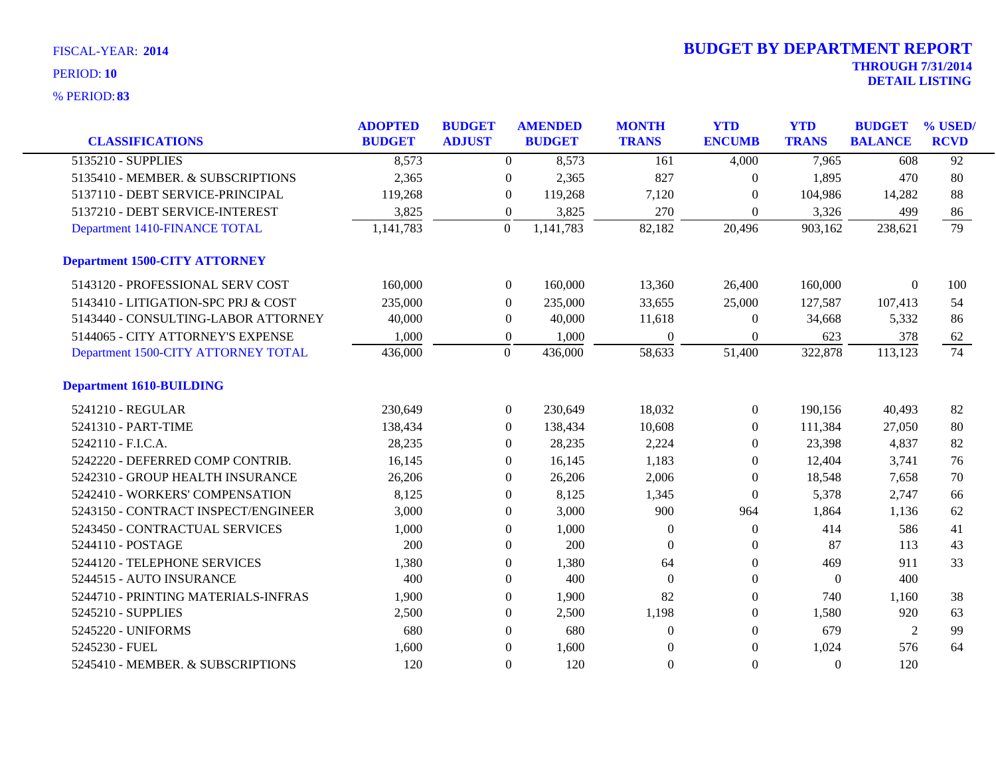| <b>CLASSIFICATIONS</b>               | <b>ADOPTED</b><br><b>BUDGET</b> | <b>BUDGET</b><br><b>ADJUST</b> | <b>AMENDED</b><br><b>BUDGET</b> |           | <b>MONTH</b><br><b>TRANS</b> | <b>YTD</b><br><b>ENCUMB</b> | <b>YTD</b><br><b>TRANS</b> | <b>BUDGET</b><br><b>BALANCE</b> | % USED/<br><b>RCVD</b> |
|--------------------------------------|---------------------------------|--------------------------------|---------------------------------|-----------|------------------------------|-----------------------------|----------------------------|---------------------------------|------------------------|
| 5135210 - SUPPLIES                   | 8,573                           |                                | $\boldsymbol{0}$                | 8,573     | 161                          | 4,000                       | 7,965                      | 608                             | $\overline{92}$        |
| 5135410 - MEMBER. & SUBSCRIPTIONS    | 2,365                           |                                | $\mathbf{0}$                    | 2,365     | 827                          | $\overline{0}$              | 1,895                      | 470                             | 80                     |
| 5137110 - DEBT SERVICE-PRINCIPAL     | 119,268                         |                                | $\theta$                        | 119,268   | 7,120                        | $\Omega$                    | 104,986                    | 14,282                          | 88                     |
| 5137210 - DEBT SERVICE-INTEREST      | 3,825                           |                                | $\boldsymbol{0}$                | 3,825     | 270                          | $\Omega$                    | 3,326                      | 499                             | 86                     |
| Department 1410-FINANCE TOTAL        | 1,141,783                       |                                | $\overline{0}$                  | 1,141,783 | 82,182                       | 20,496                      | 903,162                    | 238,621                         | $\overline{79}$        |
| <b>Department 1500-CITY ATTORNEY</b> |                                 |                                |                                 |           |                              |                             |                            |                                 |                        |
| 5143120 - PROFESSIONAL SERV COST     | 160,000                         |                                | $\boldsymbol{0}$                | 160,000   | 13,360                       | 26,400                      | 160,000                    | $\boldsymbol{0}$                | 100                    |
| 5143410 - LITIGATION-SPC PRJ & COST  | 235,000                         |                                | $\mathbf{0}$                    | 235,000   | 33,655                       | 25,000                      | 127,587                    | 107,413                         | 54                     |
| 5143440 - CONSULTING-LABOR ATTORNEY  | 40,000                          |                                | $\overline{0}$                  | 40,000    | 11,618                       | $\Omega$                    | 34,668                     | 5,332                           | 86                     |
| 5144065 - CITY ATTORNEY'S EXPENSE    | 1,000                           |                                | $\mathbf{0}$                    | 1,000     | $\theta$                     | $\mathbf{0}$                | 623                        | 378                             | 62                     |
| Department 1500-CITY ATTORNEY TOTAL  | 436,000                         |                                | $\overline{0}$                  | 436,000   | 58,633                       | 51,400                      | 322,878                    | 113,123                         | 74                     |
| <b>Department 1610-BUILDING</b>      |                                 |                                |                                 |           |                              |                             |                            |                                 |                        |
| 5241210 - REGULAR                    | 230,649                         |                                | $\boldsymbol{0}$                | 230,649   | 18,032                       | $\mathbf{0}$                | 190,156                    | 40,493                          | 82                     |
| 5241310 - PART-TIME                  | 138,434                         |                                | $\overline{0}$                  | 138,434   | 10,608                       | $\overline{0}$              | 111,384                    | 27,050                          | 80                     |
| 5242110 - F.I.C.A.                   | 28,235                          |                                | $\theta$                        | 28,235    | 2,224                        | $\left($                    | 23,398                     | 4,837                           | 82                     |
| 5242220 - DEFERRED COMP CONTRIB.     | 16,145                          |                                | $\theta$                        | 16,145    | 1,183                        | $\overline{0}$              | 12,404                     | 3,741                           | 76                     |
| 5242310 - GROUP HEALTH INSURANCE     | 26,206                          |                                | $\mathbf{0}$                    | 26,206    | 2,006                        | $\overline{0}$              | 18,548                     | 7,658                           | 70                     |
| 5242410 - WORKERS' COMPENSATION      | 8,125                           |                                | $\theta$                        | 8,125     | 1,345                        | $\overline{0}$              | 5,378                      | 2,747                           | 66                     |
| 5243150 - CONTRACT INSPECT/ENGINEER  | 3,000                           |                                | $\theta$                        | 3,000     | 900                          | 964                         | 1,864                      | 1,136                           | 62                     |
| 5243450 - CONTRACTUAL SERVICES       | 1,000                           |                                | $\boldsymbol{0}$                | 1,000     | $\theta$                     | $\mathbf{0}$                | 414                        | 586                             | 41                     |
| 5244110 - POSTAGE                    | 200                             |                                | $\mathbf{0}$                    | 200       | $\theta$                     | $\mathbf{0}$                | 87                         | 113                             | 43                     |
| 5244120 - TELEPHONE SERVICES         | 1,380                           |                                | $\theta$                        | 1,380     | 64                           | $\overline{0}$              | 469                        | 911                             | 33                     |
| 5244515 - AUTO INSURANCE             | 400                             |                                | $\mathbf{0}$                    | 400       | $\Omega$                     | $\Omega$                    | $\overline{0}$             | 400                             |                        |
| 5244710 - PRINTING MATERIALS-INFRAS  | 1,900                           |                                | $\boldsymbol{0}$                | 1,900     | 82                           | $\overline{0}$              | 740                        | 1,160                           | 38                     |
| 5245210 - SUPPLIES                   | 2,500                           |                                | $\boldsymbol{0}$                | 2,500     | 1,198                        | $\overline{0}$              | 1,580                      | 920                             | 63                     |
| 5245220 - UNIFORMS                   | 680                             |                                | $\mathbf{0}$                    | 680       | $\theta$                     | $\overline{0}$              | 679                        | $\overline{2}$                  | 99                     |
| 5245230 - FUEL                       | 1,600                           |                                | $\mathbf{0}$                    | 1,600     | $\theta$                     | $\Omega$                    | 1,024                      | 576                             | 64                     |
| 5245410 - MEMBER. & SUBSCRIPTIONS    | 120                             |                                | $\mathbf{0}$                    | 120       | $\Omega$                     | $\Omega$                    | $\Omega$                   | 120                             |                        |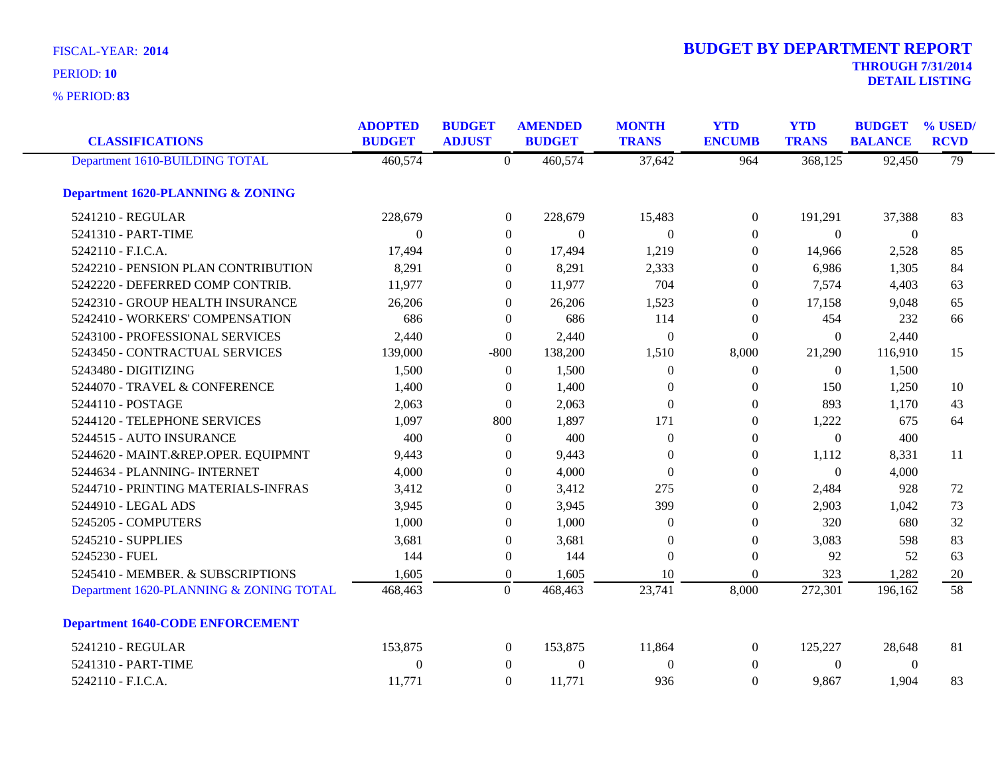| <b>FISCAL-YEAR: 2014</b> | <b>BUDGET BY DEPARTMENT REPORT</b> |
|--------------------------|------------------------------------|
| PERIOD: 10               | <b>THROUGH 7/31/2014</b>           |
|                          | <b>DETAIL LISTING</b>              |

| <b>CLASSIFICATIONS</b>                       | <b>ADOPTED</b><br><b>BUDGET</b> | <b>BUDGET</b><br><b>ADJUST</b> | <b>AMENDED</b><br><b>BUDGET</b> | <b>MONTH</b><br><b>TRANS</b> | <b>YTD</b><br><b>ENCUMB</b> | <b>YTD</b><br><b>TRANS</b> | <b>BUDGET</b><br><b>BALANCE</b> | % USED<br><b>RCVD</b> |
|----------------------------------------------|---------------------------------|--------------------------------|---------------------------------|------------------------------|-----------------------------|----------------------------|---------------------------------|-----------------------|
| Department 1610-BUILDING TOTAL               | 460,574                         | $\theta$                       | 460,574                         | 37,642                       | 964                         | 368,125                    | 92,450                          | 79                    |
| <b>Department 1620-PLANNING &amp; ZONING</b> |                                 |                                |                                 |                              |                             |                            |                                 |                       |
| 5241210 - REGULAR                            | 228,679                         | $\boldsymbol{0}$               | 228,679                         | 15,483                       | $\boldsymbol{0}$            | 191,291                    | 37,388                          | 83                    |
| 5241310 - PART-TIME                          | $\Omega$                        | $\overline{0}$                 | $\Omega$                        | $\Omega$                     | $\theta$                    | $\Omega$                   | $\theta$                        |                       |
| 5242110 - F.I.C.A.                           | 17,494                          | $\overline{0}$                 | 17,494                          | 1,219                        | $\overline{0}$              | 14,966                     | 2,528                           | 85                    |
| 5242210 - PENSION PLAN CONTRIBUTION          | 8,291                           | $\overline{0}$                 | 8,291                           | 2,333                        | $\overline{0}$              | 6,986                      | 1,305                           | 84                    |
| 5242220 - DEFERRED COMP CONTRIB.             | 11,977                          | $\overline{0}$                 | 11,977                          | 704                          | $\boldsymbol{0}$            | 7,574                      | 4,403                           | 63                    |
| 5242310 - GROUP HEALTH INSURANCE             | 26,206                          | $\overline{0}$                 | 26,206                          | 1,523                        | $\theta$                    | 17,158                     | 9,048                           | 65                    |
| 5242410 - WORKERS' COMPENSATION              | 686                             | $\overline{0}$                 | 686                             | 114                          | $\overline{0}$              | 454                        | 232                             | 66                    |
| 5243100 - PROFESSIONAL SERVICES              | 2,440                           | $\boldsymbol{0}$               | 2,440                           | $\theta$                     | $\Omega$                    | $\Omega$                   | 2,440                           |                       |
| 5243450 - CONTRACTUAL SERVICES               | 139,000                         | $-800$                         | 138,200                         | 1,510                        | 8,000                       | 21,290                     | 116,910                         | 15                    |
| 5243480 - DIGITIZING                         | 1,500                           | $\boldsymbol{0}$               | 1,500                           | $\theta$                     | $\overline{0}$              | $\overline{0}$             | 1,500                           |                       |
| 5244070 - TRAVEL & CONFERENCE                | 1,400                           | $\overline{0}$                 | 1,400                           | $\theta$                     | $\overline{0}$              | 150                        | 1,250                           | 10                    |
| 5244110 - POSTAGE                            | 2,063                           | $\overline{0}$                 | 2,063                           | $\theta$                     | $\theta$                    | 893                        | 1,170                           | 43                    |
| 5244120 - TELEPHONE SERVICES                 | 1,097                           | 800                            | 1,897                           | 171                          | $\theta$                    | 1,222                      | 675                             | 64                    |
| 5244515 - AUTO INSURANCE                     | 400                             | $\boldsymbol{0}$               | 400                             | $\theta$                     | $\theta$                    | $\boldsymbol{0}$           | 400                             |                       |
| 5244620 - MAINT.&REP.OPER. EQUIPMNT          | 9,443                           | $\boldsymbol{0}$               | 9,443                           | $\theta$                     | $\theta$                    | 1,112                      | 8,331                           | 11                    |
| 5244634 - PLANNING- INTERNET                 | 4,000                           | $\overline{0}$                 | 4,000                           | $\theta$                     | $\Omega$                    | $\Omega$                   | 4,000                           |                       |
| 5244710 - PRINTING MATERIALS-INFRAS          | 3,412                           | $\overline{0}$                 | 3,412                           | 275                          | $\theta$                    | 2,484                      | 928                             | 72                    |
| 5244910 - LEGAL ADS                          | 3,945                           | $\overline{0}$                 | 3,945                           | 399                          | $\theta$                    | 2,903                      | 1,042                           | 73                    |
| 5245205 - COMPUTERS                          | 1,000                           | $\overline{0}$                 | 1,000                           | $\theta$                     | $\boldsymbol{0}$            | 320                        | 680                             | 32                    |
| 5245210 - SUPPLIES                           | 3,681                           | $\overline{0}$                 | 3,681                           | $\theta$                     | $\theta$                    | 3,083                      | 598                             | 83                    |
| 5245230 - FUEL                               | 144                             | $\boldsymbol{0}$               | 144                             | $\theta$                     | $\boldsymbol{0}$            | 92                         | 52                              | 63                    |
| 5245410 - MEMBER. & SUBSCRIPTIONS            | 1,605                           | $\boldsymbol{0}$               | 1,605                           | 10                           | $\Omega$                    | 323                        | 1,282                           | 20                    |
| Department 1620-PLANNING & ZONING TOTAL      | 468,463                         | $\overline{0}$                 | 468,463                         | 23,741                       | 8,000                       | 272,301                    | 196,162                         | 58                    |
| <b>Department 1640-CODE ENFORCEMENT</b>      |                                 |                                |                                 |                              |                             |                            |                                 |                       |
| 5241210 - REGULAR                            | 153,875                         | $\overline{0}$                 | 153,875                         | 11,864                       | $\theta$                    | 125,227                    | 28,648                          | 81                    |
| 5241310 - PART-TIME                          | $\overline{0}$                  | $\boldsymbol{0}$               | $\boldsymbol{0}$                | $\theta$                     | $\overline{0}$              | $\overline{0}$             | $\overline{0}$                  |                       |
| 5242110 - F.I.C.A.                           | 11,771                          | $\boldsymbol{0}$               | 11,771                          | 936                          | $\Omega$                    | 9,867                      | 1,904                           | 83                    |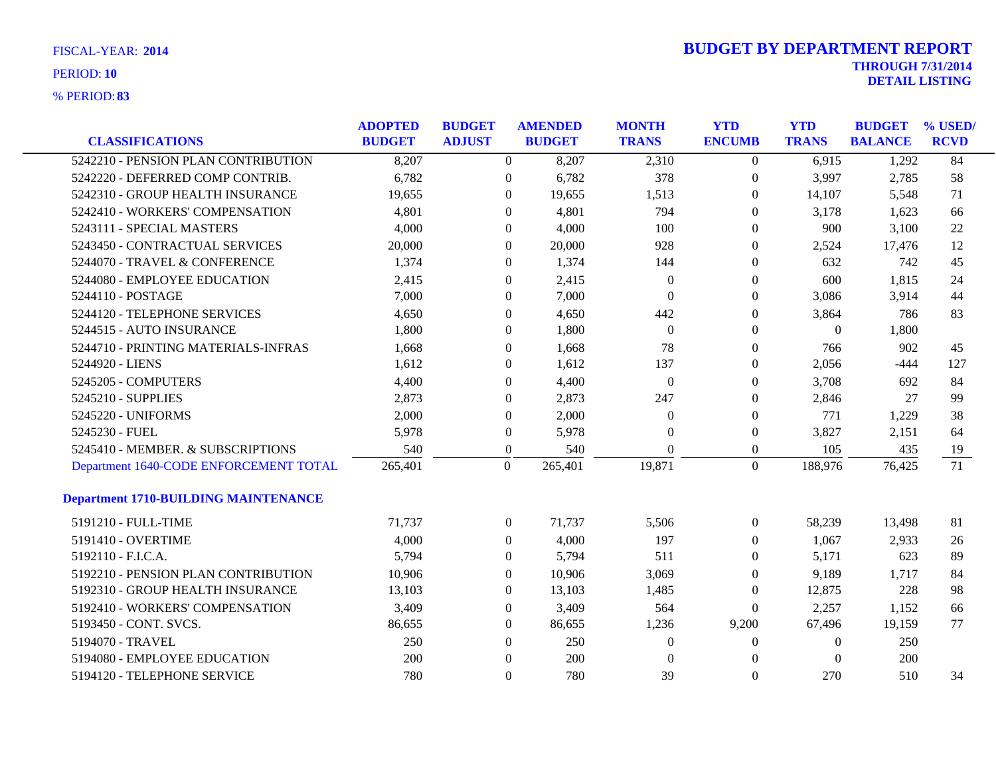| <b>CLASSIFICATIONS</b>                      | <b>ADOPTED</b><br><b>BUDGET</b> | <b>BUDGET</b><br><b>ADJUST</b> | <b>AMENDED</b><br><b>BUDGET</b> | <b>MONTH</b><br><b>TRANS</b> | <b>YTD</b><br><b>ENCUMB</b> | <b>YTD</b><br><b>TRANS</b> | <b>BUDGET</b><br><b>BALANCE</b> | % USED/<br><b>RCVD</b> |
|---------------------------------------------|---------------------------------|--------------------------------|---------------------------------|------------------------------|-----------------------------|----------------------------|---------------------------------|------------------------|
| 5242210 - PENSION PLAN CONTRIBUTION         | 8,207                           |                                | $\overline{0}$<br>8,207         | 2,310                        | $\overline{0}$              | 6,915                      | 1,292                           | 84                     |
| 5242220 - DEFERRED COMP CONTRIB.            | 6,782                           | $\overline{0}$                 | 6,782                           | 378                          | $\boldsymbol{0}$            | 3,997                      | 2,785                           | 58                     |
| 5242310 - GROUP HEALTH INSURANCE            | 19,655                          | $\theta$                       | 19,655                          | 1,513                        | $\boldsymbol{0}$            | 14,107                     | 5,548                           | 71                     |
| 5242410 - WORKERS' COMPENSATION             | 4,801                           | $\overline{0}$                 | 4,801                           | 794                          | $\overline{0}$              | 3,178                      | 1,623                           | 66                     |
| 5243111 - SPECIAL MASTERS                   | 4,000                           | $\Omega$                       | 4,000                           | 100                          | $\overline{0}$              | 900                        | 3,100                           | 22                     |
| 5243450 - CONTRACTUAL SERVICES              | 20,000                          | $\overline{0}$                 | 20,000                          | 928                          | $\boldsymbol{0}$            | 2,524                      | 17,476                          | 12                     |
| 5244070 - TRAVEL & CONFERENCE               | 1,374                           | $\theta$                       | 1,374                           | 144                          | $\overline{0}$              | 632                        | 742                             | 45                     |
| 5244080 - EMPLOYEE EDUCATION                | 2,415                           | $\overline{0}$                 | 2,415                           | $\overline{0}$               | $\overline{0}$              | 600                        | 1,815                           | 24                     |
| 5244110 - POSTAGE                           | 7,000                           | $\overline{0}$                 | 7,000                           | $\Omega$                     | $\overline{0}$              | 3,086                      | 3,914                           | 44                     |
| 5244120 - TELEPHONE SERVICES                | 4,650                           | $\boldsymbol{0}$               | 4,650                           | 442                          | $\overline{0}$              | 3,864                      | 786                             | 83                     |
| 5244515 - AUTO INSURANCE                    | 1,800                           | $\Omega$                       | 1,800                           | $\mathbf{0}$                 | $\theta$                    | $\overline{0}$             | 1,800                           |                        |
| 5244710 - PRINTING MATERIALS-INFRAS         | 1,668                           | $\Omega$                       | 1,668                           | 78                           | $\overline{0}$              | 766                        | 902                             | 45                     |
| 5244920 - LIENS                             | 1,612                           | $\Omega$                       | 1,612                           | 137                          | $\theta$                    | 2,056                      | $-444$                          | 127                    |
| 5245205 - COMPUTERS                         | 4,400                           | $\boldsymbol{0}$               | 4,400                           | $\mathbf{0}$                 | $\overline{0}$              | 3,708                      | 692                             | 84                     |
| 5245210 - SUPPLIES                          | 2,873                           | $\overline{0}$                 | 2,873                           | 247                          | $\boldsymbol{0}$            | 2,846                      | 27                              | 99                     |
| 5245220 - UNIFORMS                          | 2,000                           | $\overline{0}$                 | 2,000                           | $\overline{0}$               | $\overline{0}$              | 771                        | 1,229                           | 38                     |
| 5245230 - FUEL                              | 5,978                           | $\boldsymbol{0}$               | 5,978                           | $\overline{0}$               | $\boldsymbol{0}$            | 3,827                      | 2,151                           | 64                     |
| 5245410 - MEMBER. & SUBSCRIPTIONS           | 540                             | $\boldsymbol{0}$               | 540                             | $\mathbf{0}$                 | $\boldsymbol{0}$            | 105                        | 435                             | 19                     |
| Department 1640-CODE ENFORCEMENT TOTAL      | 265,401                         | $\mathbf{0}$                   | 265,401                         | 19,871                       | $\overline{0}$              | 188,976                    | 76,425                          | 71                     |
| <b>Department 1710-BUILDING MAINTENANCE</b> |                                 |                                |                                 |                              |                             |                            |                                 |                        |
| 5191210 - FULL-TIME                         | 71,737                          |                                | $\mathbf{0}$<br>71,737          | 5,506                        | $\mathbf{0}$                | 58,239                     | 13,498                          | 81                     |
| 5191410 - OVERTIME                          | 4,000                           | $\boldsymbol{0}$               | 4,000                           | 197                          | $\mathbf{0}$                | 1,067                      | 2,933                           | 26                     |
| 5192110 - F.I.C.A.                          | 5,794                           | $\overline{0}$                 | 5,794                           | 511                          | $\boldsymbol{0}$            | 5,171                      | 623                             | 89                     |
| 5192210 - PENSION PLAN CONTRIBUTION         | 10,906                          | $\Omega$                       | 10,906                          | 3,069                        | $\overline{0}$              | 9,189                      | 1,717                           | 84                     |
| 5192310 - GROUP HEALTH INSURANCE            | 13,103                          | $\Omega$                       | 13,103                          | 1,485                        | $\theta$                    | 12,875                     | 228                             | 98                     |
| 5192410 - WORKERS' COMPENSATION             | 3,409                           | $\overline{0}$                 | 3,409                           | 564                          | $\overline{0}$              | 2,257                      | 1,152                           | 66                     |
| 5193450 - CONT. SVCS.                       | 86,655                          | $\overline{0}$                 | 86,655                          | 1,236                        | 9,200                       | 67,496                     | 19,159                          | 77                     |
| 5194070 - TRAVEL                            | 250                             | $\Omega$                       | 250                             | $\overline{0}$               | $\Omega$                    | $\theta$                   | 250                             |                        |
| 5194080 - EMPLOYEE EDUCATION                | 200                             | $\Omega$                       | 200                             | $\theta$                     | $\Omega$                    | $\Omega$                   | 200                             |                        |
| 5194120 - TELEPHONE SERVICE                 | 780                             | $\Omega$                       | 780                             | 39                           | $\Omega$                    | 270                        | 510                             | 34                     |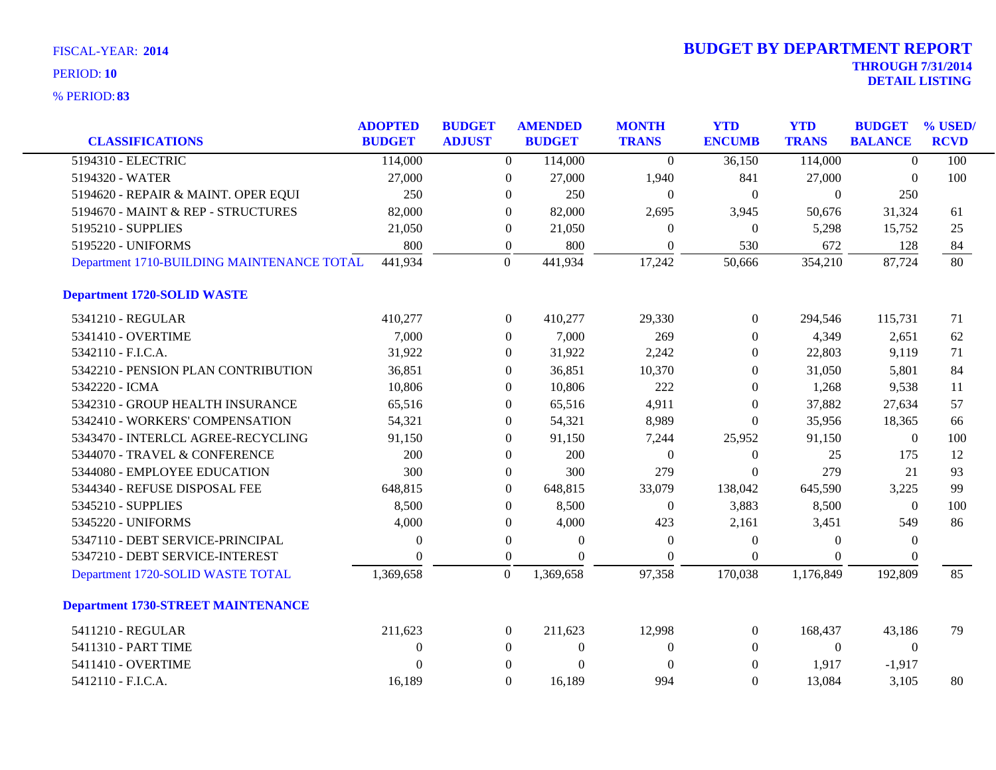| <b>CLASSIFICATIONS</b>                     | <b>ADOPTED</b><br><b>BUDGET</b> | <b>BUDGET</b><br><b>ADJUST</b> | <b>AMENDED</b><br><b>BUDGET</b> | <b>MONTH</b><br><b>TRANS</b> | <b>YTD</b><br><b>ENCUMB</b> | <b>YTD</b><br><b>TRANS</b> | <b>BUDGET</b><br><b>BALANCE</b> | % USED/<br><b>RCVD</b> |
|--------------------------------------------|---------------------------------|--------------------------------|---------------------------------|------------------------------|-----------------------------|----------------------------|---------------------------------|------------------------|
| 5194310 - ELECTRIC                         | 114,000                         |                                | $\overline{0}$<br>114,000       | $\overline{0}$               | 36,150                      | 114,000                    | $\overline{0}$                  | 100                    |
| 5194320 - WATER                            | 27,000                          |                                | $\boldsymbol{0}$<br>27,000      | 1,940                        | 841                         | 27,000                     | $\theta$                        | 100                    |
| 5194620 - REPAIR & MAINT. OPER EQUI        | 250                             |                                | 250<br>$\overline{0}$           | $\mathbf{0}$                 | $\mathbf{0}$                | $\theta$                   | 250                             |                        |
| 5194670 - MAINT & REP - STRUCTURES         | 82,000                          |                                | 82,000<br>$\overline{0}$        | 2,695                        | 3,945                       | 50,676                     | 31,324                          |                        |
| 5195210 - SUPPLIES                         | 21,050                          |                                | 21,050<br>$\overline{0}$        | $\Omega$                     | $\boldsymbol{0}$            | 5,298                      | 15,752                          | 61<br>25               |
| 5195220 - UNIFORMS                         | 800                             | $\boldsymbol{0}$               | 800                             | $\Omega$                     | 530                         | 672                        | 128                             |                        |
| Department 1710-BUILDING MAINTENANCE TOTAL | 441,934                         | $\overline{0}$                 | 441,934                         | 17,242                       | 50,666                      | 354,210                    | 87,724                          | 84<br>80               |
| <b>Department 1720-SOLID WASTE</b>         |                                 |                                |                                 |                              |                             |                            |                                 |                        |
| 5341210 - REGULAR                          | 410,277                         |                                | $\overline{0}$<br>410,277       | 29,330                       | $\boldsymbol{0}$            | 294,546                    | 115,731                         | 71                     |
| 5341410 - OVERTIME                         | 7,000                           |                                | 7,000<br>$\Omega$               | 269                          | $\Omega$                    | 4,349                      | 2,651                           | 62                     |
| 5342110 - F.I.C.A.                         | 31,922                          |                                | 31,922<br>$\boldsymbol{0}$      | 2,242                        | $\theta$                    | 22,803                     | 9,119                           | 71                     |
| 5342210 - PENSION PLAN CONTRIBUTION        | 36,851                          |                                | $\overline{0}$<br>36,851        | 10,370                       | $\Omega$                    | 31,050                     | 5,801                           | 84                     |
| 5342220 - ICMA                             | 10,806                          |                                | 10,806<br>$\Omega$              | 222                          | $\Omega$                    | 1,268                      | 9,538                           | 11                     |
| 5342310 - GROUP HEALTH INSURANCE           | 65,516                          |                                | 65,516<br>$\boldsymbol{0}$      | 4,911                        | $\boldsymbol{0}$            | 37,882                     | 27,634                          | 57                     |
| 5342410 - WORKERS' COMPENSATION            | 54,321                          |                                | 54,321<br>$\overline{0}$        | 8,989                        | $\theta$                    | 35,956                     | 18,365                          | 66                     |
| 5343470 - INTERLCL AGREE-RECYCLING         | 91,150                          |                                | 91,150<br>$\overline{0}$        | 7,244                        | 25,952                      | 91,150                     | $\overline{0}$                  | 100                    |
| 5344070 - TRAVEL & CONFERENCE              | 200                             |                                | 200<br>$\overline{0}$           | $\theta$                     | $\theta$                    | 25                         | 175                             | 12                     |
| 5344080 - EMPLOYEE EDUCATION               | 300                             |                                | 300<br>$\overline{0}$           | 279                          | $\mathbf{0}$                | 279                        | 21                              | 93                     |
| 5344340 - REFUSE DISPOSAL FEE              | 648,815                         |                                | 648,815<br>$\overline{0}$       | 33,079                       | 138,042                     | 645,590                    | 3,225                           | 99                     |
| 5345210 - SUPPLIES                         | 8,500                           |                                | 8,500<br>0                      | $\boldsymbol{0}$             | 3,883                       | 8,500                      | $\boldsymbol{0}$                | 100                    |
| 5345220 - UNIFORMS                         | 4,000                           |                                | 4,000<br>$\overline{0}$         | 423                          | 2,161                       | 3,451                      | 549                             | 86                     |
| 5347110 - DEBT SERVICE-PRINCIPAL           | $\theta$                        |                                | $\boldsymbol{0}$<br>$\Omega$    | $\theta$                     | $\boldsymbol{0}$            | $\Omega$                   | $\boldsymbol{0}$                |                        |
| 5347210 - DEBT SERVICE-INTEREST            | $\Omega$                        | $\boldsymbol{0}$               | $\Omega$                        | $\Omega$                     | $\mathbf{0}$                | $\theta$                   | $\theta$                        |                        |
| Department 1720-SOLID WASTE TOTAL          | 1,369,658                       | $\mathbf{0}$                   | 1,369,658                       | 97,358                       | 170,038                     | 1,176,849                  | 192,809                         | 85                     |
| <b>Department 1730-STREET MAINTENANCE</b>  |                                 |                                |                                 |                              |                             |                            |                                 |                        |
| 5411210 - REGULAR                          | 211,623                         |                                | $\overline{0}$<br>211,623       | 12,998                       | $\theta$                    | 168,437                    | 43,186                          | 79                     |
| 5411310 - PART TIME                        | $\theta$                        |                                | $\mathbf{0}$<br>$\overline{0}$  | $\theta$                     | $\theta$                    | $\overline{0}$             | $\overline{0}$                  |                        |
| 5411410 - OVERTIME                         | $\Omega$                        | $\Omega$                       | $\theta$                        | $\overline{0}$               | $\mathbf{0}$                | 1,917                      | $-1,917$                        |                        |
| 5412110 - F.I.C.A.                         | 16,189                          |                                | $\Omega$<br>16,189              | 994                          | $\Omega$                    | 13,084                     | 3,105                           | 80                     |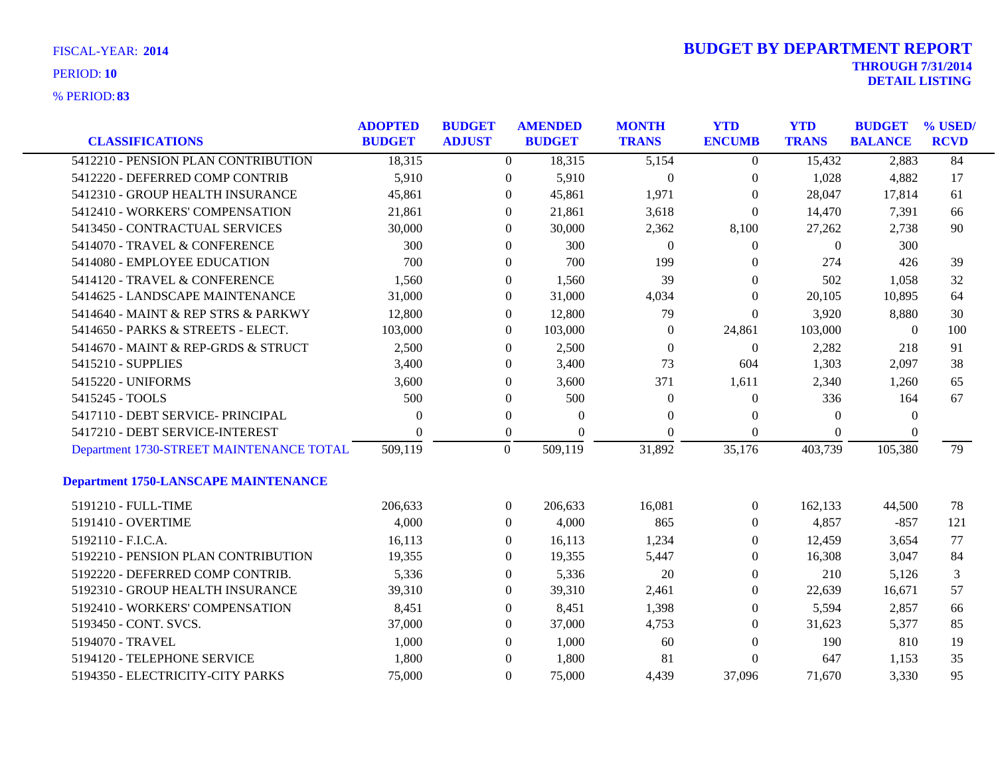| FISCAL-YEAR: 2014   |
|---------------------|
| PERIOD: 10          |
| <b>% PERIOD: 83</b> |

|                                             | <b>ADOPTED</b> | <b>BUDGET</b>  | <b>AMENDED</b>             | <b>MONTH</b>   | <b>YTD</b>       | <b>YTD</b>       | <b>BUDGET</b>  | % USED/     |
|---------------------------------------------|----------------|----------------|----------------------------|----------------|------------------|------------------|----------------|-------------|
| <b>CLASSIFICATIONS</b>                      | <b>BUDGET</b>  | <b>ADJUST</b>  | <b>BUDGET</b>              | <b>TRANS</b>   | <b>ENCUMB</b>    | <b>TRANS</b>     | <b>BALANCE</b> | <b>RCVD</b> |
| 5412210 - PENSION PLAN CONTRIBUTION         | 18,315         |                | $\overline{0}$<br>18,315   | 5,154          | $\overline{0}$   | 15,432           | 2,883          | 84          |
| 5412220 - DEFERRED COMP CONTRIB             | 5,910          |                | 5,910<br>$\mathbf{0}$      | $\overline{0}$ | $\boldsymbol{0}$ | 1,028            | 4,882          | 17          |
| 5412310 - GROUP HEALTH INSURANCE            | 45,861         |                | 45,861<br>$\overline{0}$   | 1,971          | $\theta$         | 28,047           | 17,814         | 61          |
| 5412410 - WORKERS' COMPENSATION             | 21,861         |                | $\Omega$<br>21,861         | 3,618          | $\theta$         | 14,470           | 7,391          | 66          |
| 5413450 - CONTRACTUAL SERVICES              | 30,000         |                | 30,000<br>$\overline{0}$   | 2,362          | 8,100            | 27,262           | 2,738          | 90          |
| 5414070 - TRAVEL & CONFERENCE               | 300            |                | 300<br>$\overline{0}$      | $\overline{0}$ | $\boldsymbol{0}$ | $\boldsymbol{0}$ | 300            |             |
| 5414080 - EMPLOYEE EDUCATION                | 700            |                | 700<br>$\overline{0}$      | 199            | 0                | 274              | 426            | 39          |
| 5414120 - TRAVEL & CONFERENCE               | 1,560          |                | 1,560<br>$\overline{0}$    | 39             | 0                | 502              | 1,058          | 32          |
| 5414625 - LANDSCAPE MAINTENANCE             | 31,000         |                | 31,000<br>$\overline{0}$   | 4,034          | $\overline{0}$   | 20,105           | 10,895         | 64          |
| 5414640 - MAINT & REP STRS & PARKWY         | 12,800         |                | $\overline{0}$<br>12,800   | 79             | $\boldsymbol{0}$ | 3,920            | 8,880          | 30          |
| 5414650 - PARKS & STREETS - ELECT.          | 103,000        |                | 103,000<br>$\overline{0}$  | $\theta$       | 24,861           | 103,000          | $\overline{0}$ | 100         |
| 5414670 - MAINT & REP-GRDS & STRUCT         | 2,500          |                | 2,500<br>$\Omega$          | $\Omega$       | $\mathbf{0}$     | 2,282            | 218            | 91          |
| 5415210 - SUPPLIES                          | 3,400          |                | 3,400<br>$\overline{0}$    | 73             | 604              | 1,303            | 2,097          | 38          |
| 5415220 - UNIFORMS                          | 3,600          |                | 3,600<br>$\overline{0}$    | 371            | 1,611            | 2,340            | 1,260          | 65          |
| 5415245 - TOOLS                             | 500            |                | 500<br>$\overline{0}$      | $\theta$       | $\theta$         | 336              | 164            | 67          |
| 5417110 - DEBT SERVICE- PRINCIPAL           | 0              |                | $\mathbf{0}$<br>$\theta$   | $\Omega$       | 0                | $\Omega$         | $\theta$       |             |
| 5417210 - DEBT SERVICE-INTEREST             | $\Omega$       |                | $\Omega$<br>$\overline{0}$ | $\Omega$       | $\Omega$         | $\Omega$         | $\Omega$       |             |
| Department 1730-STREET MAINTENANCE TOTAL    | 509,119        | $\overline{0}$ | 509,119                    | 31,892         | 35,176           | 403,739          | 105,380        | 79          |
| <b>Department 1750-LANSCAPE MAINTENANCE</b> |                |                |                            |                |                  |                  |                |             |
| 5191210 - FULL-TIME                         | 206,633        |                | 206,633<br>$\Omega$        | 16,081         | $\overline{0}$   | 162,133          | 44,500         | 78          |
| 5191410 - OVERTIME                          | 4,000          |                | 4,000<br>$\overline{0}$    | 865            | $\overline{0}$   | 4,857            | $-857$         | 121         |
| 5192110 - F.I.C.A.                          | 16,113         |                | 16,113<br>$\overline{0}$   | 1,234          | 0                | 12,459           | 3,654          | 77          |
| 5192210 - PENSION PLAN CONTRIBUTION         | 19,355         |                | 19,355<br>$\overline{0}$   | 5,447          | 0                | 16,308           | 3,047          | 84          |
| 5192220 - DEFERRED COMP CONTRIB.            | 5,336          |                | 5,336<br>$\Omega$          | 20             | 0                | 210              | 5,126          | 3           |
| 5192310 - GROUP HEALTH INSURANCE            | 39,310         |                | 39,310<br>$\Omega$         | 2,461          | $\Omega$         | 22,639           | 16,671         | 57          |
| 5192410 - WORKERS' COMPENSATION             | 8,451          |                | 8,451<br>$\overline{0}$    | 1,398          | $\overline{0}$   | 5,594            | 2,857          | 66          |
| 5193450 - CONT. SVCS.                       | 37,000         |                | 37,000<br>$\overline{0}$   | 4,753          | $\Omega$         | 31,623           | 5,377          | 85          |
| 5194070 - TRAVEL                            | 1,000          |                | 1,000<br>$\Omega$          | 60             | 0                | 190              | 810            | 19          |
| 5194120 - TELEPHONE SERVICE                 | 1,800          |                | 1,800<br>$\Omega$          | 81             | $\theta$         | 647              | 1,153          | 35          |
| 5194350 - ELECTRICITY-CITY PARKS            | 75,000         |                | $\Omega$<br>75,000         | 4,439          | 37,096           | 71,670           | 3,330          | 95          |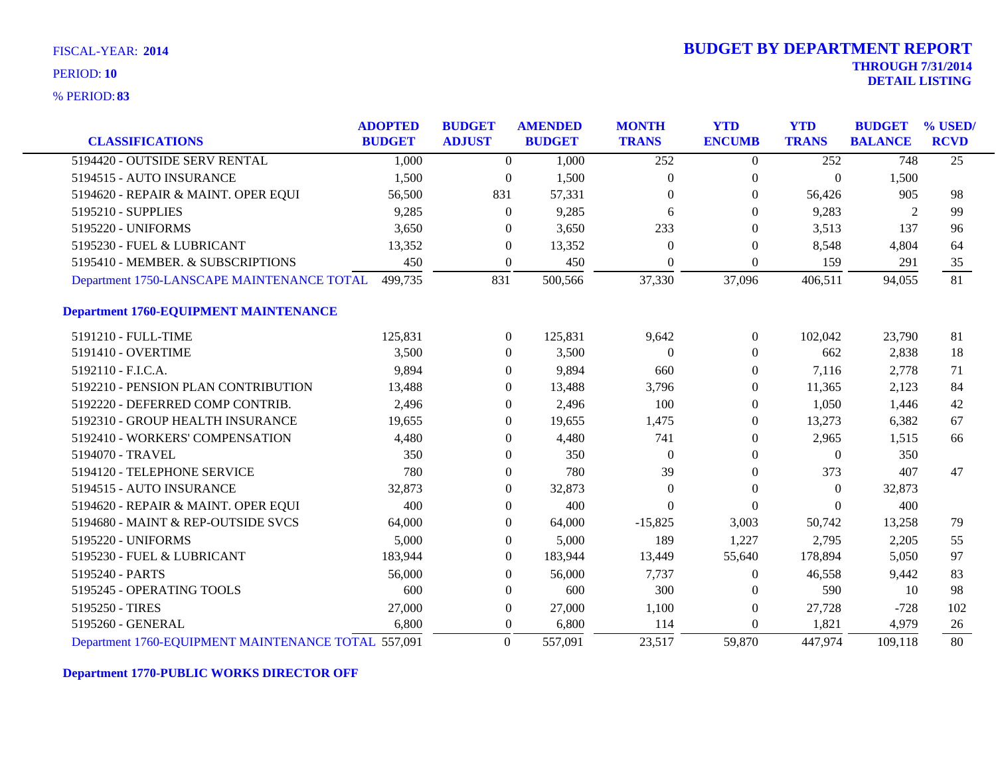**83** % PERIOD:

|                                                     | <b>ADOPTED</b> | <b>BUDGET</b>    | <b>AMENDED</b> | <b>MONTH</b> | <b>YTD</b>       | <b>YTD</b>     | <b>BUDGET</b>  | % USED/         |
|-----------------------------------------------------|----------------|------------------|----------------|--------------|------------------|----------------|----------------|-----------------|
| <b>CLASSIFICATIONS</b>                              | <b>BUDGET</b>  | <b>ADJUST</b>    | <b>BUDGET</b>  | <b>TRANS</b> | <b>ENCUMB</b>    | <b>TRANS</b>   | <b>BALANCE</b> | <b>RCVD</b>     |
| 5194420 - OUTSIDE SERV RENTAL                       | 1,000          | $\overline{0}$   | 1.000          | 252          | $\overline{0}$   | 252            | 748            | $\overline{25}$ |
| 5194515 - AUTO INSURANCE                            | 1,500          | $\overline{0}$   | 1,500          | $\mathbf{0}$ | $\mathbf{0}$     | $\overline{0}$ | 1,500          |                 |
| 5194620 - REPAIR & MAINT. OPER EQUI                 | 56,500         | 831              | 57,331         | $\Omega$     | $\Omega$         | 56,426         | 905            | 98              |
| 5195210 - SUPPLIES                                  | 9,285          | $\theta$         | 9,285          | 6            | $\Omega$         | 9,283          | 2              | 99              |
| 5195220 - UNIFORMS                                  | 3,650          | $\theta$         | 3,650          | 233          | $\Omega$         | 3,513          | 137            | 96              |
| 5195230 - FUEL & LUBRICANT                          | 13,352         | $\theta$         | 13,352         | $\theta$     | $\boldsymbol{0}$ | 8,548          | 4,804          | 64              |
| 5195410 - MEMBER. & SUBSCRIPTIONS                   | 450            | $\mathbf{0}$     | 450            | $\theta$     | $\Omega$         | 159            | 291            | 35              |
| Department 1750-LANSCAPE MAINTENANCE TOTAL          | 499,735        | 831              | 500,566        | 37,330       | 37,096           | 406,511        | 94,055         | 81              |
| <b>Department 1760-EQUIPMENT MAINTENANCE</b>        |                |                  |                |              |                  |                |                |                 |
| 5191210 - FULL-TIME                                 | 125,831        | $\overline{0}$   | 125,831        | 9,642        | $\boldsymbol{0}$ | 102,042        | 23,790         | 81              |
| 5191410 - OVERTIME                                  | 3,500          | $\theta$         | 3,500          | $\theta$     | $\boldsymbol{0}$ | 662            | 2,838          | 18              |
| 5192110 - F.I.C.A.                                  | 9,894          | $\mathbf{0}$     | 9,894          | 660          | $\theta$         | 7,116          | 2,778          | 71              |
| 5192210 - PENSION PLAN CONTRIBUTION                 | 13,488         | $\mathbf{0}$     | 13,488         | 3,796        | $\boldsymbol{0}$ | 11,365         | 2,123          | 84              |
| 5192220 - DEFERRED COMP CONTRIB.                    | 2,496          | $\Omega$         | 2,496          | 100          | $\Omega$         | 1,050          | 1,446          | 42              |
| 5192310 - GROUP HEALTH INSURANCE                    | 19,655         | $\Omega$         | 19,655         | 1,475        | $\theta$         | 13,273         | 6,382          | 67              |
| 5192410 - WORKERS' COMPENSATION                     | 4,480          | $\mathbf{0}$     | 4,480          | 741          | $\boldsymbol{0}$ | 2,965          | 1,515          | 66              |
| 5194070 - TRAVEL                                    | 350            | $\theta$         | 350            | $\Omega$     | $\theta$         | $\theta$       | 350            |                 |
| 5194120 - TELEPHONE SERVICE                         | 780            | $\boldsymbol{0}$ | 780            | 39           | $\boldsymbol{0}$ | 373            | 407            | 47              |
| 5194515 - AUTO INSURANCE                            | 32,873         | $\boldsymbol{0}$ | 32,873         | $\theta$     | $\boldsymbol{0}$ | $\overline{0}$ | 32,873         |                 |
| 5194620 - REPAIR & MAINT. OPER EQUI                 | 400            | $\mathbf{0}$     | 400            | $\theta$     | $\Omega$         | $\Omega$       | 400            |                 |
| 5194680 - MAINT & REP-OUTSIDE SVCS                  | 64,000         | $\mathbf{0}$     | 64,000         | $-15,825$    | 3,003            | 50,742         | 13,258         | 79              |
| 5195220 - UNIFORMS                                  | 5,000          | $\theta$         | 5,000          | 189          | 1,227            | 2,795          | 2,205          | 55              |
| 5195230 - FUEL & LUBRICANT                          | 183,944        | $\theta$         | 183,944        | 13,449       | 55,640           | 178,894        | 5,050          | 97              |
| 5195240 - PARTS                                     | 56,000         | $\theta$         | 56,000         | 7,737        | $\boldsymbol{0}$ | 46,558         | 9,442          | 83              |
| 5195245 - OPERATING TOOLS                           | 600            | $\theta$         | 600            | 300          | $\bf{0}$         | 590            | 10             | 98              |
| 5195250 - TIRES                                     | 27,000         | $\boldsymbol{0}$ | 27,000         | 1,100        | $\mathbf{0}$     | 27,728         | $-728$         | 102             |
| 5195260 - GENERAL                                   | 6,800          | $\theta$         | 6,800          | 114          | $\Omega$         | 1,821          | 4,979          | 26              |
| Department 1760-EQUIPMENT MAINTENANCE TOTAL 557,091 |                | $\Omega$         | 557,091        | 23,517       | 59,870           | 447,974        | 109,118        | 80              |

**Department 1770-PUBLIC WORKS DIRECTOR OFF**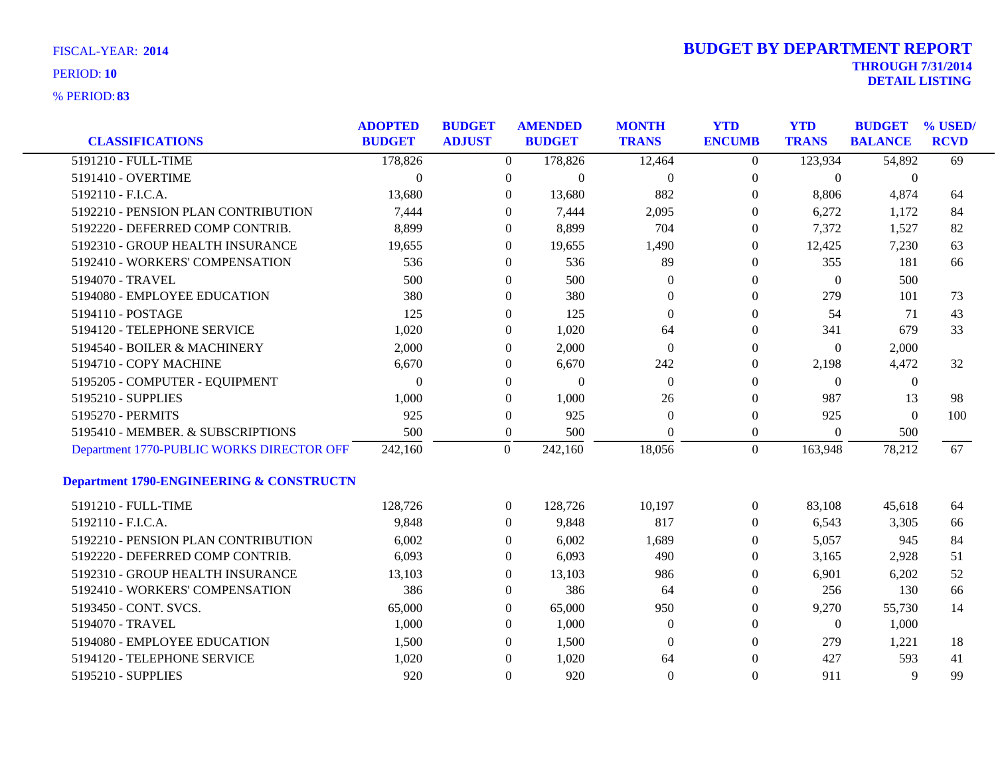| <b>CLASSIFICATIONS</b>                    | <b>ADOPTED</b><br><b>BUDGET</b> | <b>BUDGET</b><br><b>ADJUST</b> |                  | <b>AMENDED</b><br><b>BUDGET</b> | <b>MONTH</b><br><b>TRANS</b> | <b>YTD</b><br><b>ENCUMB</b> | <b>YTD</b><br><b>TRANS</b> | <b>BUDGET</b><br><b>BALANCE</b> | % USED/<br><b>RCVD</b> |
|-------------------------------------------|---------------------------------|--------------------------------|------------------|---------------------------------|------------------------------|-----------------------------|----------------------------|---------------------------------|------------------------|
| 5191210 - FULL-TIME                       | 178,826                         |                                | $\overline{0}$   | 178,826                         | 12,464                       | $\overline{0}$              | 123,934                    | 54,892                          | 69                     |
| 5191410 - OVERTIME                        | $\overline{0}$                  |                                | $\boldsymbol{0}$ | $\boldsymbol{0}$                | $\boldsymbol{0}$             | $\boldsymbol{0}$            | $\boldsymbol{0}$           | $\boldsymbol{0}$                |                        |
| 5192110 - F.I.C.A.                        | 13,680                          |                                | $\theta$         | 13,680                          | 882                          | $\boldsymbol{0}$            | 8,806                      | 4,874                           | 64                     |
| 5192210 - PENSION PLAN CONTRIBUTION       | 7,444                           |                                | $\Omega$         | 7,444                           | 2,095                        | 0                           | 6,272                      | 1,172                           | 84                     |
| 5192220 - DEFERRED COMP CONTRIB.          | 8,899                           |                                | $\theta$         | 8,899                           | 704                          | 0                           | 7,372                      | 1,527                           | 82                     |
| 5192310 - GROUP HEALTH INSURANCE          | 19,655                          |                                | $\boldsymbol{0}$ | 19,655                          | 1,490                        | $\boldsymbol{0}$            | 12,425                     | 7,230                           | 63                     |
| 5192410 - WORKERS' COMPENSATION           | 536                             |                                | $\theta$         | 536                             | 89                           | $\boldsymbol{0}$            | 355                        | 181                             | 66                     |
| 5194070 - TRAVEL                          | 500                             |                                | $\theta$         | 500                             | $\theta$                     | 0                           | $\mathbf{0}$               | 500                             |                        |
| 5194080 - EMPLOYEE EDUCATION              | 380                             |                                | $\boldsymbol{0}$ | 380                             | $\theta$                     | $\boldsymbol{0}$            | 279                        | 101                             | 73                     |
| 5194110 - POSTAGE                         | 125                             |                                | $\boldsymbol{0}$ | 125                             | $\overline{0}$               | 0                           | 54                         | 71                              | 43                     |
| 5194120 - TELEPHONE SERVICE               | 1,020                           |                                | $\boldsymbol{0}$ | 1,020                           | 64                           | 0                           | 341                        | 679                             | 33                     |
| 5194540 - BOILER & MACHINERY              | 2,000                           |                                | $\theta$         | 2,000                           | $\overline{0}$               | $\theta$                    | $\mathbf{0}$               | 2,000                           |                        |
| 5194710 - COPY MACHINE                    | 6,670                           |                                | $\theta$         | 6,670                           | 242                          | 0                           | 2,198                      | 4,472                           | 32                     |
| 5195205 - COMPUTER - EQUIPMENT            | $\overline{0}$                  |                                | $\boldsymbol{0}$ | $\boldsymbol{0}$                | $\boldsymbol{0}$             | 0                           | $\mathbf{0}$               | $\boldsymbol{0}$                |                        |
| 5195210 - SUPPLIES                        | 1,000                           |                                | $\boldsymbol{0}$ | 1,000                           | 26                           | 0                           | 987                        | 13                              | 98                     |
| 5195270 - PERMITS                         | 925                             |                                | $\boldsymbol{0}$ | 925                             | $\theta$                     | 0                           | 925                        | $\theta$                        | 100                    |
| 5195410 - MEMBER. & SUBSCRIPTIONS         | 500                             |                                | $\boldsymbol{0}$ | 500                             | $\Omega$                     | $\boldsymbol{0}$            | $\mathbf{0}$               | 500                             |                        |
| Department 1770-PUBLIC WORKS DIRECTOR OFF | 242,160                         |                                | $\overline{0}$   | 242,160                         | 18,056                       | $\overline{0}$              | 163,948                    | 78,212                          | 67                     |
| Department 1790-ENGINEERING & CONSTRUCTN  |                                 |                                |                  |                                 |                              |                             |                            |                                 |                        |
| 5191210 - FULL-TIME                       | 128,726                         |                                | $\boldsymbol{0}$ | 128,726                         | 10,197                       | $\boldsymbol{0}$            | 83,108                     | 45,618                          | 64                     |
| 5192110 - F.I.C.A.                        | 9,848                           |                                | $\theta$         | 9,848                           | 817                          | $\overline{0}$              | 6,543                      | 3,305                           | 66                     |
| 5192210 - PENSION PLAN CONTRIBUTION       | 6,002                           |                                | 0                | 6,002                           | 1,689                        | 0                           | 5,057                      | 945                             | 84                     |
| 5192220 - DEFERRED COMP CONTRIB.          | 6,093                           |                                | $\overline{0}$   | 6,093                           | 490                          | $\boldsymbol{0}$            | 3,165                      | 2,928                           | 51                     |
| 5192310 - GROUP HEALTH INSURANCE          | 13,103                          |                                | $\theta$         | 13,103                          | 986                          | 0                           | 6,901                      | 6,202                           | 52                     |
| 5192410 - WORKERS' COMPENSATION           | 386                             |                                | $\overline{0}$   | 386                             | 64                           | 0                           | 256                        | 130                             | 66                     |
| 5193450 - CONT. SVCS.                     | 65,000                          |                                | $\boldsymbol{0}$ | 65,000                          | 950                          | 0                           | 9,270                      | 55,730                          | 14                     |
| 5194070 - TRAVEL                          | 1,000                           |                                | $\overline{0}$   | 1,000                           | $\boldsymbol{0}$             | $\boldsymbol{0}$            | $\boldsymbol{0}$           | 1,000                           |                        |
| 5194080 - EMPLOYEE EDUCATION              | 1,500                           |                                | $\theta$         | 1,500                           | $\theta$                     | 0                           | 279                        | 1,221                           | 18                     |
| 5194120 - TELEPHONE SERVICE               | 1,020                           |                                | $\theta$         | 1,020                           | 64                           | $\theta$                    | 427                        | 593                             | 41                     |
| 5195210 - SUPPLIES                        | 920                             |                                | $\overline{0}$   | 920                             | $\overline{0}$               | $\overline{0}$              | 911                        | 9                               | 99                     |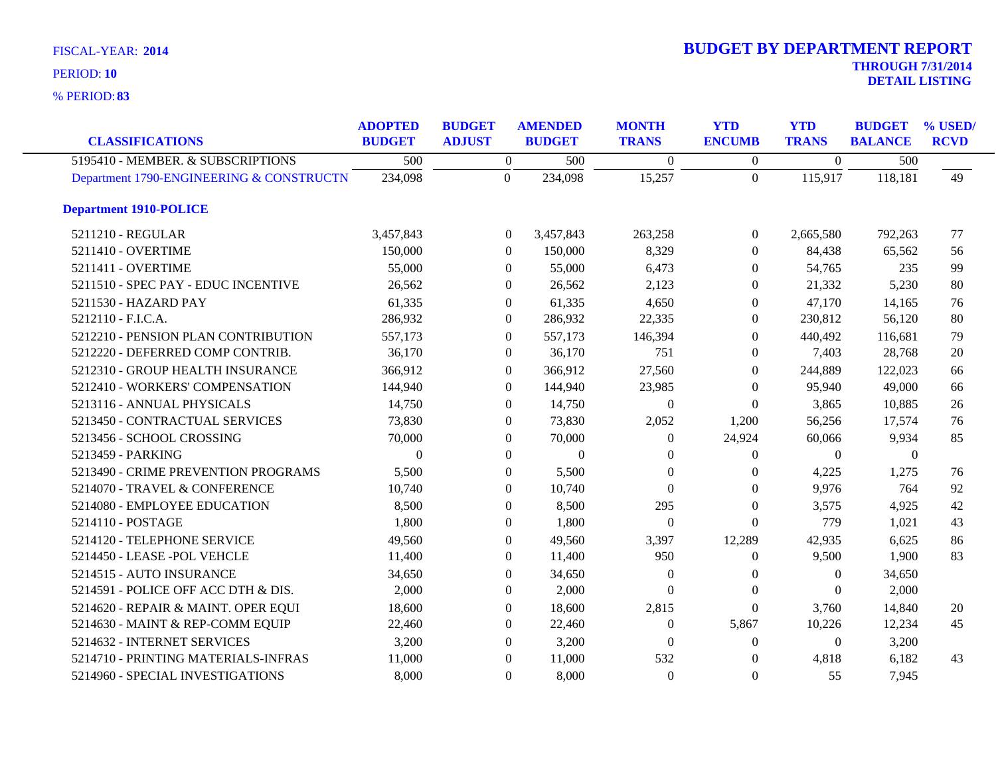**83** % PERIOD:

| <b>CLASSIFICATIONS</b>                   | <b>ADOPTED</b><br><b>BUDGET</b> | <b>BUDGET</b><br><b>ADJUST</b> | <b>AMENDED</b><br><b>BUDGET</b> | <b>MONTH</b><br><b>TRANS</b> | <b>YTD</b><br><b>ENCUMB</b> | <b>YTD</b><br><b>TRANS</b> | <b>BUDGET</b><br><b>BALANCE</b> | % USED/<br><b>RCVD</b> |
|------------------------------------------|---------------------------------|--------------------------------|---------------------------------|------------------------------|-----------------------------|----------------------------|---------------------------------|------------------------|
| 5195410 - MEMBER. & SUBSCRIPTIONS        | 500                             | $\boldsymbol{0}$               | 500                             | $\Omega$                     | $\Omega$                    | $\Omega$                   | 500                             |                        |
| Department 1790-ENGINEERING & CONSTRUCTN | 234,098                         | $\overline{0}$                 | 234,098                         | 15,257                       | $\overline{0}$              | 115,917                    | 118,181                         | 49                     |
| <b>Department 1910-POLICE</b>            |                                 |                                |                                 |                              |                             |                            |                                 |                        |
| 5211210 - REGULAR                        | 3,457,843                       | $\theta$                       | 3,457,843                       | 263,258                      | $\overline{0}$              | 2,665,580                  | 792,263                         | 77                     |
| 5211410 - OVERTIME                       | 150,000                         | $\theta$                       | 150,000                         | 8,329                        | $\overline{0}$              | 84,438                     | 65,562                          | 56                     |
| 5211411 - OVERTIME                       | 55,000                          | $\theta$                       | 55,000                          | 6,473                        | $\overline{0}$              | 54,765                     | 235                             | 99                     |
| 5211510 - SPEC PAY - EDUC INCENTIVE      | 26,562                          | $\theta$                       | 26,562                          | 2,123                        | $\Omega$                    | 21,332                     | 5,230                           | 80                     |
| 5211530 - HAZARD PAY                     | 61,335                          | $\Omega$                       | 61,335                          | 4,650                        | $\Omega$                    | 47,170                     | 14,165                          | 76                     |
| 5212110 - F.I.C.A.                       | 286,932                         | $\mathbf{0}$                   | 286,932                         | 22,335                       | $\Omega$                    | 230,812                    | 56,120                          | 80                     |
| 5212210 - PENSION PLAN CONTRIBUTION      | 557,173                         | $\overline{0}$                 | 557,173                         | 146,394                      | $\Omega$                    | 440,492                    | 116,681                         | 79                     |
| 5212220 - DEFERRED COMP CONTRIB.         | 36,170                          | $\theta$                       | 36,170                          | 751                          | $\left($                    | 7,403                      | 28,768                          | 20                     |
| 5212310 - GROUP HEALTH INSURANCE         | 366,912                         | $\Omega$                       | 366,912                         | 27,560                       | $\Omega$                    | 244,889                    | 122,023                         | 66                     |
| 5212410 - WORKERS' COMPENSATION          | 144,940                         | $\Omega$                       | 144,940                         | 23,985                       | $\Omega$                    | 95,940                     | 49,000                          | 66                     |
| 5213116 - ANNUAL PHYSICALS               | 14,750                          | $\overline{0}$                 | 14,750                          | $\overline{0}$               | $\Omega$                    | 3,865                      | 10,885                          | 26                     |
| 5213450 - CONTRACTUAL SERVICES           | 73,830                          | $\Omega$                       | 73,830                          | 2,052                        | 1,200                       | 56,256                     | 17,574                          | 76                     |
| 5213456 - SCHOOL CROSSING                | 70,000                          | $\Omega$                       | 70,000                          | $\Omega$                     | 24,924                      | 60,066                     | 9,934                           | 85                     |
| 5213459 - PARKING                        | $\boldsymbol{0}$                | $\Omega$                       | $\mathbf{0}$                    | $\Omega$                     | $\Omega$                    | $\mathbf{0}$               | $\mathbf{0}$                    |                        |
| 5213490 - CRIME PREVENTION PROGRAMS      | 5,500                           | $\theta$                       | 5,500                           | $\theta$                     | $\theta$                    | 4,225                      | 1,275                           | 76                     |
| 5214070 - TRAVEL & CONFERENCE            | 10,740                          | $\theta$                       | 10,740                          | $\Omega$                     | $\Omega$                    | 9,976                      | 764                             | 92                     |
| 5214080 - EMPLOYEE EDUCATION             | 8,500                           | $\theta$                       | 8,500                           | 295                          | $\Omega$                    | 3,575                      | 4,925                           | 42                     |
| 5214110 - POSTAGE                        | 1,800                           | $\Omega$                       | 1,800                           | $\Omega$                     | $\Omega$                    | 779                        | 1,021                           | 43                     |
| 5214120 - TELEPHONE SERVICE              | 49,560                          | $\overline{0}$                 | 49,560                          | 3,397                        | 12,289                      | 42,935                     | 6,625                           | 86                     |
| 5214450 - LEASE - POL VEHCLE             | 11,400                          | $\Omega$                       | 11,400                          | 950                          | $\overline{0}$              | 9,500                      | 1,900                           | 83                     |
| 5214515 - AUTO INSURANCE                 | 34,650                          | $\theta$                       | 34,650                          | $\theta$                     | $\theta$                    | $\Omega$                   | 34,650                          |                        |
| 5214591 - POLICE OFF ACC DTH & DIS.      | 2,000                           | $\Omega$                       | 2,000                           | $\Omega$                     | $\Omega$                    | $\Omega$                   | 2,000                           |                        |
| 5214620 - REPAIR & MAINT. OPER EQUI      | 18,600                          | $\theta$                       | 18,600                          | 2,815                        | $\Omega$                    | 3,760                      | 14,840                          | 20                     |
| 5214630 - MAINT & REP-COMM EQUIP         | 22,460                          | $\theta$                       | 22,460                          | $\Omega$                     | 5,867                       | 10,226                     | 12,234                          | 45                     |
| 5214632 - INTERNET SERVICES              | 3,200                           | $\Omega$                       | 3,200                           | $\Omega$                     | $\Omega$                    | $\theta$                   | 3,200                           |                        |
| 5214710 - PRINTING MATERIALS-INFRAS      | 11,000                          | $\Omega$                       | 11,000                          | 532                          | $\Omega$                    | 4,818                      | 6,182                           | 43                     |
| 5214960 - SPECIAL INVESTIGATIONS         | 8,000                           | $\Omega$                       | 8,000                           | $\Omega$                     | $\Omega$                    | 55                         | 7,945                           |                        |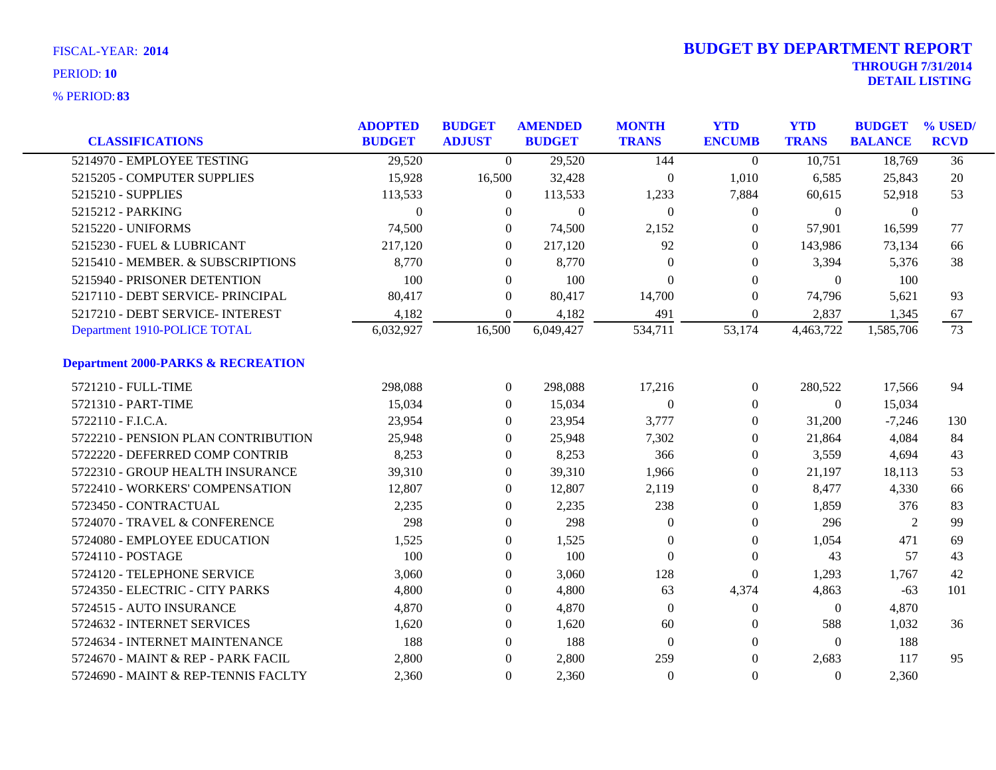| <b>CLASSIFICATIONS</b>                        | <b>ADOPTED</b><br><b>BUDGET</b> | <b>BUDGET</b><br><b>ADJUST</b> | <b>AMENDED</b><br><b>BUDGET</b> | <b>MONTH</b><br><b>TRANS</b> | <b>YTD</b><br><b>ENCUMB</b> | <b>YTD</b><br><b>TRANS</b> | <b>BUDGET</b><br><b>BALANCE</b> | % USED/<br><b>RCVD</b> |
|-----------------------------------------------|---------------------------------|--------------------------------|---------------------------------|------------------------------|-----------------------------|----------------------------|---------------------------------|------------------------|
| 5214970 - EMPLOYEE TESTING                    | 29,520                          | $\overline{0}$                 | 29,520                          | 144                          | $\Omega$                    | 10,751                     | 18,769                          | $\overline{36}$        |
|                                               |                                 |                                |                                 |                              |                             |                            |                                 |                        |
| 5215205 - COMPUTER SUPPLIES                   | 15,928                          | 16,500                         | 32,428                          | $\theta$                     | 1,010                       | 6,585                      | 25,843                          | 20                     |
| 5215210 - SUPPLIES                            | 113,533                         | $\overline{0}$                 | 113,533                         | 1,233                        | 7,884                       | 60,615                     | 52,918                          | 53                     |
| 5215212 - PARKING                             | $\Omega$                        | $\Omega$                       | $\Omega$                        | $\Omega$                     | $\Omega$                    | $\Omega$                   | $\Omega$                        |                        |
| 5215220 - UNIFORMS                            | 74,500                          | $\Omega$                       | 74,500                          | 2,152                        | 0                           | 57,901                     | 16,599                          | 77                     |
| 5215230 - FUEL & LUBRICANT                    | 217,120                         | $\boldsymbol{0}$               | 217,120                         | 92                           | $\overline{0}$              | 143,986                    | 73,134                          | 66                     |
| 5215410 - MEMBER. & SUBSCRIPTIONS             | 8,770                           | $\overline{0}$                 | 8,770                           | $\Omega$                     | 0                           | 3,394                      | 5,376                           | 38                     |
| 5215940 - PRISONER DETENTION                  | 100                             | $\Omega$                       | 100                             | $\Omega$                     | 0                           | $\Omega$                   | 100                             |                        |
| 5217110 - DEBT SERVICE- PRINCIPAL             | 80,417                          | $\overline{0}$                 | 80,417                          | 14,700                       | $\Omega$                    | 74,796                     | 5,621                           | 93                     |
| 5217210 - DEBT SERVICE- INTEREST              | 4,182                           | $\Omega$                       | 4,182                           | 491                          | $\overline{0}$              | 2,837                      | 1,345                           | 67                     |
| Department 1910-POLICE TOTAL                  | 6,032,927                       | 16,500                         | 6,049,427                       | 534,711                      | 53,174                      | 4,463,722                  | 1,585,706                       | 73                     |
| <b>Department 2000-PARKS &amp; RECREATION</b> |                                 |                                |                                 |                              |                             |                            |                                 |                        |
| 5721210 - FULL-TIME                           | 298,088                         | $\overline{0}$                 | 298,088                         | 17,216                       | 0                           | 280,522                    | 17,566                          | 94                     |
| 5721310 - PART-TIME                           | 15,034                          | $\overline{0}$                 | 15,034                          | $\theta$                     | 0                           | $\overline{0}$             | 15,034                          |                        |
| 5722110 - F.I.C.A.                            | 23,954                          | $\overline{0}$                 | 23,954                          | 3,777                        | 0                           | 31,200                     | $-7,246$                        | 130                    |
| 5722210 - PENSION PLAN CONTRIBUTION           | 25,948                          | $\Omega$                       | 25,948                          | 7,302                        | 0                           | 21,864                     | 4,084                           | 84                     |
| 5722220 - DEFERRED COMP CONTRIB               | 8,253                           | $\overline{0}$                 | 8,253                           | 366                          | 0                           | 3,559                      | 4,694                           | 43                     |
| 5722310 - GROUP HEALTH INSURANCE              | 39,310                          | $\boldsymbol{0}$               | 39,310                          | 1,966                        | 0                           | 21,197                     | 18,113                          | 53                     |
| 5722410 - WORKERS' COMPENSATION               | 12,807                          | $\boldsymbol{0}$               | 12,807                          | 2,119                        | 0                           | 8,477                      | 4,330                           | 66                     |
| 5723450 - CONTRACTUAL                         | 2,235                           | $\overline{0}$                 | 2,235                           | 238                          | 0                           | 1,859                      | 376                             | 83                     |
| 5724070 - TRAVEL & CONFERENCE                 | 298                             | 0                              | 298                             | $\theta$                     | 0                           | 296                        | 2                               | 99                     |
| 5724080 - EMPLOYEE EDUCATION                  | 1,525                           | $\boldsymbol{0}$               | 1,525                           | $\theta$                     | 0                           | 1,054                      | 471                             | 69                     |
| 5724110 - POSTAGE                             | 100                             | $\overline{0}$                 | 100                             | $\theta$                     | $\theta$                    | 43                         | 57                              | 43                     |
| 5724120 - TELEPHONE SERVICE                   | 3,060                           | $\overline{0}$                 | 3,060                           | 128                          | $\overline{0}$              | 1,293                      | 1,767                           | 42                     |
| 5724350 - ELECTRIC - CITY PARKS               | 4,800                           | 0                              | 4,800                           | 63                           | 4,374                       | 4,863                      | $-63$                           | 101                    |
| 5724515 - AUTO INSURANCE                      | 4,870                           | $\boldsymbol{0}$               | 4,870                           | $\theta$                     | 0                           | $\boldsymbol{0}$           | 4,870                           |                        |
| 5724632 - INTERNET SERVICES                   | 1,620                           | $\boldsymbol{0}$               | 1,620                           | 60                           | 0                           | 588                        | 1,032                           | 36                     |
| 5724634 - INTERNET MAINTENANCE                | 188                             | $\overline{0}$                 | 188                             | $\overline{0}$               | 0                           | $\Omega$                   | 188                             |                        |
| 5724670 - MAINT & REP - PARK FACIL            | 2,800                           | $\theta$                       | 2,800                           | 259                          | 0                           | 2,683                      | 117                             | 95                     |
| 5724690 - MAINT & REP-TENNIS FACLTY           | 2,360                           | $\overline{0}$                 | 2,360                           | $\theta$                     | $\theta$                    | $\Omega$                   | 2,360                           |                        |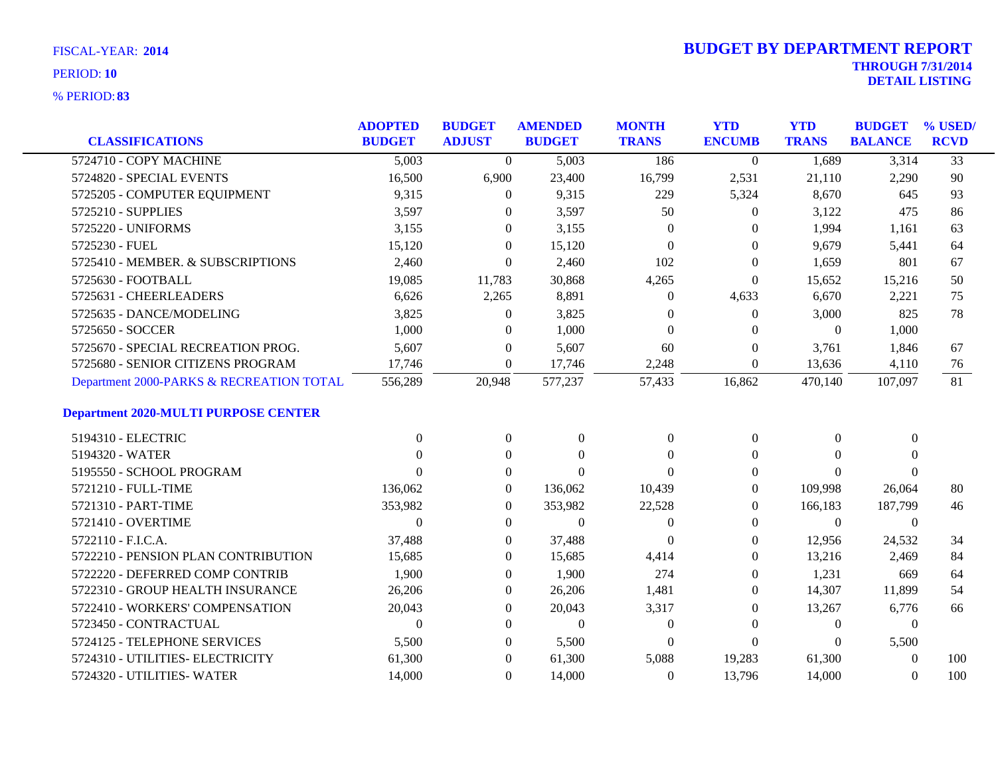| <b>CLASSIFICATIONS</b>                      | <b>ADOPTED</b><br><b>BUDGET</b> | <b>BUDGET</b><br><b>ADJUST</b> | <b>AMENDED</b><br><b>BUDGET</b> | <b>MONTH</b><br><b>TRANS</b> | <b>YTD</b><br><b>ENCUMB</b> | <b>YTD</b><br><b>TRANS</b> | <b>BUDGET</b><br><b>BALANCE</b> | % USED/<br><b>RCVD</b> |
|---------------------------------------------|---------------------------------|--------------------------------|---------------------------------|------------------------------|-----------------------------|----------------------------|---------------------------------|------------------------|
|                                             |                                 |                                |                                 |                              |                             |                            |                                 |                        |
| 5724710 - COPY MACHINE                      | 5,003                           | $\Omega$                       | 5,003                           | 186                          | $\Omega$                    | 1,689                      | 3,314                           | $\overline{33}$        |
| 5724820 - SPECIAL EVENTS                    | 16,500                          | 6,900                          | 23,400                          | 16,799                       | 2,531                       | 21,110                     | 2,290                           | 90                     |
| 5725205 - COMPUTER EQUIPMENT                | 9,315                           | $\overline{0}$                 | 9,315                           | 229                          | 5,324                       | 8,670                      | 645                             | 93                     |
| 5725210 - SUPPLIES                          | 3,597                           | $\Omega$                       | 3,597                           | 50                           | $\Omega$                    | 3,122                      | 475                             | 86                     |
| 5725220 - UNIFORMS                          | 3,155                           | $\Omega$                       | 3,155                           | $\Omega$                     | $\Omega$                    | 1,994                      | 1,161                           | 63                     |
| 5725230 - FUEL                              | 15,120                          | $\overline{0}$                 | 15,120                          | $\Omega$                     | $\theta$                    | 9,679                      | 5,441                           | 64                     |
| 5725410 - MEMBER. & SUBSCRIPTIONS           | 2,460                           | $\overline{0}$                 | 2,460                           | 102                          | $\mathbf{0}$                | 1,659                      | 801                             | 67                     |
| 5725630 - FOOTBALL                          | 19,085                          | 11,783                         | 30,868                          | 4,265                        | $\overline{0}$              | 15,652                     | 15,216                          | 50                     |
| 5725631 - CHEERLEADERS                      | 6,626                           | 2,265                          | 8,891                           | $\theta$                     | 4,633                       | 6,670                      | 2,221                           | 75                     |
| 5725635 - DANCE/MODELING                    | 3,825                           | $\boldsymbol{0}$               | 3,825                           | $\Omega$                     | $\boldsymbol{0}$            | 3,000                      | 825                             | 78                     |
| 5725650 - SOCCER                            | 1,000                           | $\overline{0}$                 | 1,000                           | $\theta$                     | $\Omega$                    | $\boldsymbol{0}$           | 1,000                           |                        |
| 5725670 - SPECIAL RECREATION PROG.          | 5,607                           | $\overline{0}$                 | 5,607                           | 60                           | $\theta$                    | 3,761                      | 1,846                           | 67                     |
| 5725680 - SENIOR CITIZENS PROGRAM           | 17,746                          | $\overline{0}$                 | 17,746                          | 2,248                        | $\boldsymbol{0}$            | 13,636                     | 4,110                           | 76                     |
| Department 2000-PARKS & RECREATION TOTAL    | 556,289                         | 20,948                         | 577,237                         | 57,433                       | 16,862                      | 470,140                    | 107,097                         | 81                     |
| <b>Department 2020-MULTI PURPOSE CENTER</b> |                                 |                                |                                 |                              |                             |                            |                                 |                        |
| 5194310 - ELECTRIC                          | $\Omega$                        | $\overline{0}$                 | $\overline{0}$                  | $\Omega$                     | $\theta$                    | $\Omega$                   | $\mathbf{0}$                    |                        |
| 5194320 - WATER                             | $\Omega$                        | $\theta$                       | $\Omega$                        | $\Omega$                     | $\Omega$                    | $\Omega$                   | $\Omega$                        |                        |
| 5195550 - SCHOOL PROGRAM                    | $\Omega$                        | $\overline{0}$                 | $\Omega$                        | $\Omega$                     | $\theta$                    | $\Omega$                   | $\Omega$                        |                        |
| 5721210 - FULL-TIME                         | 136,062                         | $\overline{0}$                 | 136,062                         | 10,439                       | $\theta$                    | 109,998                    | 26,064                          | 80                     |
| 5721310 - PART-TIME                         | 353,982                         | $\Omega$                       | 353,982                         | 22,528                       | $\Omega$                    | 166,183                    | 187,799                         | 46                     |
| 5721410 - OVERTIME                          | $\Omega$                        | $\overline{0}$                 | $\boldsymbol{0}$                | $\theta$                     | $\theta$                    | $\overline{0}$             | $\mathbf{0}$                    |                        |
| 5722110 - F.I.C.A.                          | 37,488                          | $\overline{0}$                 | 37,488                          | $\theta$                     | $\mathbf{0}$                | 12,956                     | 24,532                          | 34                     |
| 5722210 - PENSION PLAN CONTRIBUTION         | 15,685                          | $\overline{0}$                 | 15,685                          | 4,414                        | $\bf{0}$                    | 13,216                     | 2,469                           | 84                     |
| 5722220 - DEFERRED COMP CONTRIB             | 1,900                           | $\Omega$                       | 1,900                           | 274                          | $\theta$                    | 1,231                      | 669                             | 64                     |
| 5722310 - GROUP HEALTH INSURANCE            | 26,206                          | $\overline{0}$                 | 26,206                          | 1,481                        | $\theta$                    | 14,307                     | 11,899                          | 54                     |
| 5722410 - WORKERS' COMPENSATION             | 20,043                          | $\overline{0}$                 | 20,043                          | 3,317                        | $\theta$                    | 13,267                     | 6,776                           | 66                     |
| 5723450 - CONTRACTUAL                       | $\Omega$                        | $\overline{0}$                 | $\overline{0}$                  | $\theta$                     | $\theta$                    | $\overline{0}$             | $\boldsymbol{0}$                |                        |
| 5724125 - TELEPHONE SERVICES                | 5,500                           | 0                              | 5,500                           | $\Omega$                     | $\Omega$                    | $\Omega$                   | 5,500                           |                        |
| 5724310 - UTILITIES- ELECTRICITY            | 61,300                          | 0                              | 61,300                          | 5,088                        | 19,283                      | 61,300                     | $\mathbf{0}$                    | 100                    |
| 5724320 - UTILITIES- WATER                  | 14,000                          | $\overline{0}$                 | 14,000                          | $\theta$                     | 13,796                      | 14,000                     | $\Omega$                        | 100                    |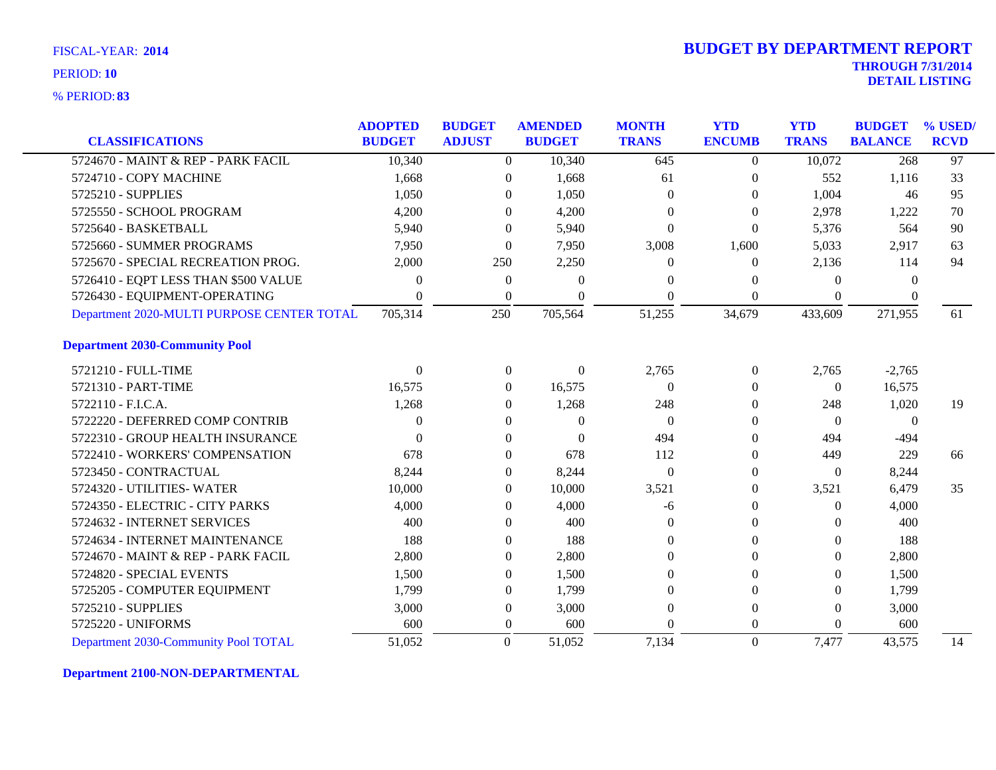**83** % PERIOD:

| <b>CLASSIFICATIONS</b>                     | <b>ADOPTED</b><br><b>BUDGET</b> | <b>BUDGET</b><br><b>ADJUST</b> | <b>AMENDED</b><br><b>BUDGET</b> | <b>MONTH</b><br><b>TRANS</b> | <b>YTD</b><br><b>ENCUMB</b> | <b>YTD</b><br><b>TRANS</b> | <b>BUDGET</b><br><b>BALANCE</b> | % USED/<br><b>RCVD</b> |
|--------------------------------------------|---------------------------------|--------------------------------|---------------------------------|------------------------------|-----------------------------|----------------------------|---------------------------------|------------------------|
|                                            |                                 |                                |                                 |                              |                             |                            |                                 |                        |
| 5724670 - MAINT & REP - PARK FACIL         | 10,340                          | $\Omega$                       | 10,340                          | 645                          | $\overline{0}$              | 10,072                     | 268                             | 97                     |
| 5724710 - COPY MACHINE                     | 1,668                           | $\overline{0}$                 | 1,668                           | 61                           | $\theta$                    | 552                        | 1,116                           | 33                     |
| 5725210 - SUPPLIES                         | 1,050                           | $\theta$                       | 1,050                           | $\Omega$                     | $\theta$                    | 1,004                      | 46                              | 95                     |
| 5725550 - SCHOOL PROGRAM                   | 4,200                           | $\Omega$                       | 4,200                           | 0                            | $\Omega$                    | 2,978                      | 1,222                           | 70                     |
| 5725640 - BASKETBALL                       | 5,940                           | $\Omega$                       | 5,940                           | $\Omega$                     | $\Omega$                    | 5,376                      | 564                             | 90                     |
| 5725660 - SUMMER PROGRAMS                  | 7,950                           | $\boldsymbol{0}$               | 7,950                           | 3,008                        | 1,600                       | 5,033                      | 2,917                           | 63                     |
| 5725670 - SPECIAL RECREATION PROG.         | 2,000                           | 250                            | 2,250                           | 0                            | $\bf{0}$                    | 2,136                      | 114                             | 94                     |
| 5726410 - EQPT LESS THAN \$500 VALUE       | 0                               | $\mathbf{0}$                   | $\Omega$                        | 0                            | $\Omega$                    | $\Omega$                   | $\Omega$                        |                        |
| 5726430 - EQUIPMENT-OPERATING              | 0                               | $\boldsymbol{0}$               | $\Omega$                        | $\theta$                     | $\mathbf{0}$                | $\theta$                   | $\Omega$                        |                        |
| Department 2020-MULTI PURPOSE CENTER TOTAL | 705,314                         | 250                            | 705,564                         | 51,255                       | 34,679                      | 433,609                    | 271,955                         | 61                     |
| <b>Department 2030-Community Pool</b>      |                                 |                                |                                 |                              |                             |                            |                                 |                        |
| 5721210 - FULL-TIME                        | $\Omega$                        | $\overline{0}$                 | $\Omega$                        | 2,765                        | $\overline{0}$              | 2,765                      | $-2,765$                        |                        |
| 5721310 - PART-TIME                        | 16,575                          | $\overline{0}$                 | 16,575                          | $\Omega$                     | $\theta$                    | $\overline{0}$             | 16,575                          |                        |
| 5722110 - F.I.C.A.                         | 1,268                           | $\overline{0}$                 | 1,268                           | 248                          | $\theta$                    | 248                        | 1,020                           | 19                     |
| 5722220 - DEFERRED COMP CONTRIB            | 0                               | $\overline{0}$                 | $\Omega$                        | $\Omega$                     | $\theta$                    | $\Omega$                   | $\theta$                        |                        |
| 5722310 - GROUP HEALTH INSURANCE           | 0                               | $\boldsymbol{0}$               | $\Omega$                        | 494                          | $\mathbf{0}$                | 494                        | $-494$                          |                        |
| 5722410 - WORKERS' COMPENSATION            | 678                             | $\overline{0}$                 | 678                             | 112                          | $\Omega$                    | 449                        | 229                             | 66                     |
| 5723450 - CONTRACTUAL                      | 8,244                           | $\boldsymbol{0}$               | 8,244                           | $\mathbf{0}$                 | $\mathbf{0}$                | $\boldsymbol{0}$           | 8,244                           |                        |
| 5724320 - UTILITIES- WATER                 | 10,000                          | 0                              | 10,000                          | 3,521                        | $\boldsymbol{0}$            | 3,521                      | 6,479                           | 35                     |
| 5724350 - ELECTRIC - CITY PARKS            | 4,000                           | $\overline{0}$                 | 4,000                           | -6                           | $\theta$                    | $\Omega$                   | 4,000                           |                        |
| 5724632 - INTERNET SERVICES                | 400                             | $\overline{0}$                 | 400                             | $\Omega$                     | $\Omega$                    | $\Omega$                   | 400                             |                        |
| 5724634 - INTERNET MAINTENANCE             | 188                             | $\overline{0}$                 | 188                             | $\Omega$                     | $\theta$                    | $\theta$                   | 188                             |                        |
| 5724670 - MAINT & REP - PARK FACIL         | 2,800                           | $\overline{0}$                 | 2,800                           | $\Omega$                     | $\theta$                    | $\Omega$                   | 2,800                           |                        |
| 5724820 - SPECIAL EVENTS                   | 1,500                           | $\overline{0}$                 | 1,500                           | 0                            | $\Omega$                    | $\Omega$                   | 1,500                           |                        |
| 5725205 - COMPUTER EQUIPMENT               | 1,799                           | $\overline{0}$                 | 1,799                           | $\Omega$                     | $\Omega$                    | $\Omega$                   | 1,799                           |                        |
| 5725210 - SUPPLIES                         | 3,000                           | $\boldsymbol{0}$               | 3,000                           | 0                            | $\boldsymbol{0}$            | $\theta$                   | 3,000                           |                        |
| 5725220 - UNIFORMS                         | 600                             | $\overline{0}$                 | 600                             | 0                            | $\theta$                    | $\Omega$                   | 600                             |                        |
| Department 2030-Community Pool TOTAL       | 51,052                          | $\theta$                       | 51,052                          | 7,134                        | $\overline{0}$              | 7,477                      | 43,575                          | 14                     |

**Department 2100-NON-DEPARTMENTAL**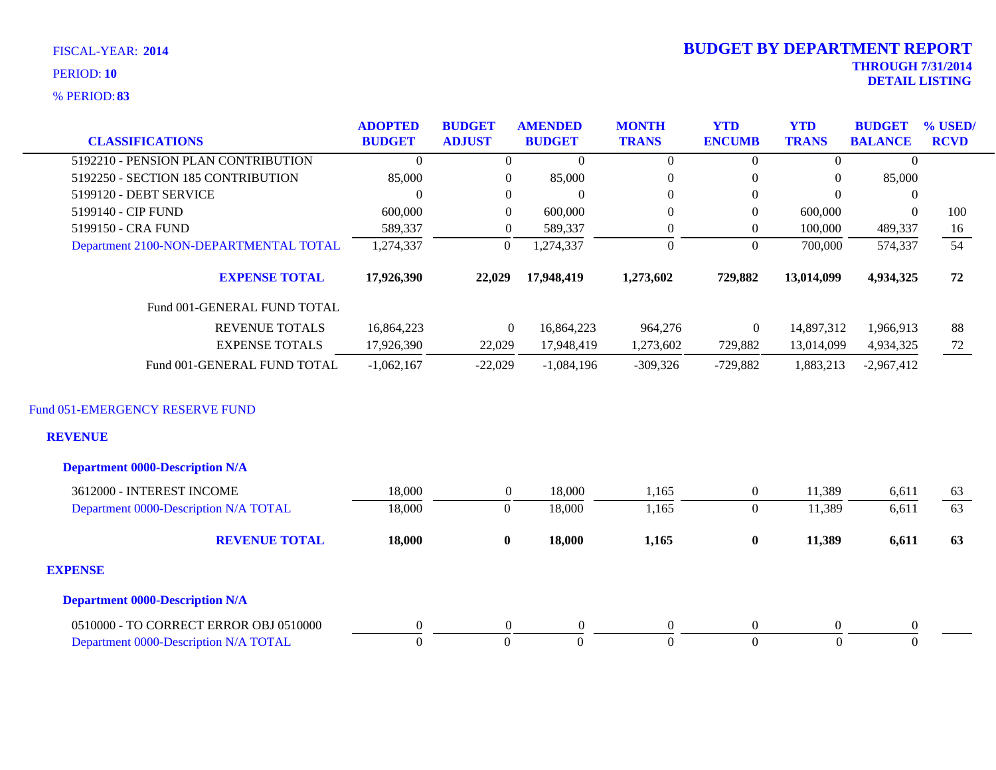**83** % PERIOD:

# **THROUGH 7/31/2014 DETAIL LISTING** PERIOD: **<sup>10</sup> 2014 BUDGET BY DEPARTMENT REPORT**

| <b>CLASSIFICATIONS</b>                 | <b>ADOPTED</b><br><b>BUDGET</b> | <b>BUDGET</b><br><b>ADJUST</b> | <b>AMENDED</b><br><b>BUDGET</b> | <b>MONTH</b><br><b>TRANS</b> | <b>YTD</b><br><b>ENCUMB</b> | <b>YTD</b><br><b>TRANS</b> | <b>BUDGET</b><br><b>BALANCE</b> | % USED/<br><b>RCVD</b> |
|----------------------------------------|---------------------------------|--------------------------------|---------------------------------|------------------------------|-----------------------------|----------------------------|---------------------------------|------------------------|
| 5192210 - PENSION PLAN CONTRIBUTION    | $\left($                        | $\Omega$                       | $\theta$                        | $\Omega$                     | $\Omega$                    | $\theta$                   | $\Omega$                        |                        |
| 5192250 - SECTION 185 CONTRIBUTION     | 85,000                          | $\overline{0}$                 | 85,000                          | $\overline{0}$               | $\theta$                    | $\mathbf{0}$               | 85,000                          |                        |
| 5199120 - DEBT SERVICE                 | $\Omega$                        | $\theta$                       | $\theta$                        | $\overline{0}$               | $\mathbf{0}$                | $\Omega$                   | $\overline{0}$                  |                        |
| 5199140 - CIP FUND                     | 600,000                         | $\overline{0}$                 | 600,000                         | $\overline{0}$               | $\overline{0}$              | 600,000                    | $\Omega$                        | 100                    |
| 5199150 - CRA FUND                     | 589,337                         | $\boldsymbol{0}$               | 589,337                         | 0                            | $\mathbf{0}$                | 100,000                    | 489,337                         | 16                     |
| Department 2100-NON-DEPARTMENTAL TOTAL | 1,274,337                       | $\overline{0}$                 | 1,274,337                       | $\Omega$                     | $\Omega$                    | 700,000                    | 574,337                         | 54                     |
| <b>EXPENSE TOTAL</b>                   | 17,926,390                      | 22,029                         | 17,948,419                      | 1,273,602                    | 729,882                     | 13,014,099                 | 4,934,325                       | 72                     |
| Fund 001-GENERAL FUND TOTAL            |                                 |                                |                                 |                              |                             |                            |                                 |                        |
| <b>REVENUE TOTALS</b>                  | 16,864,223                      | $\theta$                       | 16,864,223                      | 964,276                      | $\overline{0}$              | 14,897,312                 | 1,966,913                       | 88                     |
| <b>EXPENSE TOTALS</b>                  | 17,926,390                      | 22,029                         | 17,948,419                      | 1,273,602                    | 729,882                     | 13,014,099                 | 4,934,325                       | 72                     |
| Fund 001-GENERAL FUND TOTAL            | $-1,062,167$                    | $-22.029$                      | $-1.084.196$                    | $-309.326$                   | $-729.882$                  | 1,883,213                  | $-2,967,412$                    |                        |

# Fund 051-EMERGENCY RESERVE FUND

## **REVENUE**

| <b>Department 0000-Description N/A</b> |        |          |          |          |                |        |          |    |
|----------------------------------------|--------|----------|----------|----------|----------------|--------|----------|----|
| 3612000 - INTEREST INCOME              | 18,000 |          | 18,000   | 1,165    | $\overline{0}$ | 11,389 | 6,611    | 63 |
| Department 0000-Description N/A TOTAL  | 18,000 | O        | 18,000   | 1,165    | v              | 11,389 | 6,611    | 63 |
| <b>REVENUE TOTAL</b>                   | 18,000 | $\bf{0}$ | 18,000   | 1,165    | $\bf{0}$       | 11,389 | 6,611    | 63 |
| <b>EXPENSE</b>                         |        |          |          |          |                |        |          |    |
| <b>Department 0000-Description N/A</b> |        |          |          |          |                |        |          |    |
| 0510000 - TO CORRECT ERROR OBJ 0510000 |        |          | $\Omega$ | $\Omega$ | $\Omega$       | 0      | $\Omega$ |    |
| Department 0000-Description N/A TOTAL  |        |          |          | $\theta$ |                |        | -0       |    |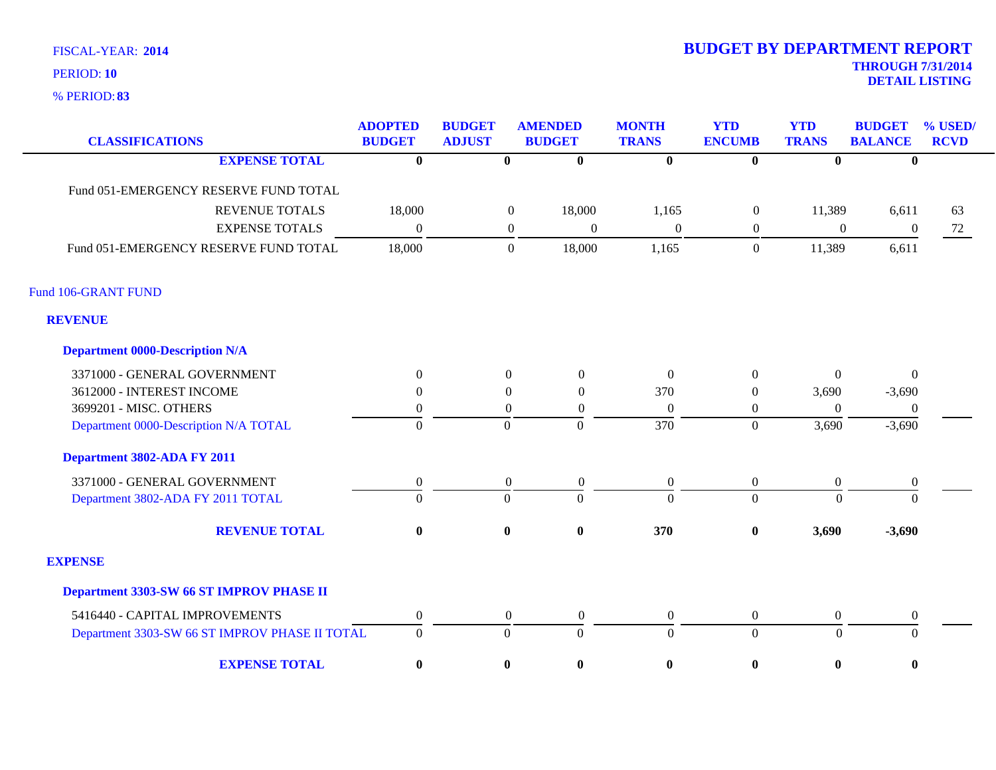**83** % PERIOD:

| <b>CLASSIFICATIONS</b>                         | <b>ADOPTED</b><br><b>BUDGET</b> | <b>BUDGET</b><br><b>ADJUST</b> | <b>AMENDED</b><br><b>BUDGET</b>    | <b>MONTH</b><br><b>TRANS</b> | <b>YTD</b><br><b>ENCUMB</b> | <b>YTD</b><br><b>TRANS</b> | <b>BUDGET</b><br><b>BALANCE</b> | % USED/<br><b>RCVD</b> |
|------------------------------------------------|---------------------------------|--------------------------------|------------------------------------|------------------------------|-----------------------------|----------------------------|---------------------------------|------------------------|
| <b>EXPENSE TOTAL</b>                           | $\overline{\mathbf{0}}$         | $\overline{\mathbf{0}}$        | $\bf{0}$                           | $\overline{\mathbf{0}}$      | $\overline{\mathbf{0}}$     | $\bf{0}$                   | $\bf{0}$                        |                        |
| Fund 051-EMERGENCY RESERVE FUND TOTAL          |                                 |                                |                                    |                              |                             |                            |                                 |                        |
| <b>REVENUE TOTALS</b>                          | 18,000                          |                                | 18,000<br>$\boldsymbol{0}$         | 1,165                        | $\boldsymbol{0}$            | 11,389                     | 6,611                           | 63                     |
| <b>EXPENSE TOTALS</b>                          | $\overline{0}$                  |                                | $\boldsymbol{0}$<br>$\overline{0}$ | $\overline{0}$               | $\overline{0}$              | $\overline{0}$             | $\boldsymbol{0}$                | 72                     |
| Fund 051-EMERGENCY RESERVE FUND TOTAL          | 18,000                          |                                | 18,000<br>$\boldsymbol{0}$         | 1,165                        | $\overline{0}$              | 11,389                     | 6,611                           |                        |
| Fund 106-GRANT FUND                            |                                 |                                |                                    |                              |                             |                            |                                 |                        |
| <b>REVENUE</b>                                 |                                 |                                |                                    |                              |                             |                            |                                 |                        |
| <b>Department 0000-Description N/A</b>         |                                 |                                |                                    |                              |                             |                            |                                 |                        |
| 3371000 - GENERAL GOVERNMENT                   | $\theta$                        | $\Omega$                       | $\boldsymbol{0}$                   | $\Omega$                     | $\boldsymbol{0}$            | $\Omega$                   | $\Omega$                        |                        |
| 3612000 - INTEREST INCOME                      | $\Omega$                        | $\theta$                       | $\overline{0}$                     | 370                          | $\theta$                    | 3,690                      | $-3,690$                        |                        |
| 3699201 - MISC. OTHERS                         | $\boldsymbol{0}$                | $\overline{0}$                 | $\boldsymbol{0}$                   | $\overline{0}$               | $\boldsymbol{0}$            | $\Omega$                   | $\theta$                        |                        |
| Department 0000-Description N/A TOTAL          | $\overline{0}$                  | $\Omega$                       | $\overline{0}$                     | 370                          | $\overline{0}$              | 3,690                      | $-3,690$                        |                        |
| Department 3802-ADA FY 2011                    |                                 |                                |                                    |                              |                             |                            |                                 |                        |
| 3371000 - GENERAL GOVERNMENT                   | $\boldsymbol{0}$                | $\mathbf{0}$                   | $\boldsymbol{0}$                   | $\boldsymbol{0}$             | $\boldsymbol{0}$            | $\boldsymbol{0}$           | $\mathbf{0}$                    |                        |
| Department 3802-ADA FY 2011 TOTAL              | $\theta$                        | $\overline{0}$                 | $\Omega$                           | $\Omega$                     | $\overline{0}$              | $\theta$                   | $\Omega$                        |                        |
| <b>REVENUE TOTAL</b>                           | $\bf{0}$                        | $\bf{0}$                       | $\bf{0}$                           | 370                          | $\pmb{0}$                   | 3,690                      | $-3,690$                        |                        |
| <b>EXPENSE</b>                                 |                                 |                                |                                    |                              |                             |                            |                                 |                        |
| Department 3303-SW 66 ST IMPROV PHASE II       |                                 |                                |                                    |                              |                             |                            |                                 |                        |
| 5416440 - CAPITAL IMPROVEMENTS                 | $\boldsymbol{0}$                | $\overline{0}$                 | $\boldsymbol{0}$                   | $\boldsymbol{0}$             | $\boldsymbol{0}$            | $\overline{0}$             | $\boldsymbol{0}$                |                        |
| Department 3303-SW 66 ST IMPROV PHASE II TOTAL | $\boldsymbol{0}$                | $\overline{0}$                 | $\Omega$                           | $\overline{0}$               | $\overline{0}$              | $\overline{0}$             | $\overline{0}$                  |                        |
| <b>EXPENSE TOTAL</b>                           | $\bf{0}$                        | $\bf{0}$                       | $\pmb{0}$                          | $\bf{0}$                     | $\bf{0}$                    | $\bf{0}$                   | $\bf{0}$                        |                        |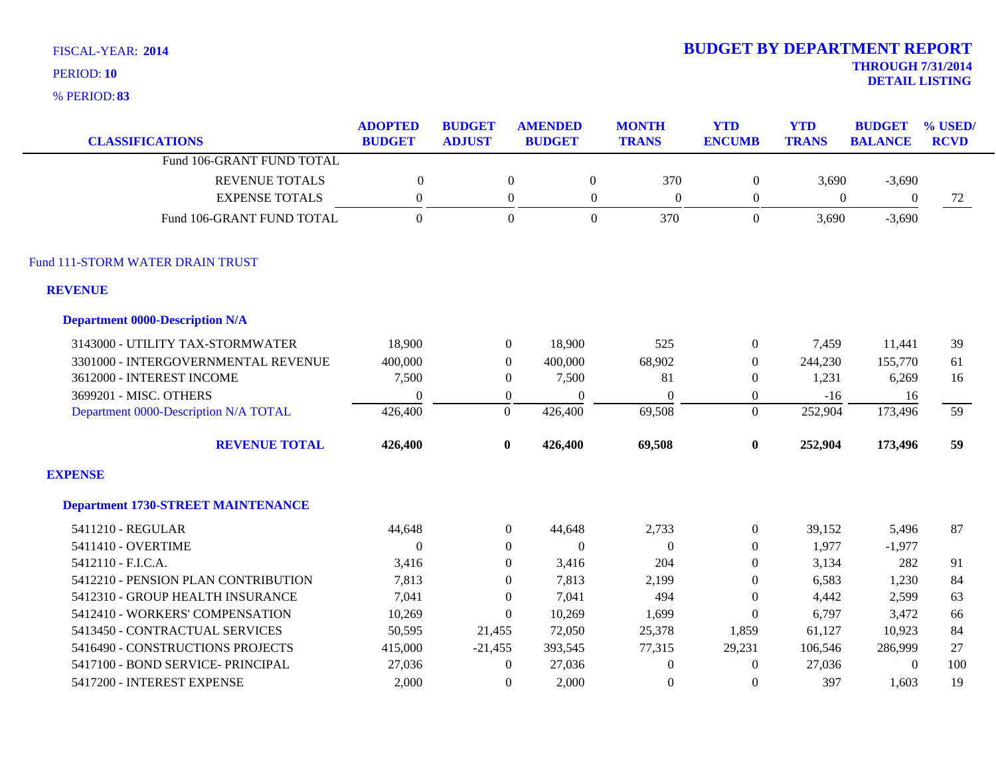**83** % PERIOD:

| <b>CLASSIFICATIONS</b>                    | <b>ADOPTED</b><br><b>BUDGET</b> | <b>BUDGET</b><br><b>ADJUST</b> | <b>AMENDED</b><br><b>BUDGET</b> | <b>MONTH</b><br><b>TRANS</b> | <b>YTD</b><br><b>ENCUMB</b> | <b>YTD</b><br><b>TRANS</b> | <b>BUDGET</b><br><b>BALANCE</b> | % USED/<br><b>RCVD</b> |
|-------------------------------------------|---------------------------------|--------------------------------|---------------------------------|------------------------------|-----------------------------|----------------------------|---------------------------------|------------------------|
| Fund 106-GRANT FUND TOTAL                 |                                 |                                |                                 |                              |                             |                            |                                 |                        |
| <b>REVENUE TOTALS</b>                     | $\boldsymbol{0}$                | $\boldsymbol{0}$               | $\boldsymbol{0}$                | 370                          | $\boldsymbol{0}$            | 3,690                      | $-3,690$                        |                        |
| <b>EXPENSE TOTALS</b>                     | $\mathbf{0}$                    | $\boldsymbol{0}$               | $\boldsymbol{0}$                | $\Omega$                     | $\boldsymbol{0}$            | $\mathbf{0}$               | $\mathbf{0}$                    | 72                     |
| Fund 106-GRANT FUND TOTAL                 | $\Omega$                        | $\Omega$                       | $\theta$                        | 370                          | $\overline{0}$              | 3,690                      | $-3,690$                        |                        |
| Fund 111-STORM WATER DRAIN TRUST          |                                 |                                |                                 |                              |                             |                            |                                 |                        |
| <b>REVENUE</b>                            |                                 |                                |                                 |                              |                             |                            |                                 |                        |
| <b>Department 0000-Description N/A</b>    |                                 |                                |                                 |                              |                             |                            |                                 |                        |
| 3143000 - UTILITY TAX-STORMWATER          | 18,900                          | $\overline{0}$                 | 18,900                          | 525                          | $\boldsymbol{0}$            | 7,459                      | 11,441                          | 39                     |
| 3301000 - INTERGOVERNMENTAL REVENUE       | 400,000                         | $\overline{0}$                 | 400,000                         | 68,902                       | $\boldsymbol{0}$            | 244,230                    | 155,770                         | 61                     |
| 3612000 - INTEREST INCOME                 | 7,500                           | $\overline{0}$                 | 7,500                           | 81                           | $\boldsymbol{0}$            | 1,231                      | 6,269                           | 16                     |
| 3699201 - MISC. OTHERS                    | $\theta$                        | $\boldsymbol{0}$               | $\Omega$                        | $\Omega$                     | $\boldsymbol{0}$            | $-16$                      | 16                              |                        |
| Department 0000-Description N/A TOTAL     | 426,400                         | $\overline{0}$                 | 426,400                         | 69,508                       | $\overline{0}$              | 252,904                    | 173,496                         | 59                     |
| <b>REVENUE TOTAL</b>                      | 426,400                         | $\bf{0}$                       | 426,400                         | 69,508                       | $\bf{0}$                    | 252,904                    | 173,496                         | 59                     |
| <b>EXPENSE</b>                            |                                 |                                |                                 |                              |                             |                            |                                 |                        |
| <b>Department 1730-STREET MAINTENANCE</b> |                                 |                                |                                 |                              |                             |                            |                                 |                        |
| 5411210 - REGULAR                         | 44,648                          | $\boldsymbol{0}$               | 44,648                          | 2,733                        | $\boldsymbol{0}$            | 39,152                     | 5,496                           | 87                     |
| 5411410 - OVERTIME                        | $\theta$                        | $\overline{0}$                 | $\overline{0}$                  | $\mathbf{0}$                 | $\theta$                    | 1,977                      | $-1,977$                        |                        |
| 5412110 - F.I.C.A.                        | 3,416                           | $\overline{0}$                 | 3,416                           | 204                          | $\theta$                    | 3,134                      | 282                             | 91                     |
| 5412210 - PENSION PLAN CONTRIBUTION       | 7,813                           | $\Omega$                       | 7,813                           | 2,199                        | $\Omega$                    | 6,583                      | 1,230                           | 84                     |
| 5412310 - GROUP HEALTH INSURANCE          | 7,041                           | $\overline{0}$                 | 7,041                           | 494                          | $\mathbf{0}$                | 4,442                      | 2,599                           | 63                     |
| 5412410 - WORKERS' COMPENSATION           | 10,269                          | $\Omega$                       | 10,269                          | 1,699                        | $\mathbf{0}$                | 6,797                      | 3,472                           | 66                     |
| 5413450 - CONTRACTUAL SERVICES            | 50,595                          | 21,455                         | 72,050                          | 25,378                       | 1,859                       | 61,127                     | 10,923                          | 84                     |
| 5416490 - CONSTRUCTIONS PROJECTS          | 415,000                         | $-21,455$                      | 393,545                         | 77,315                       | 29,231                      | 106,546                    | 286,999                         | 27                     |
| 5417100 - BOND SERVICE- PRINCIPAL         | 27,036                          | $\overline{0}$                 | 27,036                          | $\boldsymbol{0}$             | $\theta$                    | 27,036                     | $\mathbf{0}$                    | 100                    |
| 5417200 - INTEREST EXPENSE                | 2,000                           | $\Omega$                       | 2,000                           | $\boldsymbol{0}$             | $\Omega$                    | 397                        | 1,603                           | 19                     |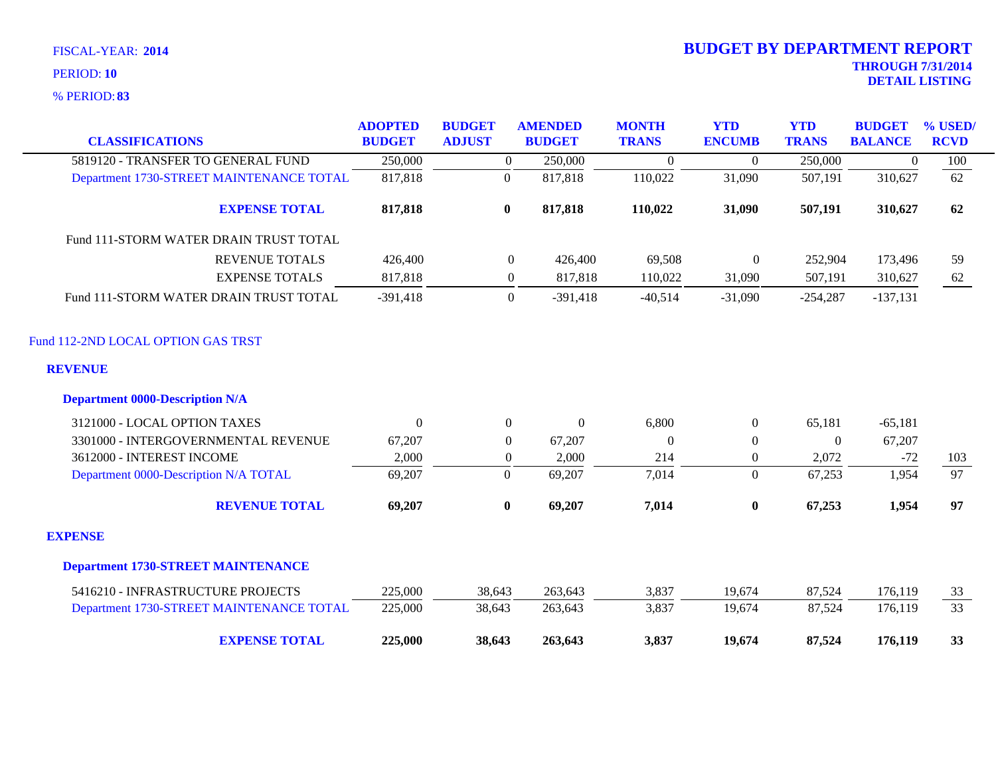| <b>CLASSIFICATIONS</b>                    | <b>ADOPTED</b><br><b>BUDGET</b> | <b>BUDGET</b><br><b>ADJUST</b> | <b>AMENDED</b><br><b>BUDGET</b> | <b>MONTH</b><br><b>TRANS</b> | <b>YTD</b><br><b>ENCUMB</b> | <b>YTD</b><br><b>TRANS</b> | <b>BUDGET</b><br><b>BALANCE</b> | % USED/<br><b>RCVD</b> |
|-------------------------------------------|---------------------------------|--------------------------------|---------------------------------|------------------------------|-----------------------------|----------------------------|---------------------------------|------------------------|
| 5819120 - TRANSFER TO GENERAL FUND        | 250,000                         | $\overline{0}$                 | 250,000                         | $\overline{0}$               | $\overline{0}$              | 250,000                    | $\mathbf{0}$                    | 100                    |
| Department 1730-STREET MAINTENANCE TOTAL  | 817,818                         | $\overline{0}$                 | 817,818                         | 110,022                      | 31,090                      | 507,191                    | 310,627                         | 62                     |
| <b>EXPENSE TOTAL</b>                      | 817,818                         | $\bf{0}$                       | 817,818                         | 110,022                      | 31,090                      | 507,191                    | 310,627                         | 62                     |
| Fund 111-STORM WATER DRAIN TRUST TOTAL    |                                 |                                |                                 |                              |                             |                            |                                 |                        |
| <b>REVENUE TOTALS</b>                     | 426,400                         | $\overline{0}$                 | 426,400                         | 69,508                       | $\boldsymbol{0}$            | 252,904                    | 173,496                         | 59                     |
| <b>EXPENSE TOTALS</b>                     | 817,818                         | $\overline{0}$                 | 817,818                         | 110,022                      | 31,090                      | 507,191                    | 310,627                         | 62                     |
| Fund 111-STORM WATER DRAIN TRUST TOTAL    | $-391,418$                      | $\overline{0}$                 | $-391,418$                      | $-40,514$                    | $-31,090$                   | $-254,287$                 | $-137,131$                      |                        |
| Fund 112-2ND LOCAL OPTION GAS TRST        |                                 |                                |                                 |                              |                             |                            |                                 |                        |
| <b>REVENUE</b>                            |                                 |                                |                                 |                              |                             |                            |                                 |                        |
| <b>Department 0000-Description N/A</b>    |                                 |                                |                                 |                              |                             |                            |                                 |                        |
| 3121000 - LOCAL OPTION TAXES              | $\Omega$                        | $\overline{0}$                 | $\theta$                        | 6,800                        | $\overline{0}$              | 65,181                     | $-65,181$                       |                        |
| 3301000 - INTERGOVERNMENTAL REVENUE       | 67,207                          | $\theta$                       | 67,207                          | $\Omega$                     | $\boldsymbol{0}$            | $\Omega$                   | 67,207                          |                        |
| 3612000 - INTEREST INCOME                 | 2,000                           | $\overline{0}$                 | 2,000                           | 214                          | $\overline{0}$              | 2,072                      | $-72$                           | 103                    |
| Department 0000-Description N/A TOTAL     | 69,207                          | $\boldsymbol{0}$               | 69,207                          | 7,014                        | $\overline{0}$              | 67,253                     | 1,954                           | 97                     |
| <b>REVENUE TOTAL</b>                      | 69,207                          | $\bf{0}$                       | 69,207                          | 7,014                        | $\bf{0}$                    | 67,253                     | 1,954                           | 97                     |
| <b>EXPENSE</b>                            |                                 |                                |                                 |                              |                             |                            |                                 |                        |
| <b>Department 1730-STREET MAINTENANCE</b> |                                 |                                |                                 |                              |                             |                            |                                 |                        |
| 5416210 - INFRASTRUCTURE PROJECTS         | 225,000                         | 38,643                         | 263,643                         | 3,837                        | 19,674                      | 87,524                     | 176,119                         | 33                     |
| Department 1730-STREET MAINTENANCE TOTAL  | 225,000                         | 38,643                         | 263,643                         | 3,837                        | 19,674                      | 87,524                     | 176,119                         | 33                     |
| <b>EXPENSE TOTAL</b>                      | 225,000                         | 38,643                         | 263,643                         | 3,837                        | 19,674                      | 87,524                     | 176,119                         | 33                     |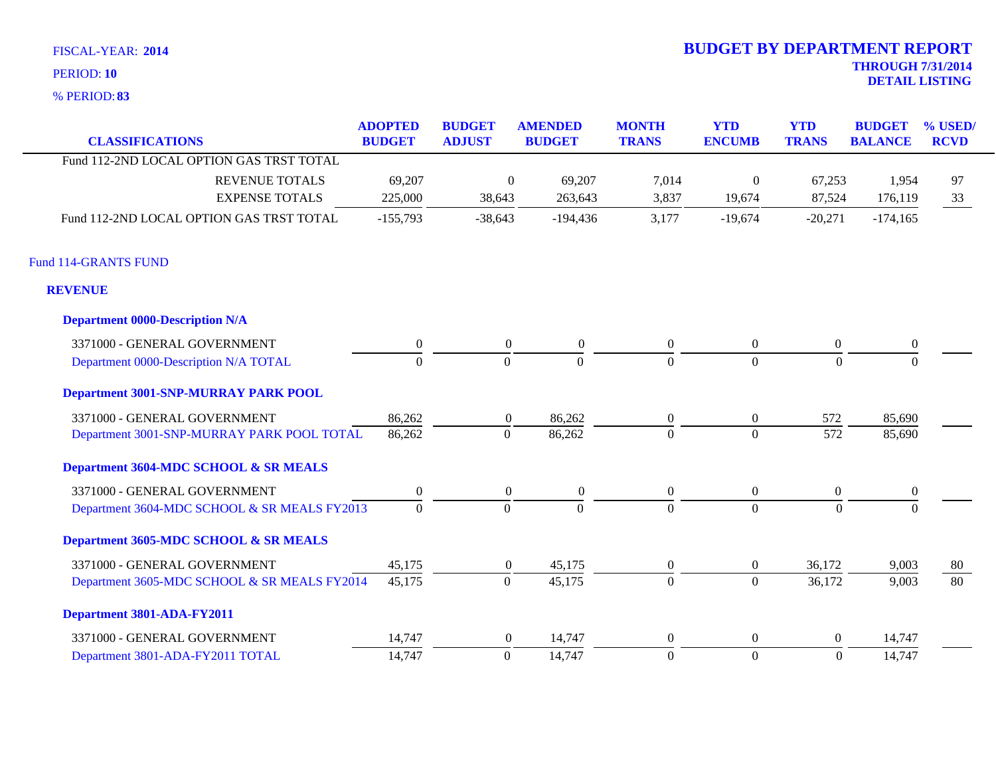**83** % PERIOD:

| <b>CLASSIFICATIONS</b>                       | <b>ADOPTED</b><br><b>BUDGET</b> | <b>BUDGET</b><br><b>ADJUST</b> | <b>AMENDED</b><br><b>BUDGET</b> | <b>MONTH</b><br><b>TRANS</b> | <b>YTD</b><br><b>ENCUMB</b> | <b>YTD</b><br><b>TRANS</b> | <b>BUDGET</b><br><b>BALANCE</b> | % USED/<br><b>RCVD</b> |
|----------------------------------------------|---------------------------------|--------------------------------|---------------------------------|------------------------------|-----------------------------|----------------------------|---------------------------------|------------------------|
| Fund 112-2ND LOCAL OPTION GAS TRST TOTAL     |                                 |                                |                                 |                              |                             |                            |                                 |                        |
| <b>REVENUE TOTALS</b>                        | 69,207                          | $\boldsymbol{0}$               | 69,207                          | 7,014                        | $\mathbf{0}$                | 67,253                     | 1,954                           | 97                     |
| <b>EXPENSE TOTALS</b>                        | 225,000                         | 38,643                         | 263,643                         | 3,837                        | 19,674                      | 87,524                     | 176,119                         | 33                     |
| Fund 112-2ND LOCAL OPTION GAS TRST TOTAL     | $-155,793$                      | $-38,643$                      | $-194,436$                      | 3,177                        | $-19,674$                   | $-20,271$                  | $-174,165$                      |                        |
| <b>Fund 114-GRANTS FUND</b>                  |                                 |                                |                                 |                              |                             |                            |                                 |                        |
| <b>REVENUE</b>                               |                                 |                                |                                 |                              |                             |                            |                                 |                        |
| <b>Department 0000-Description N/A</b>       |                                 |                                |                                 |                              |                             |                            |                                 |                        |
| 3371000 - GENERAL GOVERNMENT                 | $\boldsymbol{0}$                | $\boldsymbol{0}$               | $\boldsymbol{0}$                | $\overline{0}$               | $\boldsymbol{0}$            | $\boldsymbol{0}$           | $\boldsymbol{0}$                |                        |
| Department 0000-Description N/A TOTAL        | $\Omega$                        | $\Omega$                       | $\Omega$                        | $\Omega$                     | $\overline{0}$              | $\Omega$                   | $\Omega$                        |                        |
| Department 3001-SNP-MURRAY PARK POOL         |                                 |                                |                                 |                              |                             |                            |                                 |                        |
| 3371000 - GENERAL GOVERNMENT                 | 86,262                          | $\boldsymbol{0}$               | 86,262                          | $\overline{0}$               | $\overline{0}$              | 572                        | 85,690                          |                        |
| Department 3001-SNP-MURRAY PARK POOL TOTAL   | 86,262                          | $\overline{0}$                 | 86,262                          | $\overline{0}$               | $\overline{0}$              | 572                        | 85,690                          |                        |
| Department 3604-MDC SCHOOL & SR MEALS        |                                 |                                |                                 |                              |                             |                            |                                 |                        |
| 3371000 - GENERAL GOVERNMENT                 | $\overline{0}$                  | $\overline{0}$                 | $\overline{0}$                  | $\Omega$                     | $\overline{0}$              | $\mathbf{0}$               | $\overline{0}$                  |                        |
| Department 3604-MDC SCHOOL & SR MEALS FY2013 | $\mathbf{0}$                    | $\overline{0}$                 | $\overline{0}$                  | $\Omega$                     | $\Omega$                    | $\Omega$                   | $\Omega$                        |                        |
| Department 3605-MDC SCHOOL & SR MEALS        |                                 |                                |                                 |                              |                             |                            |                                 |                        |
| 3371000 - GENERAL GOVERNMENT                 | 45,175                          | $\overline{0}$                 | 45,175                          | $\overline{0}$               | $\overline{0}$              | 36,172                     | 9,003                           | 80                     |
| Department 3605-MDC SCHOOL & SR MEALS FY2014 | 45,175                          | $\overline{0}$                 | 45,175                          | $\Omega$                     | $\overline{0}$              | 36,172                     | 9,003                           | 80                     |
| Department 3801-ADA-FY2011                   |                                 |                                |                                 |                              |                             |                            |                                 |                        |
| 3371000 - GENERAL GOVERNMENT                 | 14,747                          | $\overline{0}$                 | 14,747                          | $\overline{0}$               | $\boldsymbol{0}$            | $\boldsymbol{0}$           | 14,747                          |                        |
| Department 3801-ADA-FY2011 TOTAL             | 14,747                          | $\mathbf{0}$                   | 14,747                          | $\overline{0}$               | $\overline{0}$              | $\boldsymbol{0}$           | 14,747                          |                        |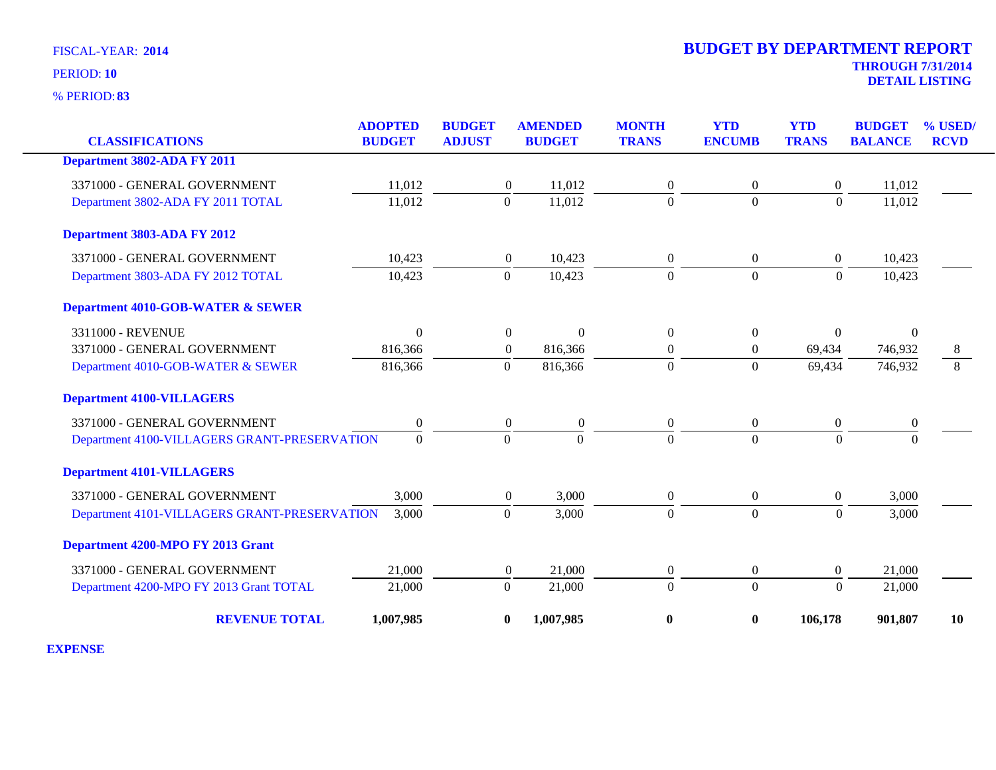**83** % PERIOD:

# **THROUGH 7/31/2014 DETAIL LISTING** PERIOD: **<sup>10</sup> 2014 BUDGET BY DEPARTMENT REPORT**

|                                              | <b>ADOPTED</b>   | <b>BUDGET</b>    | <b>AMENDED</b>   | <b>MONTH</b>     | <b>YTD</b>       | <b>YTD</b>       | <b>BUDGET</b>  | % USED/     |
|----------------------------------------------|------------------|------------------|------------------|------------------|------------------|------------------|----------------|-------------|
| <b>CLASSIFICATIONS</b>                       | <b>BUDGET</b>    | <b>ADJUST</b>    | <b>BUDGET</b>    | <b>TRANS</b>     | <b>ENCUMB</b>    | <b>TRANS</b>     | <b>BALANCE</b> | <b>RCVD</b> |
| Department 3802-ADA FY 2011                  |                  |                  |                  |                  |                  |                  |                |             |
| 3371000 - GENERAL GOVERNMENT                 | 11,012           | $\boldsymbol{0}$ | 11,012           | $\overline{0}$   | $\overline{0}$   | $\overline{0}$   | 11,012         |             |
| Department 3802-ADA FY 2011 TOTAL            | 11,012           | $\mathbf{0}$     | 11,012           | $\overline{0}$   | $\boldsymbol{0}$ | $\mathbf{0}$     | 11,012         |             |
| Department 3803-ADA FY 2012                  |                  |                  |                  |                  |                  |                  |                |             |
| 3371000 - GENERAL GOVERNMENT                 | 10,423           | $\overline{0}$   | 10,423           | $\boldsymbol{0}$ | $\boldsymbol{0}$ | $\overline{0}$   | 10,423         |             |
| Department 3803-ADA FY 2012 TOTAL            | 10,423           | $\Omega$         | 10,423           | $\Omega$         | $\Omega$         | $\Omega$         | 10,423         |             |
| <b>Department 4010-GOB-WATER &amp; SEWER</b> |                  |                  |                  |                  |                  |                  |                |             |
| 3311000 - REVENUE                            | $\Omega$         | $\overline{0}$   | $\Omega$         | $\theta$         | $\Omega$         | $\Omega$         | $\Omega$       |             |
| 3371000 - GENERAL GOVERNMENT                 | 816,366          | $\boldsymbol{0}$ | 816,366          | $\mathbf{0}$     | $\boldsymbol{0}$ | 69,434           | 746,932        | 8           |
| Department 4010-GOB-WATER & SEWER            | 816,366          | $\overline{0}$   | 816,366          | $\Omega$         | $\overline{0}$   | 69,434           | 746,932        | 8           |
| <b>Department 4100-VILLAGERS</b>             |                  |                  |                  |                  |                  |                  |                |             |
| 3371000 - GENERAL GOVERNMENT                 | $\boldsymbol{0}$ | $\boldsymbol{0}$ | $\boldsymbol{0}$ | $\overline{0}$   | $\boldsymbol{0}$ | $\boldsymbol{0}$ | $\theta$       |             |
| Department 4100-VILLAGERS GRANT-PRESERVATION | $\overline{0}$   | $\overline{0}$   | $\mathbf{0}$     | $\Omega$         | $\overline{0}$   | $\overline{0}$   | $\Omega$       |             |
| <b>Department 4101-VILLAGERS</b>             |                  |                  |                  |                  |                  |                  |                |             |
| 3371000 - GENERAL GOVERNMENT                 | 3,000            | $\overline{0}$   | 3,000            | $\overline{0}$   | $\mathbf{0}$     | $\overline{0}$   | 3,000          |             |
| Department 4101-VILLAGERS GRANT-PRESERVATION | 3,000            | $\boldsymbol{0}$ | 3,000            | $\mathbf{0}$     | $\mathbf{0}$     | $\boldsymbol{0}$ | 3,000          |             |
| Department 4200-MPO FY 2013 Grant            |                  |                  |                  |                  |                  |                  |                |             |
| 3371000 - GENERAL GOVERNMENT                 | 21,000           | $\mathbf{0}$     | 21,000           | $\mathbf{0}$     | $\boldsymbol{0}$ | $\boldsymbol{0}$ | 21,000         |             |
| Department 4200-MPO FY 2013 Grant TOTAL      | 21,000           | $\Omega$         | 21,000           | $\Omega$         | $\overline{0}$   | $\Omega$         | 21,000         |             |
| <b>REVENUE TOTAL</b>                         | 1,007,985        | $\boldsymbol{0}$ | 1,007,985        | $\bf{0}$         | $\boldsymbol{0}$ | 106,178          | 901,807        | 10          |

**EXPENSE**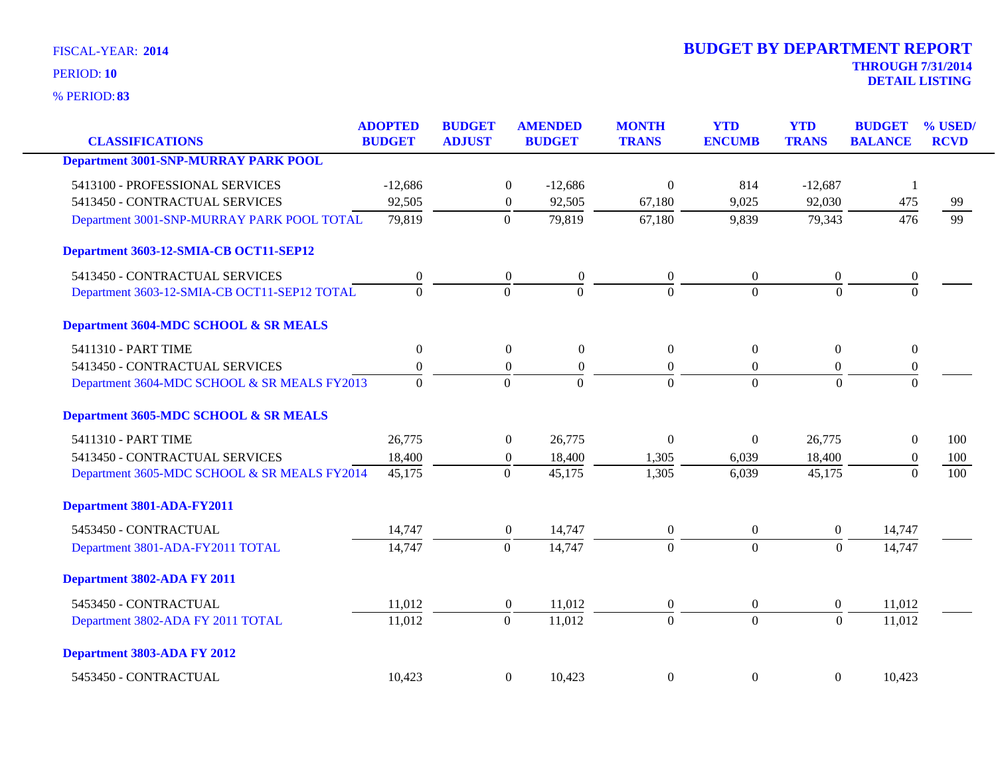**83** % PERIOD:

| <b>CLASSIFICATIONS</b>                       | <b>ADOPTED</b><br><b>BUDGET</b> | <b>BUDGET</b><br><b>ADJUST</b> | <b>AMENDED</b><br><b>BUDGET</b>      | <b>MONTH</b><br><b>TRANS</b> | <b>YTD</b><br><b>ENCUMB</b> | <b>YTD</b><br><b>TRANS</b> | <b>BUDGET</b><br><b>BALANCE</b> | % USED/<br><b>RCVD</b> |
|----------------------------------------------|---------------------------------|--------------------------------|--------------------------------------|------------------------------|-----------------------------|----------------------------|---------------------------------|------------------------|
| <b>Department 3001-SNP-MURRAY PARK POOL</b>  |                                 |                                |                                      |                              |                             |                            |                                 |                        |
|                                              |                                 |                                |                                      |                              |                             |                            |                                 |                        |
| 5413100 - PROFESSIONAL SERVICES              | $-12,686$                       |                                | $\boldsymbol{0}$<br>$-12,686$        | $\Omega$                     | 814                         | $-12,687$                  | $\mathbf{1}$                    |                        |
| 5413450 - CONTRACTUAL SERVICES               | 92,505                          |                                | $\boldsymbol{0}$<br>92,505           | 67,180                       | 9,025                       | 92,030                     | 475                             | 99                     |
| Department 3001-SNP-MURRAY PARK POOL TOTAL   | 79,819                          | $\boldsymbol{0}$               | 79,819                               | 67,180                       | 9,839                       | 79,343                     | 476                             | 99                     |
| Department 3603-12-SMIA-CB OCT11-SEP12       |                                 |                                |                                      |                              |                             |                            |                                 |                        |
| 5413450 - CONTRACTUAL SERVICES               | $\boldsymbol{0}$                |                                | $\boldsymbol{0}$<br>$\boldsymbol{0}$ | $\overline{0}$               | $\overline{0}$              | $\overline{0}$             | $\boldsymbol{0}$                |                        |
| Department 3603-12-SMIA-CB OCT11-SEP12 TOTAL | $\Omega$                        | $\Omega$                       | $\Omega$                             | $\Omega$                     | $\Omega$                    | $\Omega$                   | $\Omega$                        |                        |
| Department 3604-MDC SCHOOL & SR MEALS        |                                 |                                |                                      |                              |                             |                            |                                 |                        |
| 5411310 - PART TIME                          | $\overline{0}$                  |                                | $\overline{0}$<br>$\mathbf{0}$       | $\overline{0}$               | $\overline{0}$              | $\overline{0}$             | $\overline{0}$                  |                        |
| 5413450 - CONTRACTUAL SERVICES               | $\boldsymbol{0}$                |                                | $\boldsymbol{0}$<br>$\boldsymbol{0}$ | $\overline{0}$               | $\overline{0}$              | $\boldsymbol{0}$           | $\boldsymbol{0}$                |                        |
| Department 3604-MDC SCHOOL & SR MEALS FY2013 | $\Omega$                        | $\theta$                       | $\Omega$                             | $\Omega$                     | $\Omega$                    | $\Omega$                   | $\Omega$                        |                        |
| Department 3605-MDC SCHOOL & SR MEALS        |                                 |                                |                                      |                              |                             |                            |                                 |                        |
| 5411310 - PART TIME                          | 26,775                          |                                | $\mathbf{0}$<br>26,775               | $\overline{0}$               | $\overline{0}$              | 26,775                     | $\overline{0}$                  | 100                    |
| 5413450 - CONTRACTUAL SERVICES               | 18,400                          |                                | $\boldsymbol{0}$<br>18,400           | 1,305                        | 6,039                       | 18,400                     | $\theta$                        | 100                    |
| Department 3605-MDC SCHOOL & SR MEALS FY2014 | 45,175                          | $\Omega$                       | 45,175                               | 1,305                        | 6,039                       | 45,175                     | $\Omega$                        | 100                    |
| Department 3801-ADA-FY2011                   |                                 |                                |                                      |                              |                             |                            |                                 |                        |
| 5453450 - CONTRACTUAL                        | 14,747                          |                                | 14,747<br>$\boldsymbol{0}$           | $\overline{0}$               | $\boldsymbol{0}$            | $\overline{0}$             | 14,747                          |                        |
| Department 3801-ADA-FY2011 TOTAL             | 14,747                          | $\overline{0}$                 | 14,747                               | $\Omega$                     | $\Omega$                    | $\theta$                   | 14,747                          |                        |
| Department 3802-ADA FY 2011                  |                                 |                                |                                      |                              |                             |                            |                                 |                        |
| 5453450 - CONTRACTUAL                        | 11,012                          |                                | $\boldsymbol{0}$<br>11,012           | $\mathbf{0}$                 | $\boldsymbol{0}$            | $\boldsymbol{0}$           | 11,012                          |                        |
| Department 3802-ADA FY 2011 TOTAL            | 11,012                          | $\mathbf{0}$                   | 11,012                               | $\mathbf{0}$                 | $\mathbf{0}$                | $\Omega$                   | 11,012                          |                        |
| Department 3803-ADA FY 2012                  |                                 |                                |                                      |                              |                             |                            |                                 |                        |
| 5453450 - CONTRACTUAL                        | 10,423                          |                                | $\overline{0}$<br>10,423             | $\Omega$                     | $\mathbf{0}$                | $\overline{0}$             | 10,423                          |                        |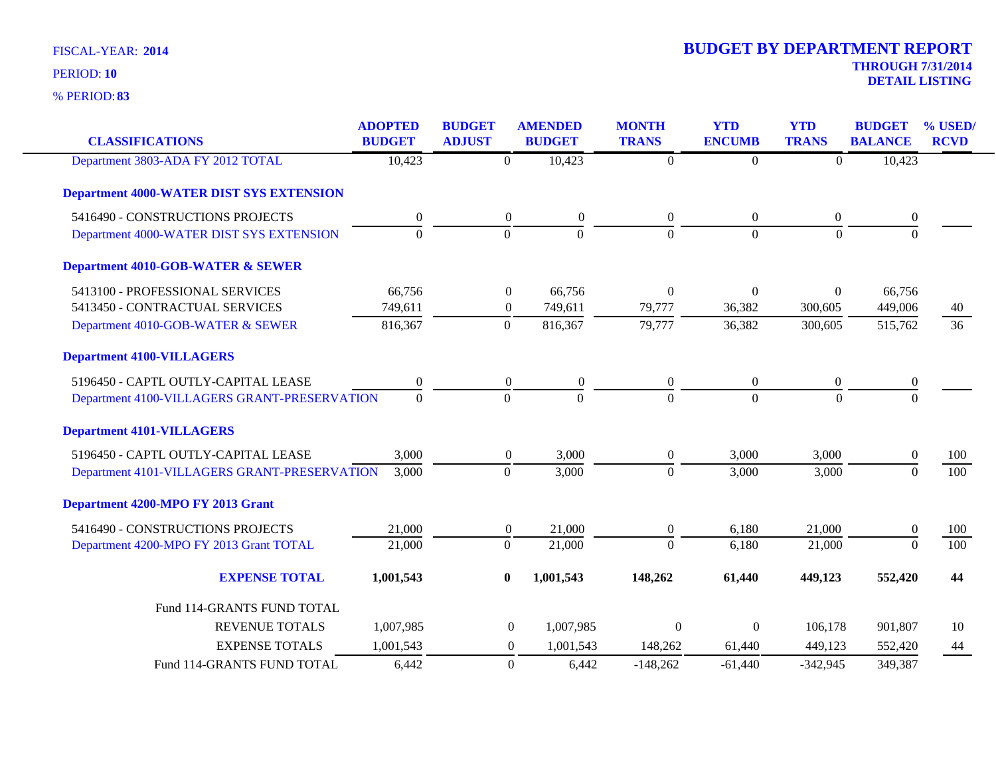| <b>CLASSIFICATIONS</b>                          | <b>ADOPTED</b><br><b>BUDGET</b> | <b>BUDGET</b><br><b>ADJUST</b> | <b>AMENDED</b><br><b>BUDGET</b> | <b>MONTH</b><br><b>TRANS</b> | <b>YTD</b><br><b>ENCUMB</b> | <b>YTD</b><br><b>TRANS</b> | <b>BUDGET</b><br><b>BALANCE</b> | % USED/<br><b>RCVD</b> |
|-------------------------------------------------|---------------------------------|--------------------------------|---------------------------------|------------------------------|-----------------------------|----------------------------|---------------------------------|------------------------|
| Department 3803-ADA FY 2012 TOTAL               | 10,423                          | $\overline{0}$                 | 10,423                          | $\overline{0}$               | $\boldsymbol{0}$            | $\overline{0}$             | 10,423                          |                        |
| <b>Department 4000-WATER DIST SYS EXTENSION</b> |                                 |                                |                                 |                              |                             |                            |                                 |                        |
| 5416490 - CONSTRUCTIONS PROJECTS                | $\boldsymbol{0}$                | $\boldsymbol{0}$               | $\boldsymbol{0}$                | $\overline{0}$               | $\boldsymbol{0}$            | $\boldsymbol{0}$           | $\mathbf{0}$                    |                        |
| Department 4000-WATER DIST SYS EXTENSION        | $\overline{0}$                  | $\overline{0}$                 | $\overline{0}$                  | $\mathbf{0}$                 | $\overline{0}$              | $\mathbf{0}$               | $\mathbf{0}$                    |                        |
| <b>Department 4010-GOB-WATER &amp; SEWER</b>    |                                 |                                |                                 |                              |                             |                            |                                 |                        |
| 5413100 - PROFESSIONAL SERVICES                 | 66,756                          | $\boldsymbol{0}$               | 66,756                          | $\Omega$                     | $\Omega$                    | $\Omega$                   | 66,756                          |                        |
| 5413450 - CONTRACTUAL SERVICES                  | 749,611                         | $\boldsymbol{0}$               | 749,611                         | 79,777                       | 36,382                      | 300,605                    | 449,006                         | 40                     |
| Department 4010-GOB-WATER & SEWER               | 816,367                         | $\mathbf{0}$                   | 816,367                         | 79,777                       | 36,382                      | 300,605                    | 515,762                         | $\overline{36}$        |
| <b>Department 4100-VILLAGERS</b>                |                                 |                                |                                 |                              |                             |                            |                                 |                        |
| 5196450 - CAPTL OUTLY-CAPITAL LEASE             | $\Omega$                        | $\boldsymbol{0}$               | $\boldsymbol{0}$                | $\overline{0}$               | $\mathbf{0}$                | $\theta$                   | $\boldsymbol{0}$                |                        |
| Department 4100-VILLAGERS GRANT-PRESERVATION    | $\mathbf{0}$                    | $\overline{0}$                 | $\boldsymbol{0}$                | $\mathbf{0}$                 | $\overline{0}$              | $\mathbf{0}$               | $\mathbf{0}$                    |                        |
| <b>Department 4101-VILLAGERS</b>                |                                 |                                |                                 |                              |                             |                            |                                 |                        |
| 5196450 - CAPTL OUTLY-CAPITAL LEASE             | 3,000                           | $\boldsymbol{0}$               | 3,000                           | $\overline{0}$               | 3,000                       | 3,000                      | $\overline{0}$                  | 100                    |
| Department 4101-VILLAGERS GRANT-PRESERVATION    | 3,000                           | $\overline{0}$                 | 3,000                           | $\mathbf{0}$                 | 3,000                       | 3,000                      | $\mathbf{0}$                    | 100                    |
| <b>Department 4200-MPO FY 2013 Grant</b>        |                                 |                                |                                 |                              |                             |                            |                                 |                        |
| 5416490 - CONSTRUCTIONS PROJECTS                | 21,000                          | $\boldsymbol{0}$               | 21,000                          | $\overline{0}$               | 6,180                       | 21,000                     | $\theta$                        | 100                    |
| Department 4200-MPO FY 2013 Grant TOTAL         | 21,000                          | $\mathbf{0}$                   | 21,000                          | $\mathbf{0}$                 | 6,180                       | 21,000                     | $\mathbf{0}$                    | 100                    |
| <b>EXPENSE TOTAL</b>                            | 1,001,543                       | $\bf{0}$                       | 1,001,543                       | 148,262                      | 61,440                      | 449,123                    | 552,420                         | 44                     |
| Fund 114-GRANTS FUND TOTAL                      |                                 |                                |                                 |                              |                             |                            |                                 |                        |
| <b>REVENUE TOTALS</b>                           | 1,007,985                       | $\boldsymbol{0}$               | 1,007,985                       | $\mathbf{0}$                 | $\Omega$                    | 106,178                    | 901,807                         | 10                     |
| <b>EXPENSE TOTALS</b>                           | 1,001,543                       | $\mathbf{0}$                   | 1,001,543                       | 148,262                      | 61,440                      | 449,123                    | 552,420                         | 44                     |
| Fund 114-GRANTS FUND TOTAL                      | 6,442                           | $\boldsymbol{0}$               | 6,442                           | $-148,262$                   | $-61,440$                   | $-342,945$                 | 349,387                         |                        |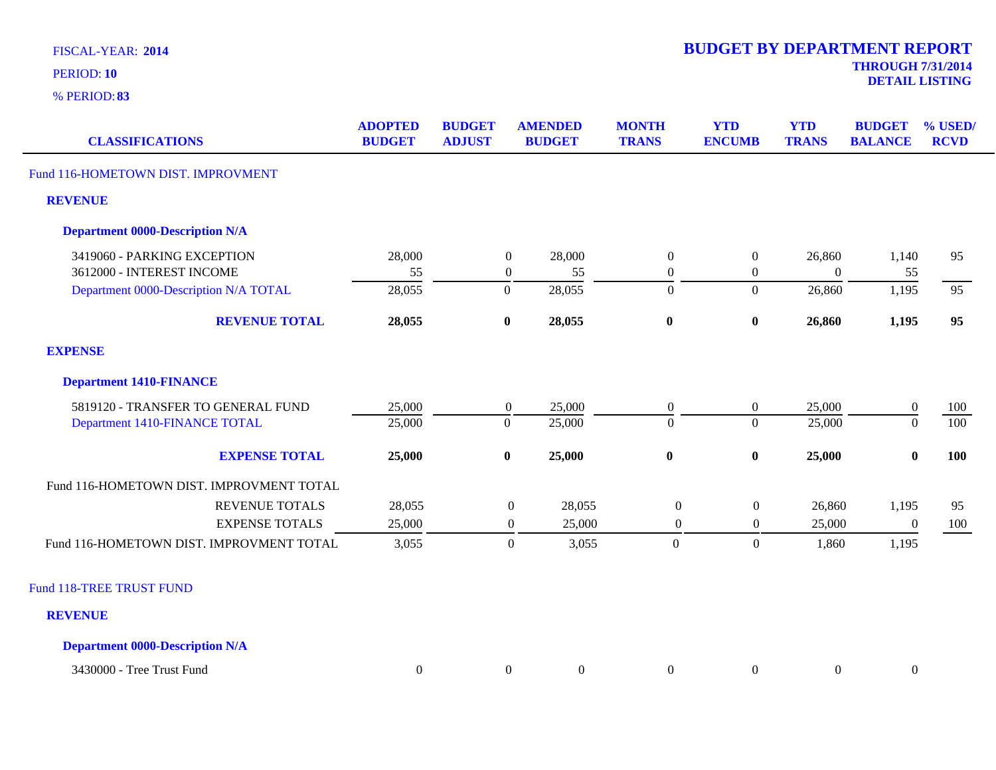**83** % PERIOD:

**DETAIL LISTING** PERIOD: **<sup>10</sup>**

| <b>CLASSIFICATIONS</b>                   | <b>ADOPTED</b><br><b>BUDGET</b> | <b>BUDGET</b><br><b>ADJUST</b> | <b>AMENDED</b><br><b>BUDGET</b> | <b>MONTH</b><br><b>TRANS</b> | <b>YTD</b><br><b>ENCUMB</b> | <b>YTD</b><br><b>TRANS</b> | <b>BUDGET</b><br><b>BALANCE</b> | % USED/<br><b>RCVD</b> |
|------------------------------------------|---------------------------------|--------------------------------|---------------------------------|------------------------------|-----------------------------|----------------------------|---------------------------------|------------------------|
| Fund 116-HOMETOWN DIST. IMPROVMENT       |                                 |                                |                                 |                              |                             |                            |                                 |                        |
| <b>REVENUE</b>                           |                                 |                                |                                 |                              |                             |                            |                                 |                        |
| <b>Department 0000-Description N/A</b>   |                                 |                                |                                 |                              |                             |                            |                                 |                        |
| 3419060 - PARKING EXCEPTION              | 28,000                          |                                | $\boldsymbol{0}$<br>28,000      | $\overline{0}$               | $\overline{0}$              | 26,860                     | 1,140                           | 95                     |
| 3612000 - INTEREST INCOME                | 55                              |                                | $\boldsymbol{0}$<br>55          | $\overline{0}$               | $\boldsymbol{0}$            | $\overline{0}$             | 55                              |                        |
| Department 0000-Description N/A TOTAL    | 28,055                          |                                | $\overline{0}$<br>28,055        | $\boldsymbol{0}$             | $\boldsymbol{0}$            | 26,860                     | 1,195                           | 95                     |
| <b>REVENUE TOTAL</b>                     | 28,055                          |                                | 28,055<br>$\bf{0}$              | $\bf{0}$                     | $\boldsymbol{0}$            | 26,860                     | 1,195                           | 95                     |
| <b>EXPENSE</b>                           |                                 |                                |                                 |                              |                             |                            |                                 |                        |
| <b>Department 1410-FINANCE</b>           |                                 |                                |                                 |                              |                             |                            |                                 |                        |
| 5819120 - TRANSFER TO GENERAL FUND       | 25,000                          |                                | $\boldsymbol{0}$<br>25,000      | $\overline{0}$               | $\boldsymbol{0}$            | 25,000                     | $\boldsymbol{0}$                | 100                    |
| Department 1410-FINANCE TOTAL            | 25,000                          |                                | $\overline{0}$<br>25,000        | $\Omega$                     | $\overline{0}$              | 25,000                     | $\mathbf{0}$                    | 100                    |
| <b>EXPENSE TOTAL</b>                     | 25,000                          |                                | $\bf{0}$<br>25,000              | $\bf{0}$                     | $\bf{0}$                    | 25,000                     | $\bf{0}$                        | 100                    |
| Fund 116-HOMETOWN DIST. IMPROVMENT TOTAL |                                 |                                |                                 |                              |                             |                            |                                 |                        |
| <b>REVENUE TOTALS</b>                    | 28,055                          |                                | 28,055<br>$\boldsymbol{0}$      | $\boldsymbol{0}$             | $\boldsymbol{0}$            | 26,860                     | 1,195                           | 95                     |
| <b>EXPENSE TOTALS</b>                    | 25,000                          |                                | $\boldsymbol{0}$<br>25,000      | $\boldsymbol{0}$             | $\boldsymbol{0}$            | 25,000                     | $\boldsymbol{0}$                | 100                    |
| Fund 116-HOMETOWN DIST. IMPROVMENT TOTAL | 3,055                           |                                | $\boldsymbol{0}$<br>3,055       | $\mathbf{0}$                 | $\boldsymbol{0}$            | 1,860                      | 1,195                           |                        |
| Fund 118-TREE TRUST FUND                 |                                 |                                |                                 |                              |                             |                            |                                 |                        |
| <b>REVENUE</b>                           |                                 |                                |                                 |                              |                             |                            |                                 |                        |
| <b>Department 0000-Description N/A</b>   |                                 |                                |                                 |                              |                             |                            |                                 |                        |

3430000 - Tree Trust Fund 0 0 0 0 0 0 0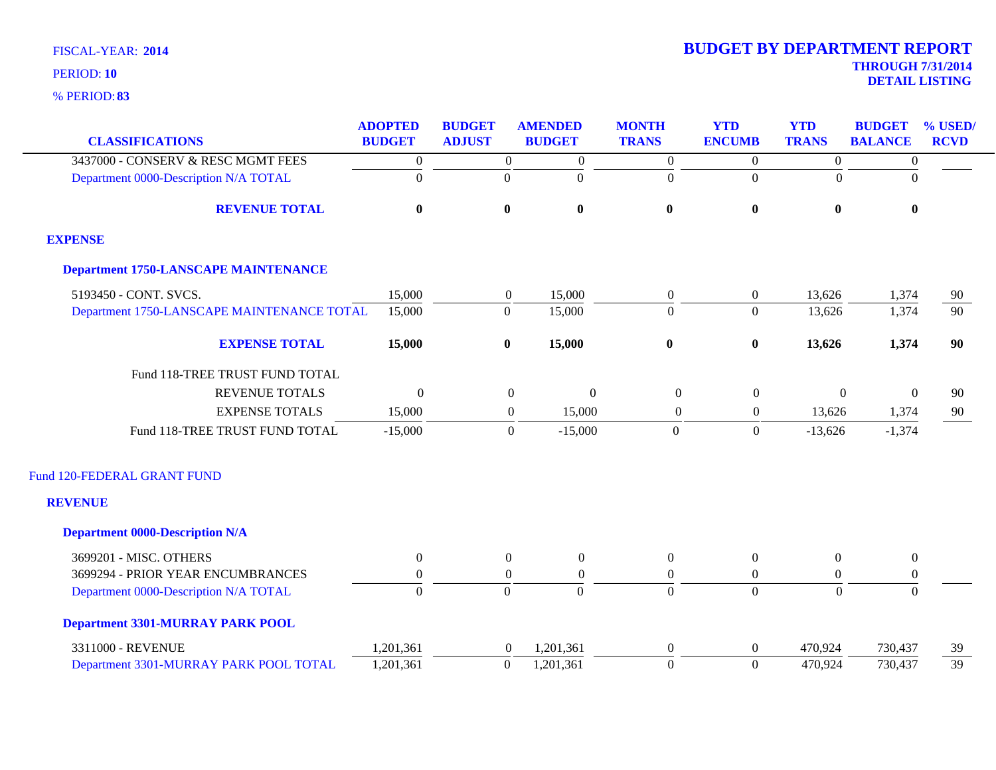|                                             | <b>ADOPTED</b>   | <b>BUDGET</b>    | <b>AMENDED</b>                | <b>MONTH</b>     | <b>YTD</b>       | <b>YTD</b>       | <b>BUDGET</b>    | % USED/     |
|---------------------------------------------|------------------|------------------|-------------------------------|------------------|------------------|------------------|------------------|-------------|
| <b>CLASSIFICATIONS</b>                      | <b>BUDGET</b>    | <b>ADJUST</b>    | <b>BUDGET</b>                 | <b>TRANS</b>     | <b>ENCUMB</b>    | <b>TRANS</b>     | <b>BALANCE</b>   | <b>RCVD</b> |
| 3437000 - CONSERV & RESC MGMT FEES          | $\boldsymbol{0}$ | $\boldsymbol{0}$ | $\boldsymbol{0}$              | $\boldsymbol{0}$ | $\overline{0}$   | $\boldsymbol{0}$ | $\boldsymbol{0}$ |             |
| Department 0000-Description N/A TOTAL       | $\overline{0}$   | $\boldsymbol{0}$ | $\boldsymbol{0}$              | $\boldsymbol{0}$ | $\mathbf{0}$     | $\theta$         | $\mathbf{0}$     |             |
| <b>REVENUE TOTAL</b>                        | $\bf{0}$         | $\bf{0}$         | $\bf{0}$                      | $\bf{0}$         | $\boldsymbol{0}$ | $\bf{0}$         | $\bf{0}$         |             |
| <b>EXPENSE</b>                              |                  |                  |                               |                  |                  |                  |                  |             |
| <b>Department 1750-LANSCAPE MAINTENANCE</b> |                  |                  |                               |                  |                  |                  |                  |             |
| 5193450 - CONT. SVCS.                       | 15,000           | $\mathbf{0}$     | 15,000                        | $\boldsymbol{0}$ | $\boldsymbol{0}$ | 13,626           | 1,374            | 90          |
| Department 1750-LANSCAPE MAINTENANCE TOTAL  | 15,000           | $\mathbf{0}$     | 15,000                        | $\Omega$         | $\Omega$         | 13,626           | 1,374            | 90          |
| <b>EXPENSE TOTAL</b>                        | 15,000           | $\bf{0}$         | 15,000                        | $\bf{0}$         | $\boldsymbol{0}$ | 13,626           | 1,374            | 90          |
| Fund 118-TREE TRUST FUND TOTAL              |                  |                  |                               |                  |                  |                  |                  |             |
| <b>REVENUE TOTALS</b>                       | $\theta$         |                  | $\mathbf{0}$<br>$\mathbf{0}$  | $\overline{0}$   | $\boldsymbol{0}$ | $\mathbf{0}$     | $\theta$         | 90          |
| <b>EXPENSE TOTALS</b>                       | 15,000           |                  | $\boldsymbol{0}$<br>15,000    | $\boldsymbol{0}$ | $\overline{0}$   | 13,626           | 1,374            | 90          |
| Fund 118-TREE TRUST FUND TOTAL              | $-15,000$        |                  | $\boldsymbol{0}$<br>$-15,000$ | $\Omega$         | $\boldsymbol{0}$ | $-13,626$        | $-1,374$         |             |
| Fund 120-FEDERAL GRANT FUND                 |                  |                  |                               |                  |                  |                  |                  |             |
| <b>REVENUE</b>                              |                  |                  |                               |                  |                  |                  |                  |             |
| <b>Department 0000-Description N/A</b>      |                  |                  |                               |                  |                  |                  |                  |             |
| 3699201 - MISC. OTHERS                      | $\overline{0}$   | $\overline{0}$   | $\boldsymbol{0}$              | $\theta$         | $\boldsymbol{0}$ | $\Omega$         | $\boldsymbol{0}$ |             |
| 3699294 - PRIOR YEAR ENCUMBRANCES           | $\mathbf{0}$     | $\boldsymbol{0}$ | $\overline{0}$                | $\boldsymbol{0}$ | $\boldsymbol{0}$ | $\overline{0}$   | $\boldsymbol{0}$ |             |
| Department 0000-Description N/A TOTAL       | $\overline{0}$   | $\mathbf{0}$     | $\Omega$                      | $\overline{0}$   | $\overline{0}$   | $\overline{0}$   | $\overline{0}$   |             |
| <b>Department 3301-MURRAY PARK POOL</b>     |                  |                  |                               |                  |                  |                  |                  |             |
| 3311000 - REVENUE                           | 1,201,361        | $\overline{0}$   | 1,201,361                     | $\overline{0}$   | $\boldsymbol{0}$ | 470,924          | 730,437          | 39          |
| Department 3301-MURRAY PARK POOL TOTAL      | 1,201,361        | $\boldsymbol{0}$ | 1,201,361                     | $\overline{0}$   | $\overline{0}$   | 470,924          | 730,437          | 39          |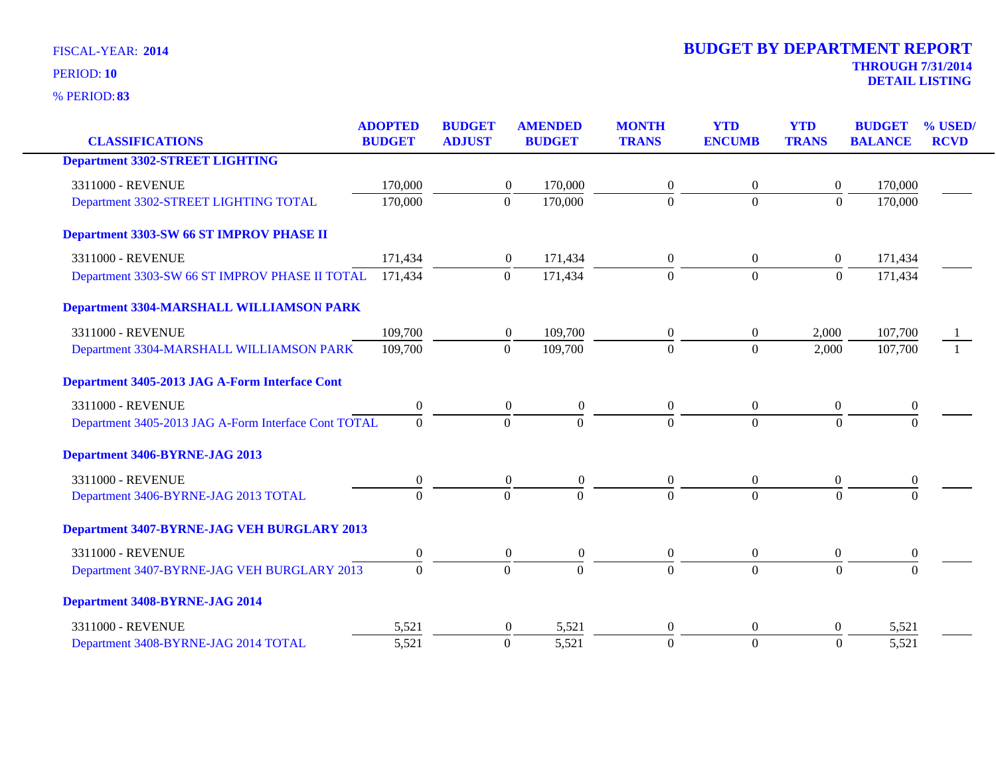| <b>CLASSIFICATIONS</b>                               | <b>ADOPTED</b><br><b>BUDGET</b> | <b>BUDGET</b><br><b>ADJUST</b> | <b>AMENDED</b><br><b>BUDGET</b> | <b>MONTH</b><br><b>TRANS</b> |                  | <b>YTD</b><br><b>ENCUMB</b> | <b>YTD</b><br><b>TRANS</b> | <b>BUDGET</b><br><b>BALANCE</b> | % USED/<br><b>RCVD</b> |
|------------------------------------------------------|---------------------------------|--------------------------------|---------------------------------|------------------------------|------------------|-----------------------------|----------------------------|---------------------------------|------------------------|
|                                                      |                                 |                                |                                 |                              |                  |                             |                            |                                 |                        |
| <b>Department 3302-STREET LIGHTING</b>               |                                 |                                |                                 |                              |                  |                             |                            |                                 |                        |
| 3311000 - REVENUE                                    | 170,000                         |                                | 170,000<br>$\boldsymbol{0}$     |                              | $\overline{0}$   | $\theta$                    | $\overline{0}$             | 170,000                         |                        |
| Department 3302-STREET LIGHTING TOTAL                | 170,000                         |                                | $\mathbf{0}$<br>170,000         |                              | $\Omega$         | $\overline{0}$              | $\boldsymbol{0}$           | 170,000                         |                        |
| Department 3303-SW 66 ST IMPROV PHASE II             |                                 |                                |                                 |                              |                  |                             |                            |                                 |                        |
| 3311000 - REVENUE                                    | 171,434                         |                                | $\boldsymbol{0}$<br>171,434     |                              | $\overline{0}$   | $\theta$                    | $\overline{0}$             | 171,434                         |                        |
| Department 3303-SW 66 ST IMPROV PHASE II TOTAL       | 171,434                         |                                | $\mathbf{0}$<br>171,434         |                              | $\overline{0}$   | $\overline{0}$              | $\boldsymbol{0}$           | 171,434                         |                        |
| <b>Department 3304-MARSHALL WILLIAMSON PARK</b>      |                                 |                                |                                 |                              |                  |                             |                            |                                 |                        |
| 3311000 - REVENUE                                    | 109,700                         |                                | 109,700<br>$\overline{0}$       |                              | $\overline{0}$   | $\overline{0}$              | 2,000                      | 107,700                         |                        |
| Department 3304-MARSHALL WILLIAMSON PARK             | 109,700                         |                                | $\mathbf{0}$<br>109,700         |                              | $\Omega$         | $\overline{0}$              | 2,000                      | 107,700                         |                        |
| Department 3405-2013 JAG A-Form Interface Cont       |                                 |                                |                                 |                              |                  |                             |                            |                                 |                        |
| 3311000 - REVENUE                                    | $\boldsymbol{0}$                |                                | $\overline{0}$                  | $\overline{0}$               | $\overline{0}$   | $\overline{0}$              | $\boldsymbol{0}$           | $\boldsymbol{0}$                |                        |
| Department 3405-2013 JAG A-Form Interface Cont TOTAL | $\overline{0}$                  |                                | $\Omega$                        | $\mathbf{0}$                 | $\Omega$         | $\Omega$                    | $\Omega$                   | $\Omega$                        |                        |
| Department 3406-BYRNE-JAG 2013                       |                                 |                                |                                 |                              |                  |                             |                            |                                 |                        |
| 3311000 - REVENUE                                    | $\boldsymbol{0}$                |                                | $\boldsymbol{0}$                | $\boldsymbol{0}$             | $\boldsymbol{0}$ | $\Omega$                    | $\theta$                   | $\mathbf{0}$                    |                        |
| Department 3406-BYRNE-JAG 2013 TOTAL                 | $\Omega$                        |                                | $\overline{0}$                  | $\Omega$                     | $\Omega$         | $\Omega$                    | $\Omega$                   | $\Omega$                        |                        |
| Department 3407-BYRNE-JAG VEH BURGLARY 2013          |                                 |                                |                                 |                              |                  |                             |                            |                                 |                        |
| 3311000 - REVENUE                                    | $\boldsymbol{0}$                |                                | $\boldsymbol{0}$                | $\boldsymbol{0}$             | $\boldsymbol{0}$ | $\overline{0}$              | $\boldsymbol{0}$           | $\boldsymbol{0}$                |                        |
| Department 3407-BYRNE-JAG VEH BURGLARY 2013          | $\Omega$                        |                                | $\boldsymbol{0}$                | $\Omega$                     | $\Omega$         | $\Omega$                    | $\Omega$                   | $\Omega$                        |                        |
| Department 3408-BYRNE-JAG 2014                       |                                 |                                |                                 |                              |                  |                             |                            |                                 |                        |
| 3311000 - REVENUE                                    | 5,521                           |                                | $\overline{0}$                  | 5,521                        | $\overline{0}$   | $\theta$                    | $\Omega$                   | 5,521                           |                        |
| Department 3408-BYRNE-JAG 2014 TOTAL                 | 5,521                           |                                | 5,521<br>$\Omega$               |                              | $\theta$         | $\mathbf{0}$                | $\theta$                   | 5,521                           |                        |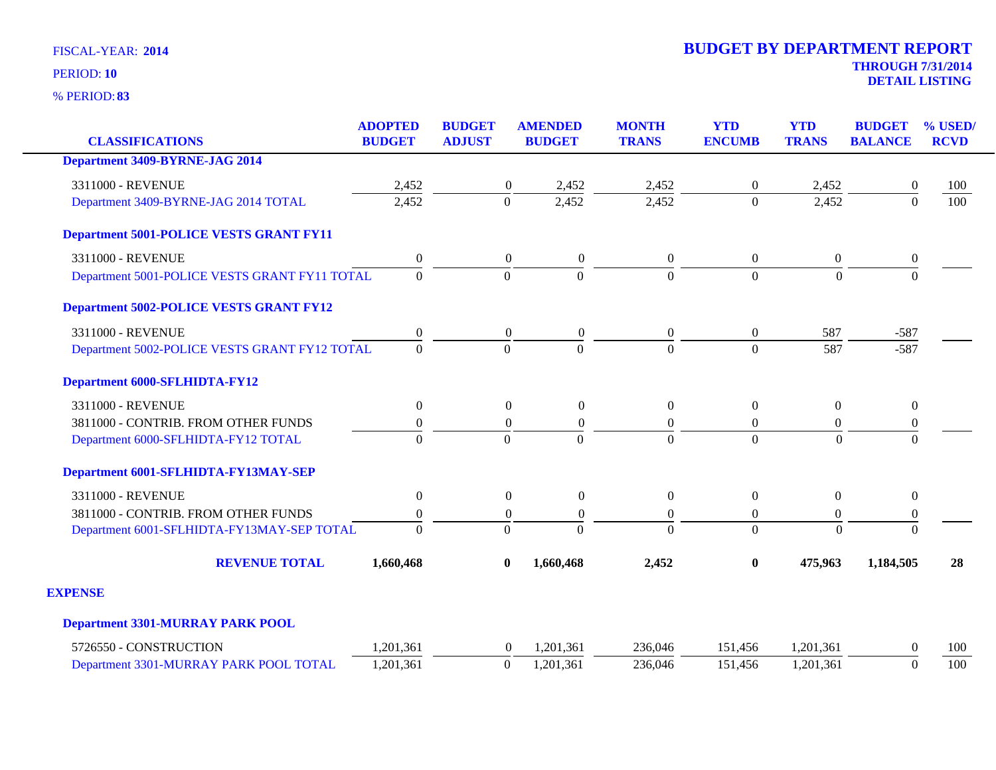| <b>CLASSIFICATIONS</b>                         | <b>ADOPTED</b><br><b>BUDGET</b> | <b>BUDGET</b><br><b>ADJUST</b> | <b>AMENDED</b><br><b>BUDGET</b> | <b>MONTH</b><br><b>TRANS</b> | <b>YTD</b><br><b>ENCUMB</b> | <b>YTD</b><br><b>TRANS</b> | <b>BUDGET</b><br><b>BALANCE</b> | % USED/<br><b>RCVD</b> |
|------------------------------------------------|---------------------------------|--------------------------------|---------------------------------|------------------------------|-----------------------------|----------------------------|---------------------------------|------------------------|
| <b>Department 3409-BYRNE-JAG 2014</b>          |                                 |                                |                                 |                              |                             |                            |                                 |                        |
| 3311000 - REVENUE                              | 2,452                           | $\boldsymbol{0}$               | 2,452                           | 2,452                        | $\overline{0}$              | 2,452                      | $\boldsymbol{0}$                | 100                    |
| Department 3409-BYRNE-JAG 2014 TOTAL           | 2,452                           | $\Omega$                       | 2,452                           | 2,452                        | $\Omega$                    | 2,452                      | $\Omega$                        | 100                    |
| <b>Department 5001-POLICE VESTS GRANT FY11</b> |                                 |                                |                                 |                              |                             |                            |                                 |                        |
| 3311000 - REVENUE                              | $\boldsymbol{0}$                | $\boldsymbol{0}$               | $\boldsymbol{0}$                | $\boldsymbol{0}$             | $\overline{0}$              | $\boldsymbol{0}$           | $\boldsymbol{0}$                |                        |
| Department 5001-POLICE VESTS GRANT FY11 TOTAL  | $\Omega$                        | $\Omega$                       | $\Omega$                        | $\overline{0}$               | $\Omega$                    | $\Omega$                   | $\Omega$                        |                        |
| <b>Department 5002-POLICE VESTS GRANT FY12</b> |                                 |                                |                                 |                              |                             |                            |                                 |                        |
| 3311000 - REVENUE                              | $\boldsymbol{0}$                | $\overline{0}$                 | $\boldsymbol{0}$                | $\boldsymbol{0}$             | $\overline{0}$              | 587                        | $-587$                          |                        |
| Department 5002-POLICE VESTS GRANT FY12 TOTAL  | $\overline{0}$                  | $\Omega$                       | $\Omega$                        | $\theta$                     | $\Omega$                    | 587                        | $-587$                          |                        |
| <b>Department 6000-SFLHIDTA-FY12</b>           |                                 |                                |                                 |                              |                             |                            |                                 |                        |
| 3311000 - REVENUE                              | $\boldsymbol{0}$                | $\boldsymbol{0}$               | $\boldsymbol{0}$                | $\boldsymbol{0}$             | $\overline{0}$              | $\overline{0}$             | $\boldsymbol{0}$                |                        |
| 3811000 - CONTRIB. FROM OTHER FUNDS            | $\boldsymbol{0}$                | $\boldsymbol{0}$               | $\overline{0}$                  | $\boldsymbol{0}$             | $\theta$                    | $\boldsymbol{0}$           | $\boldsymbol{0}$                |                        |
| Department 6000-SFLHIDTA-FY12 TOTAL            | $\Omega$                        | $\Omega$                       | $\Omega$                        | $\Omega$                     | $\Omega$                    | $\Omega$                   | $\Omega$                        |                        |
| Department 6001-SFLHIDTA-FY13MAY-SEP           |                                 |                                |                                 |                              |                             |                            |                                 |                        |
| 3311000 - REVENUE                              | $\boldsymbol{0}$                | $\overline{0}$                 | $\theta$                        | $\boldsymbol{0}$             | $\theta$                    | $\overline{0}$             | $\mathbf{0}$                    |                        |
| 3811000 - CONTRIB. FROM OTHER FUNDS            | $\boldsymbol{0}$                | $\boldsymbol{0}$               | $\overline{0}$                  | $\boldsymbol{0}$             | $\overline{0}$              | $\boldsymbol{0}$           | $\boldsymbol{0}$                |                        |
| Department 6001-SFLHIDTA-FY13MAY-SEP TOTAL     | $\Omega$                        | $\Omega$                       | $\Omega$                        | $\Omega$                     | $\Omega$                    | $\Omega$                   | $\Omega$                        |                        |
| <b>REVENUE TOTAL</b>                           | 1,660,468                       | $\bf{0}$                       | 1,660,468                       | 2,452                        | $\bf{0}$                    | 475,963                    | 1,184,505                       | 28                     |
| <b>EXPENSE</b>                                 |                                 |                                |                                 |                              |                             |                            |                                 |                        |
| <b>Department 3301-MURRAY PARK POOL</b>        |                                 |                                |                                 |                              |                             |                            |                                 |                        |
| 5726550 - CONSTRUCTION                         | 1,201,361                       | $\overline{0}$                 | 1,201,361                       | 236,046                      | 151,456                     | 1,201,361                  | $\Omega$                        | 100                    |
| Department 3301-MURRAY PARK POOL TOTAL         | 1,201,361                       | $\boldsymbol{0}$               | 1,201,361                       | 236,046                      | 151,456                     | 1,201,361                  | $\mathbf{0}$                    | 100                    |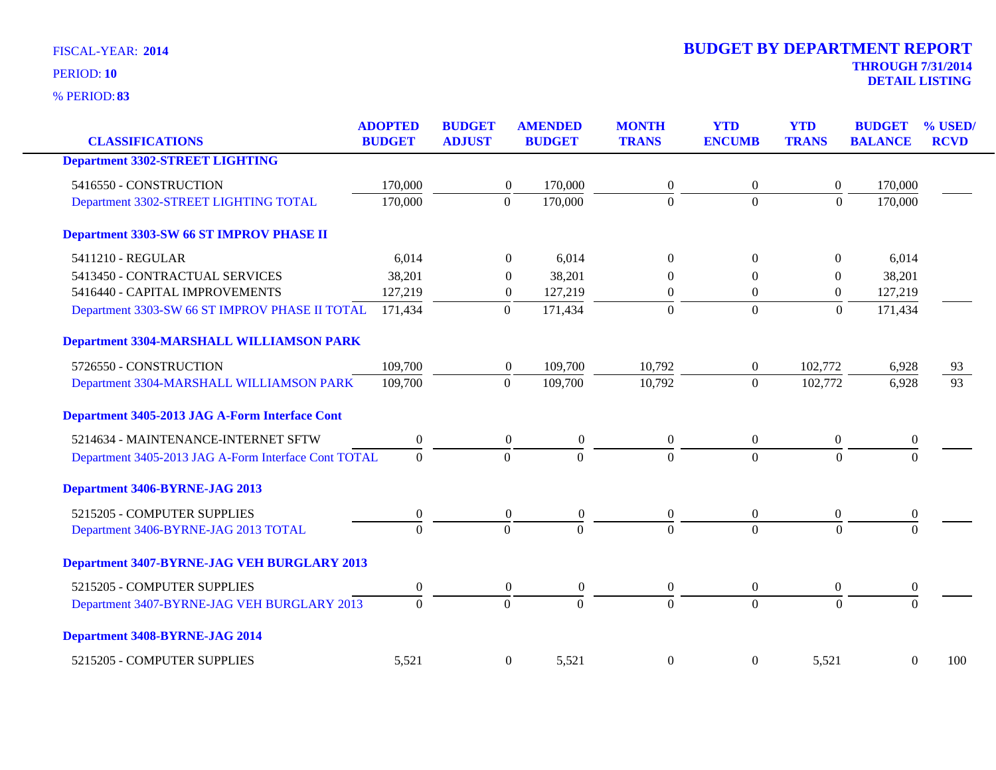| <b>CLASSIFICATIONS</b>                               | <b>ADOPTED</b><br><b>BUDGET</b> | <b>BUDGET</b><br><b>ADJUST</b> |                  | <b>AMENDED</b><br><b>BUDGET</b> | <b>MONTH</b><br><b>TRANS</b> | <b>YTD</b><br><b>ENCUMB</b> | <b>YTD</b><br><b>TRANS</b> | <b>BUDGET</b><br><b>BALANCE</b> | % USED/<br><b>RCVD</b> |
|------------------------------------------------------|---------------------------------|--------------------------------|------------------|---------------------------------|------------------------------|-----------------------------|----------------------------|---------------------------------|------------------------|
| <b>Department 3302-STREET LIGHTING</b>               |                                 |                                |                  |                                 |                              |                             |                            |                                 |                        |
| 5416550 - CONSTRUCTION                               | 170,000                         |                                | $\boldsymbol{0}$ | 170,000                         | $\boldsymbol{0}$             | $\boldsymbol{0}$            | $\boldsymbol{0}$           | 170,000                         |                        |
| Department 3302-STREET LIGHTING TOTAL                | 170,000                         |                                | $\overline{0}$   | 170,000                         | $\overline{0}$               | $\Omega$                    | $\Omega$                   | 170,000                         |                        |
| Department 3303-SW 66 ST IMPROV PHASE II             |                                 |                                |                  |                                 |                              |                             |                            |                                 |                        |
| 5411210 - REGULAR                                    | 6,014                           |                                | $\Omega$         | 6,014                           | $\Omega$                     | $\theta$                    | $\overline{0}$             | 6,014                           |                        |
| 5413450 - CONTRACTUAL SERVICES                       | 38,201                          |                                | $\Omega$         | 38,201                          |                              | $\theta$                    | $\overline{0}$             | 38,201                          |                        |
| 5416440 - CAPITAL IMPROVEMENTS                       | 127,219                         |                                | $\boldsymbol{0}$ | 127,219                         | $\boldsymbol{0}$             | $\overline{0}$              | $\boldsymbol{0}$           | 127,219                         |                        |
| Department 3303-SW 66 ST IMPROV PHASE II TOTAL       | 171,434                         |                                | $\boldsymbol{0}$ | 171,434                         | $\mathbf{0}$                 | $\boldsymbol{0}$            | $\boldsymbol{0}$           | 171,434                         |                        |
| <b>Department 3304-MARSHALL WILLIAMSON PARK</b>      |                                 |                                |                  |                                 |                              |                             |                            |                                 |                        |
| 5726550 - CONSTRUCTION                               | 109,700                         |                                | $\boldsymbol{0}$ | 109,700                         | 10,792                       | $\boldsymbol{0}$            | 102,772                    | 6,928                           | 93                     |
| Department 3304-MARSHALL WILLIAMSON PARK             | 109,700                         |                                | $\boldsymbol{0}$ | 109,700                         | 10,792                       | $\overline{0}$              | 102,772                    | 6,928                           | $\overline{93}$        |
| Department 3405-2013 JAG A-Form Interface Cont       |                                 |                                |                  |                                 |                              |                             |                            |                                 |                        |
| 5214634 - MAINTENANCE-INTERNET SFTW                  | $\boldsymbol{0}$                |                                | $\mathbf{0}$     | $\theta$                        | $\boldsymbol{0}$             | $\boldsymbol{0}$            | $\overline{0}$             | $\boldsymbol{0}$                |                        |
| Department 3405-2013 JAG A-Form Interface Cont TOTAL | $\overline{0}$                  |                                | $\overline{0}$   | $\theta$                        | $\overline{0}$               | $\Omega$                    | $\overline{0}$             | $\theta$                        |                        |
| Department 3406-BYRNE-JAG 2013                       |                                 |                                |                  |                                 |                              |                             |                            |                                 |                        |
| 5215205 - COMPUTER SUPPLIES                          | 0                               |                                | $\theta$         | $\boldsymbol{0}$                | $\overline{0}$               | $\overline{0}$              | $\overline{0}$             | $\bf{0}$                        |                        |
| Department 3406-BYRNE-JAG 2013 TOTAL                 | $\overline{0}$                  |                                | $\overline{0}$   | $\overline{0}$                  | $\Omega$                     | $\Omega$                    | $\overline{0}$             | $\overline{0}$                  |                        |
| Department 3407-BYRNE-JAG VEH BURGLARY 2013          |                                 |                                |                  |                                 |                              |                             |                            |                                 |                        |
| 5215205 - COMPUTER SUPPLIES                          | $\boldsymbol{0}$                |                                | $\overline{0}$   | $\theta$                        | $\overline{0}$               | $\overline{0}$              | $\overline{0}$             | $\boldsymbol{0}$                |                        |
| Department 3407-BYRNE-JAG VEH BURGLARY 2013          | $\mathbf{0}$                    |                                | $\overline{0}$   | $\overline{0}$                  | $\overline{0}$               | $\overline{0}$              | $\overline{0}$             | $\mathbf{0}$                    |                        |
| Department 3408-BYRNE-JAG 2014                       |                                 |                                |                  |                                 |                              |                             |                            |                                 |                        |
| 5215205 - COMPUTER SUPPLIES                          | 5,521                           |                                | $\boldsymbol{0}$ | 5,521                           | $\boldsymbol{0}$             | $\overline{0}$              | 5,521                      | $\boldsymbol{0}$                | 100                    |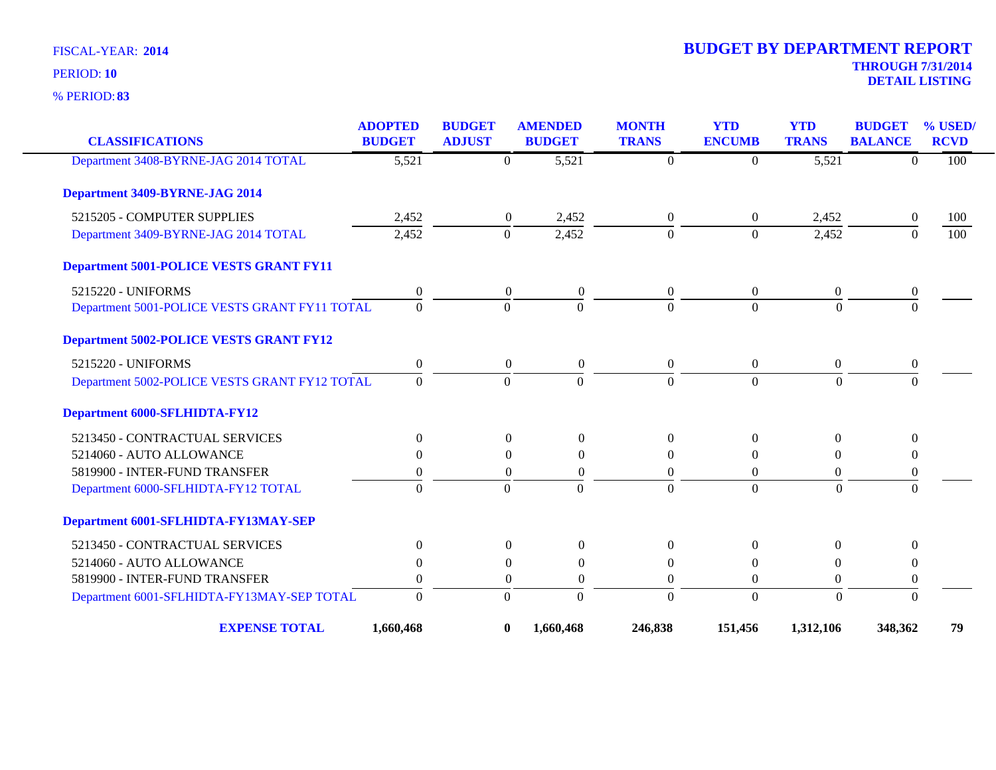**83** % PERIOD:

| <b>CLASSIFICATIONS</b>                         | <b>ADOPTED</b><br><b>BUDGET</b> | <b>BUDGET</b><br><b>ADJUST</b> | <b>AMENDED</b><br><b>BUDGET</b> |                    | <b>MONTH</b><br><b>TRANS</b> | <b>YTD</b><br><b>ENCUMB</b> | <b>YTD</b><br><b>TRANS</b> | <b>BUDGET</b><br><b>BALANCE</b> | % USED/<br><b>RCVD</b> |
|------------------------------------------------|---------------------------------|--------------------------------|---------------------------------|--------------------|------------------------------|-----------------------------|----------------------------|---------------------------------|------------------------|
| Department 3408-BYRNE-JAG 2014 TOTAL           | $\overline{5,521}$              |                                | $\Omega$                        | $\overline{5,521}$ | $\Omega$                     | $\Omega$                    | $\overline{5,521}$         | $\Omega$                        | 100                    |
| Department 3409-BYRNE-JAG 2014                 |                                 |                                |                                 |                    |                              |                             |                            |                                 |                        |
| 5215205 - COMPUTER SUPPLIES                    | 2,452                           |                                | $\boldsymbol{0}$                | 2,452              | $\overline{0}$               | $\overline{0}$              | 2,452                      | $\mathbf{0}$                    | 100                    |
| Department 3409-BYRNE-JAG 2014 TOTAL           | 2,452                           |                                | $\mathbf{0}$                    | 2,452              | $\Omega$                     | $\theta$                    | 2,452                      | $\Omega$                        | 100                    |
| <b>Department 5001-POLICE VESTS GRANT FY11</b> |                                 |                                |                                 |                    |                              |                             |                            |                                 |                        |
| 5215220 - UNIFORMS                             | $\boldsymbol{0}$                |                                | $\boldsymbol{0}$                | $\boldsymbol{0}$   | $\overline{0}$               | $\boldsymbol{0}$            | $\boldsymbol{0}$           | $\boldsymbol{0}$                |                        |
| Department 5001-POLICE VESTS GRANT FY11 TOTAL  | $\Omega$                        |                                | $\Omega$                        | $\Omega$           | $\Omega$                     | $\Omega$                    | $\Omega$                   | $\Omega$                        |                        |
| <b>Department 5002-POLICE VESTS GRANT FY12</b> |                                 |                                |                                 |                    |                              |                             |                            |                                 |                        |
| 5215220 - UNIFORMS                             | $\boldsymbol{0}$                |                                | $\boldsymbol{0}$                | $\mathbf{0}$       | $\overline{0}$               | $\boldsymbol{0}$            | $\boldsymbol{0}$           | $\boldsymbol{0}$                |                        |
| Department 5002-POLICE VESTS GRANT FY12 TOTAL  | $\Omega$                        |                                | $\Omega$                        | $\Omega$           | $\Omega$                     | $\Omega$                    | $\Omega$                   | $\Omega$                        |                        |
| <b>Department 6000-SFLHIDTA-FY12</b>           |                                 |                                |                                 |                    |                              |                             |                            |                                 |                        |
| 5213450 - CONTRACTUAL SERVICES                 | $\overline{0}$                  |                                | $\boldsymbol{0}$                | $\Omega$           | $\overline{0}$               | $\Omega$                    | $\Omega$                   | $\theta$                        |                        |
| 5214060 - AUTO ALLOWANCE                       | $\Omega$                        |                                | $\Omega$                        | $\Omega$           | $\Omega$                     | $\Omega$                    | $\Omega$                   | $\theta$                        |                        |
| 5819900 - INTER-FUND TRANSFER                  | $\theta$                        |                                | $\Omega$                        | $\theta$           | $\overline{0}$               | $\theta$                    | $\theta$                   | $\boldsymbol{0}$                |                        |
| Department 6000-SFLHIDTA-FY12 TOTAL            | $\overline{0}$                  |                                | $\theta$                        | $\Omega$           | $\Omega$                     | $\Omega$                    | $\Omega$                   | $\mathbf{0}$                    |                        |
| Department 6001-SFLHIDTA-FY13MAY-SEP           |                                 |                                |                                 |                    |                              |                             |                            |                                 |                        |
| 5213450 - CONTRACTUAL SERVICES                 | $\overline{0}$                  |                                | $\boldsymbol{0}$                | $\theta$           | $\overline{0}$               | $\Omega$                    | $\mathbf{0}$               | $\theta$                        |                        |
| 5214060 - AUTO ALLOWANCE                       | 0                               |                                | $\theta$                        | $\theta$           | $\theta$                     | $\left($                    | $\theta$                   | $\boldsymbol{0}$                |                        |
| 5819900 - INTER-FUND TRANSFER                  | $\overline{0}$                  |                                | $\mathbf{0}$                    | $\boldsymbol{0}$   | $\Omega$                     | $\Omega$                    | $\boldsymbol{0}$           | $\boldsymbol{0}$                |                        |
| Department 6001-SFLHIDTA-FY13MAY-SEP TOTAL     | $\mathbf{0}$                    |                                | $\mathbf{0}$                    | $\overline{0}$     | $\Omega$                     | $\overline{0}$              | $\mathbf{0}$               | $\mathbf{0}$                    |                        |
| <b>EXPENSE TOTAL</b>                           | 1,660,468                       |                                | $\bf{0}$                        | 1,660,468          | 246,838                      | 151,456                     | 1,312,106                  | 348,362                         | 79                     |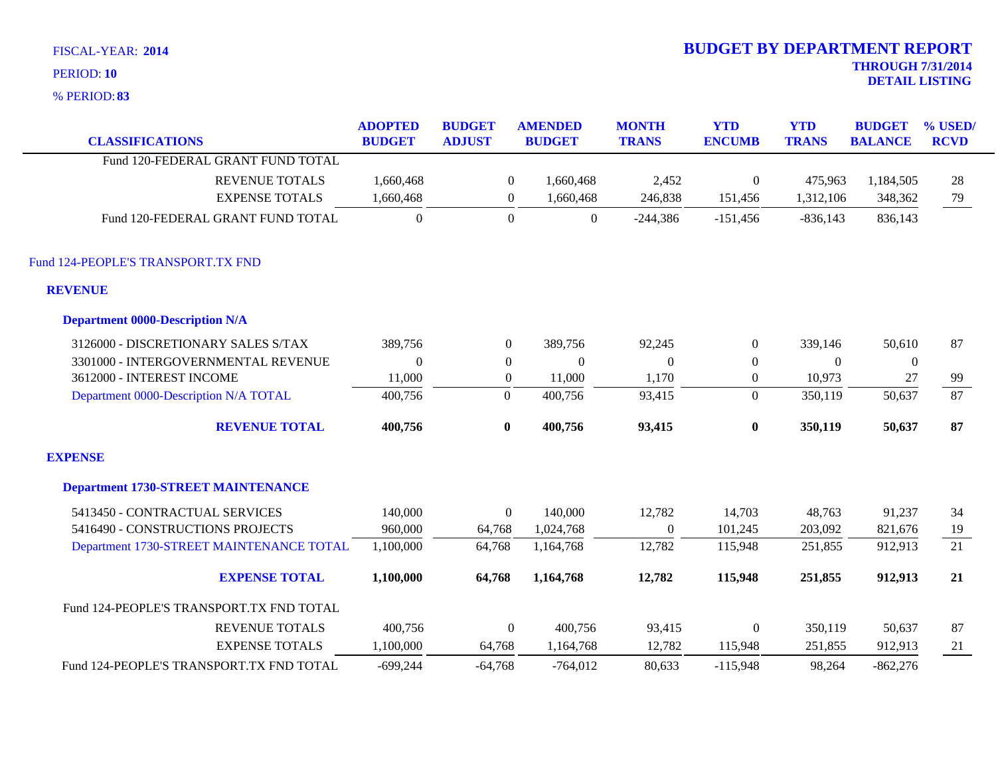|  |  | <b>FISCAL-YEAR: 2014</b> |  |
|--|--|--------------------------|--|
|--|--|--------------------------|--|

**83** % PERIOD:

| <b>CLASSIFICATIONS</b>                    | <b>ADOPTED</b><br><b>BUDGET</b> | <b>BUDGET</b><br><b>ADJUST</b> | <b>AMENDED</b><br><b>BUDGET</b> | <b>MONTH</b><br><b>TRANS</b> | <b>YTD</b><br><b>ENCUMB</b> | <b>YTD</b><br><b>TRANS</b> | <b>BUDGET</b><br><b>BALANCE</b> | % USED/<br><b>RCVD</b> |
|-------------------------------------------|---------------------------------|--------------------------------|---------------------------------|------------------------------|-----------------------------|----------------------------|---------------------------------|------------------------|
| Fund 120-FEDERAL GRANT FUND TOTAL         |                                 |                                |                                 |                              |                             |                            |                                 |                        |
| <b>REVENUE TOTALS</b>                     | 1,660,468                       | $\mathbf{0}$                   | 1,660,468                       | 2,452                        | $\mathbf{0}$                | 475,963                    | 1,184,505                       | 28                     |
| <b>EXPENSE TOTALS</b>                     | 1,660,468                       | $\boldsymbol{0}$               | 1,660,468                       | 246,838                      | 151,456                     | 1,312,106                  | 348,362                         | 79                     |
| Fund 120-FEDERAL GRANT FUND TOTAL         | $\Omega$                        | $\Omega$                       | $\overline{0}$                  | $-244,386$                   | $-151,456$                  | $-836,143$                 | 836,143                         |                        |
| Fund 124-PEOPLE'S TRANSPORT.TX FND        |                                 |                                |                                 |                              |                             |                            |                                 |                        |
| <b>REVENUE</b>                            |                                 |                                |                                 |                              |                             |                            |                                 |                        |
| <b>Department 0000-Description N/A</b>    |                                 |                                |                                 |                              |                             |                            |                                 |                        |
| 3126000 - DISCRETIONARY SALES S/TAX       | 389,756                         | $\overline{0}$                 | 389,756                         | 92,245                       | $\overline{0}$              | 339,146                    | 50,610                          | 87                     |
| 3301000 - INTERGOVERNMENTAL REVENUE       | $\mathbf{0}$                    | $\overline{0}$                 | $\boldsymbol{0}$                | $\overline{0}$               | $\theta$                    | $\theta$                   | $\boldsymbol{0}$                |                        |
| 3612000 - INTEREST INCOME                 | 11,000                          | $\boldsymbol{0}$               | 11,000                          | 1,170                        | $\overline{0}$              | 10,973                     | 27                              | 99                     |
| Department 0000-Description N/A TOTAL     | 400,756                         | $\mathbf{0}$                   | 400,756                         | 93,415                       | $\Omega$                    | 350,119                    | 50,637                          | 87                     |
| <b>REVENUE TOTAL</b>                      | 400,756                         | $\bf{0}$                       | 400,756                         | 93,415                       | $\bf{0}$                    | 350,119                    | 50,637                          | 87                     |
| <b>EXPENSE</b>                            |                                 |                                |                                 |                              |                             |                            |                                 |                        |
| <b>Department 1730-STREET MAINTENANCE</b> |                                 |                                |                                 |                              |                             |                            |                                 |                        |
| 5413450 - CONTRACTUAL SERVICES            | 140,000                         | $\overline{0}$                 | 140,000                         | 12,782                       | 14,703                      | 48,763                     | 91,237                          | 34                     |
| 5416490 - CONSTRUCTIONS PROJECTS          | 960,000                         | 64,768                         | 1,024,768                       | $\Omega$                     | 101,245                     | 203,092                    | 821,676                         | 19                     |
| Department 1730-STREET MAINTENANCE TOTAL  | 1,100,000                       | 64,768                         | 1,164,768                       | 12,782                       | 115,948                     | 251,855                    | 912,913                         | $\overline{21}$        |
| <b>EXPENSE TOTAL</b>                      | 1,100,000                       | 64,768                         | 1,164,768                       | 12,782                       | 115,948                     | 251,855                    | 912,913                         | 21                     |
| Fund 124-PEOPLE'S TRANSPORT.TX FND TOTAL  |                                 |                                |                                 |                              |                             |                            |                                 |                        |
| <b>REVENUE TOTALS</b>                     | 400,756                         | $\overline{0}$                 | 400,756                         | 93,415                       | $\boldsymbol{0}$            | 350,119                    | 50,637                          | 87                     |
| <b>EXPENSE TOTALS</b>                     | 1,100,000                       | 64,768                         | 1,164,768                       | 12,782                       | 115,948                     | 251,855                    | 912,913                         | 21                     |
| Fund 124-PEOPLE'S TRANSPORT.TX FND TOTAL  | $-699,244$                      | $-64,768$                      | $-764,012$                      | 80,633                       | $-115,948$                  | 98,264                     | $-862,276$                      |                        |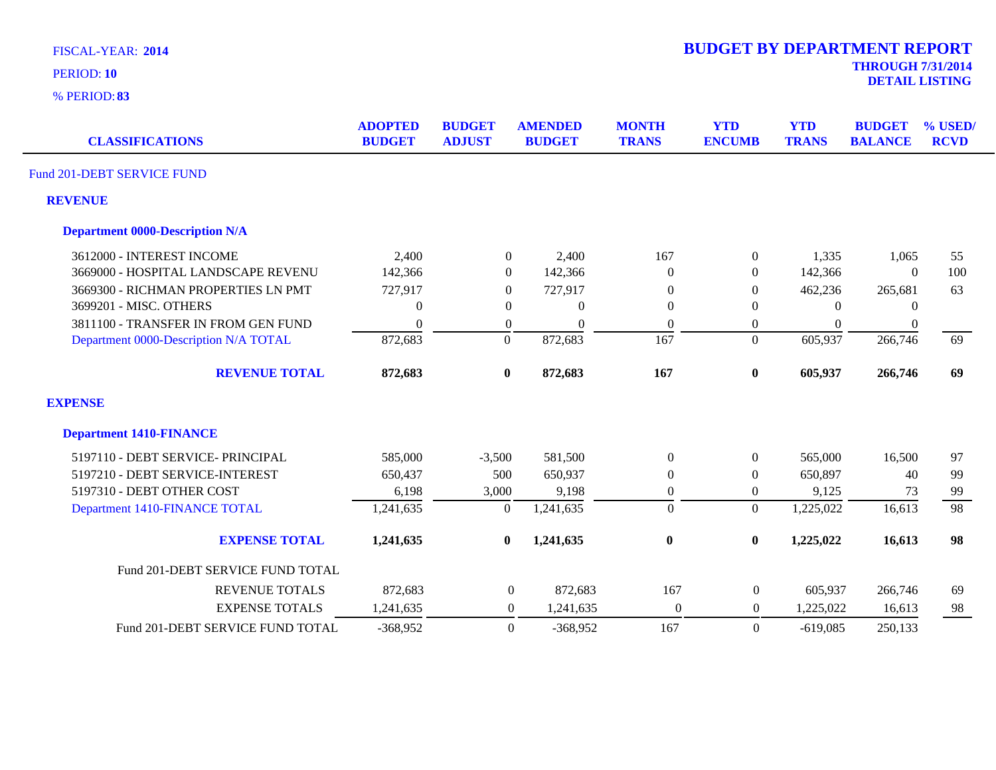|  | <b>FISCAL-YEAR: 2014</b> |  |
|--|--------------------------|--|
|--|--------------------------|--|

| <b>CLASSIFICATIONS</b>                 | <b>ADOPTED</b><br><b>BUDGET</b> | <b>BUDGET</b><br><b>ADJUST</b> | <b>AMENDED</b><br><b>BUDGET</b> | <b>MONTH</b><br><b>TRANS</b> | <b>YTD</b><br><b>ENCUMB</b> | <b>YTD</b><br><b>TRANS</b> | <b>BUDGET</b><br><b>BALANCE</b> | % USED/<br><b>RCVD</b> |
|----------------------------------------|---------------------------------|--------------------------------|---------------------------------|------------------------------|-----------------------------|----------------------------|---------------------------------|------------------------|
| Fund 201-DEBT SERVICE FUND             |                                 |                                |                                 |                              |                             |                            |                                 |                        |
| <b>REVENUE</b>                         |                                 |                                |                                 |                              |                             |                            |                                 |                        |
| <b>Department 0000-Description N/A</b> |                                 |                                |                                 |                              |                             |                            |                                 |                        |
| 3612000 - INTEREST INCOME              | 2,400                           | $\boldsymbol{0}$               | 2,400                           | 167                          | $\boldsymbol{0}$            | 1,335                      | 1,065                           | 55                     |
| 3669000 - HOSPITAL LANDSCAPE REVENU    | 142,366                         | $\overline{0}$                 | 142,366                         | $\Omega$                     | $\overline{0}$              | 142,366                    | $\theta$                        | 100                    |
| 3669300 - RICHMAN PROPERTIES LN PMT    | 727,917                         | $\Omega$                       | 727,917                         | 0                            | $\overline{0}$              | 462,236                    | 265,681                         | 63                     |
| 3699201 - MISC. OTHERS                 | $\Omega$                        | $\theta$                       | $\Omega$                        | $\Omega$                     | 0                           | $\Omega$                   | $\left($                        |                        |
| 3811100 - TRANSFER IN FROM GEN FUND    | $\Omega$                        | $\boldsymbol{0}$               | $\Omega$                        | $\Omega$                     | 0                           | $\overline{0}$             | $\boldsymbol{0}$                |                        |
| Department 0000-Description N/A TOTAL  | 872,683                         | $\boldsymbol{0}$               | 872,683                         | 167                          | $\overline{0}$              | 605,937                    | 266,746                         | 69                     |
| <b>REVENUE TOTAL</b>                   | 872,683                         | $\mathbf{0}$                   | 872,683                         | 167                          | $\boldsymbol{0}$            | 605,937                    | 266,746                         | 69                     |
| <b>EXPENSE</b>                         |                                 |                                |                                 |                              |                             |                            |                                 |                        |
| <b>Department 1410-FINANCE</b>         |                                 |                                |                                 |                              |                             |                            |                                 |                        |
| 5197110 - DEBT SERVICE- PRINCIPAL      | 585,000                         | $-3,500$                       | 581,500                         | $\mathbf{0}$                 | $\overline{0}$              | 565,000                    | 16,500                          | 97                     |
| 5197210 - DEBT SERVICE-INTEREST        | 650,437                         | 500                            | 650,937                         | $\theta$                     | $\Omega$                    | 650,897                    | 40                              | 99                     |
| 5197310 - DEBT OTHER COST              | 6,198                           | 3,000                          | 9,198                           | $\boldsymbol{0}$             | 0                           | 9,125                      | 73                              | 99                     |
| Department 1410-FINANCE TOTAL          | 1,241,635                       | $\mathbf{0}$                   | 1,241,635                       | $\overline{0}$               | $\overline{0}$              | 1,225,022                  | 16,613                          | 98                     |
| <b>EXPENSE TOTAL</b>                   | 1,241,635                       | $\bf{0}$                       | 1,241,635                       | $\boldsymbol{0}$             | $\bf{0}$                    | 1,225,022                  | 16,613                          | 98                     |
| Fund 201-DEBT SERVICE FUND TOTAL       |                                 |                                |                                 |                              |                             |                            |                                 |                        |
| <b>REVENUE TOTALS</b>                  | 872,683                         | $\boldsymbol{0}$               | 872,683                         | 167                          | $\boldsymbol{0}$            | 605,937                    | 266,746                         | 69                     |
| <b>EXPENSE TOTALS</b>                  | 1,241,635                       | $\theta$                       | 1,241,635                       | $\boldsymbol{0}$             | $\overline{0}$              | 1,225,022                  | 16,613                          | 98                     |
| Fund 201-DEBT SERVICE FUND TOTAL       | $-368,952$                      | $\Omega$                       | $-368,952$                      | 167                          | $\theta$                    | $-619,085$                 | 250,133                         |                        |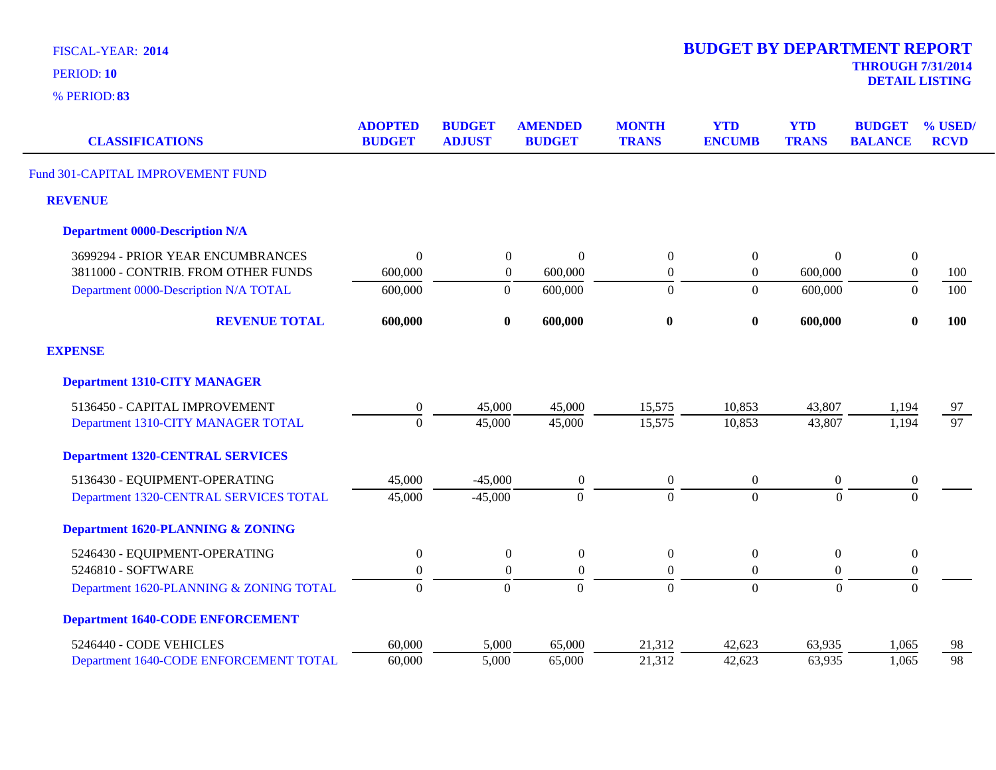**83** % PERIOD:

**DETAIL LISTING** PERIOD: **<sup>10</sup>**

| <b>CLASSIFICATIONS</b>                       | <b>ADOPTED</b><br><b>BUDGET</b> | <b>BUDGET</b><br><b>ADJUST</b> | <b>AMENDED</b><br><b>BUDGET</b> | <b>MONTH</b><br><b>TRANS</b> | <b>YTD</b><br><b>ENCUMB</b> | <b>YTD</b><br><b>TRANS</b> | <b>BUDGET</b><br><b>BALANCE</b> | % USED/<br><b>RCVD</b> |
|----------------------------------------------|---------------------------------|--------------------------------|---------------------------------|------------------------------|-----------------------------|----------------------------|---------------------------------|------------------------|
| Fund 301-CAPITAL IMPROVEMENT FUND            |                                 |                                |                                 |                              |                             |                            |                                 |                        |
| <b>REVENUE</b>                               |                                 |                                |                                 |                              |                             |                            |                                 |                        |
| <b>Department 0000-Description N/A</b>       |                                 |                                |                                 |                              |                             |                            |                                 |                        |
| 3699294 - PRIOR YEAR ENCUMBRANCES            | $\Omega$                        | $\boldsymbol{0}$               | $\Omega$                        | $\boldsymbol{0}$             | $\boldsymbol{0}$            | 0                          | $\boldsymbol{0}$                |                        |
| 3811000 - CONTRIB. FROM OTHER FUNDS          | 600,000                         | $\boldsymbol{0}$               | 600,000                         | $\boldsymbol{0}$             | $\boldsymbol{0}$            | 600,000                    | $\boldsymbol{0}$                | 100                    |
| Department 0000-Description N/A TOTAL        | 600,000                         | $\overline{0}$                 | 600,000                         | $\theta$                     | $\overline{0}$              | 600,000                    | $\theta$                        | 100                    |
| <b>REVENUE TOTAL</b>                         | 600,000                         | $\bf{0}$                       | 600,000                         | $\bf{0}$                     | $\bf{0}$                    | 600,000                    | $\bf{0}$                        | 100                    |
| <b>EXPENSE</b>                               |                                 |                                |                                 |                              |                             |                            |                                 |                        |
| <b>Department 1310-CITY MANAGER</b>          |                                 |                                |                                 |                              |                             |                            |                                 |                        |
| 5136450 - CAPITAL IMPROVEMENT                | $\boldsymbol{0}$                | 45,000                         | 45,000                          | 15,575                       | 10,853                      | 43,807                     | 1,194                           | 97                     |
| Department 1310-CITY MANAGER TOTAL           | $\Omega$                        | 45,000                         | 45,000                          | 15,575                       | 10,853                      | 43,807                     | 1,194                           | $\overline{97}$        |
| <b>Department 1320-CENTRAL SERVICES</b>      |                                 |                                |                                 |                              |                             |                            |                                 |                        |
| 5136430 - EQUIPMENT-OPERATING                | 45,000                          | $-45,000$                      | $\boldsymbol{0}$                | $\boldsymbol{0}$             | $\overline{0}$              | $\boldsymbol{0}$           | $\boldsymbol{0}$                |                        |
| Department 1320-CENTRAL SERVICES TOTAL       | 45,000                          | $-45,000$                      | $\overline{0}$                  | $\overline{0}$               | $\overline{0}$              | $\Omega$                   | $\mathbf{0}$                    |                        |
| <b>Department 1620-PLANNING &amp; ZONING</b> |                                 |                                |                                 |                              |                             |                            |                                 |                        |
| 5246430 - EQUIPMENT-OPERATING                | $\boldsymbol{0}$                | $\boldsymbol{0}$               | $\boldsymbol{0}$                | $\boldsymbol{0}$             | $\boldsymbol{0}$            | $\boldsymbol{0}$           | $\boldsymbol{0}$                |                        |
| 5246810 - SOFTWARE                           | $\boldsymbol{0}$                | $\boldsymbol{0}$               | $\boldsymbol{0}$                | $\boldsymbol{0}$             | $\overline{0}$              | $\boldsymbol{0}$           | $\boldsymbol{0}$                |                        |
| Department 1620-PLANNING & ZONING TOTAL      | $\overline{0}$                  | $\overline{0}$                 | $\overline{0}$                  | $\mathbf{0}$                 | $\overline{0}$              | $\boldsymbol{0}$           | $\overline{0}$                  |                        |
| <b>Department 1640-CODE ENFORCEMENT</b>      |                                 |                                |                                 |                              |                             |                            |                                 |                        |
| 5246440 - CODE VEHICLES                      | 60,000                          | 5,000                          | 65,000                          | 21,312                       | 42,623                      | 63,935                     | 1,065                           | 98                     |
| Department 1640-CODE ENFORCEMENT TOTAL       | 60,000                          | 5,000                          | 65,000                          | 21,312                       | 42,623                      | 63,935                     | 1,065                           | 98                     |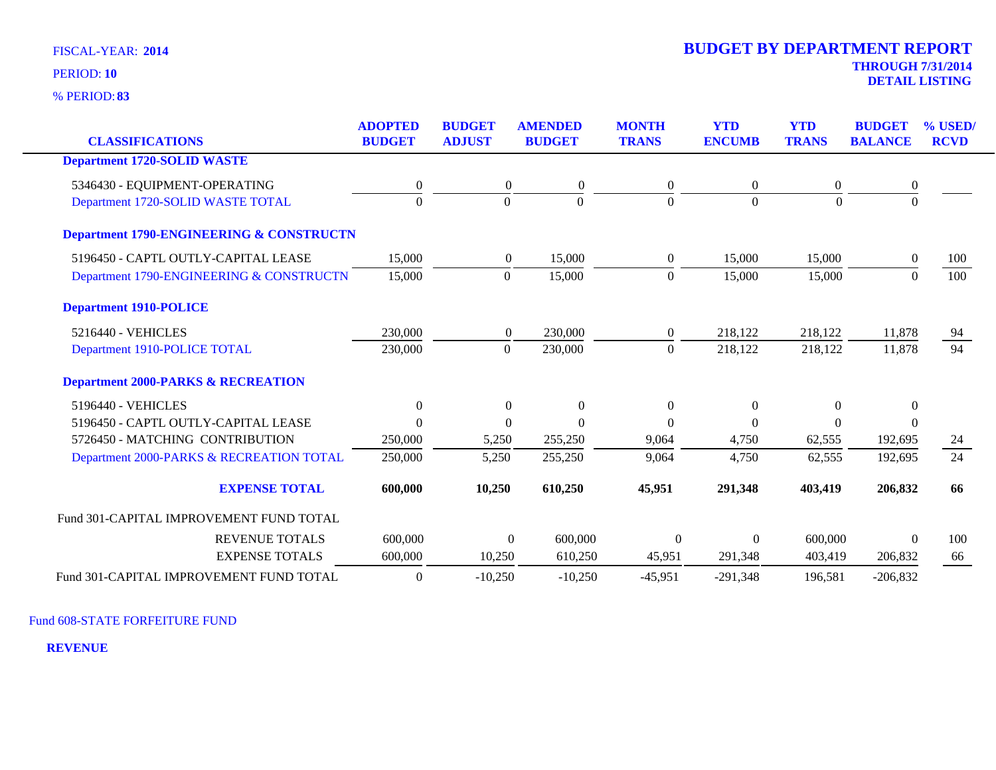**83** % PERIOD:

|                                                     | <b>ADOPTED</b>   | <b>BUDGET</b>    | <b>AMENDED</b>      | <b>MONTH</b>     | <b>YTD</b>       | <b>YTD</b>     | <b>BUDGET</b>    | % USED/     |
|-----------------------------------------------------|------------------|------------------|---------------------|------------------|------------------|----------------|------------------|-------------|
| <b>CLASSIFICATIONS</b>                              | <b>BUDGET</b>    | <b>ADJUST</b>    | <b>BUDGET</b>       | <b>TRANS</b>     | <b>ENCUMB</b>    | <b>TRANS</b>   | <b>BALANCE</b>   | <b>RCVD</b> |
| <b>Department 1720-SOLID WASTE</b>                  |                  |                  |                     |                  |                  |                |                  |             |
| 5346430 - EQUIPMENT-OPERATING                       | $\boldsymbol{0}$ | $\boldsymbol{0}$ | $\overline{0}$      | $\overline{0}$   | $\theta$         | $\overline{0}$ | $\boldsymbol{0}$ |             |
| Department 1720-SOLID WASTE TOTAL                   | $\theta$         | $\Omega$         | $\Omega$            | $\Omega$         | $\Omega$         | $\theta$       | $\Omega$         |             |
| <b>Department 1790-ENGINEERING &amp; CONSTRUCTN</b> |                  |                  |                     |                  |                  |                |                  |             |
| 5196450 - CAPTL OUTLY-CAPITAL LEASE                 | 15,000           | $\overline{0}$   | 15,000              | $\overline{0}$   | 15,000           | 15,000         | $\overline{0}$   | 100         |
| Department 1790-ENGINEERING & CONSTRUCTN            | 15,000           | $\overline{0}$   | 15,000              | $\Omega$         | 15,000           | 15,000         | $\Omega$         | 100         |
| <b>Department 1910-POLICE</b>                       |                  |                  |                     |                  |                  |                |                  |             |
| 5216440 - VEHICLES                                  | 230,000          | $\overline{0}$   | 230,000             | $\overline{0}$   | 218,122          | 218,122        | 11,878           | 94          |
| Department 1910-POLICE TOTAL                        | 230,000          | $\boldsymbol{0}$ | 230,000             | $\theta$         | 218,122          | 218,122        | 11,878           | 94          |
| <b>Department 2000-PARKS &amp; RECREATION</b>       |                  |                  |                     |                  |                  |                |                  |             |
| 5196440 - VEHICLES                                  | $\boldsymbol{0}$ | $\overline{0}$   | $\boldsymbol{0}$    | $\boldsymbol{0}$ | $\boldsymbol{0}$ | $\mathbf{0}$   | $\Omega$         |             |
| 5196450 - CAPTL OUTLY-CAPITAL LEASE                 | $\theta$         | $\theta$         | $\Omega$            | $\Omega$         | $\Omega$         | $\Omega$       | $\Omega$         |             |
| 5726450 - MATCHING CONTRIBUTION                     | 250,000          | 5,250            | 255,250             | 9,064            | 4,750            | 62,555         | 192,695          | 24          |
| Department 2000-PARKS & RECREATION TOTAL            | 250,000          | 5,250            | 255,250             | 9,064            | 4,750            | 62,555         | 192,695          | 24          |
| <b>EXPENSE TOTAL</b>                                | 600,000          | 10,250           | 610,250             | 45,951           | 291,348          | 403,419        | 206,832          | 66          |
| Fund 301-CAPITAL IMPROVEMENT FUND TOTAL             |                  |                  |                     |                  |                  |                |                  |             |
| <b>REVENUE TOTALS</b>                               | 600,000          |                  | 600,000<br>$\Omega$ | $\overline{0}$   | $\theta$         | 600,000        | $\Omega$         | 100         |
| <b>EXPENSE TOTALS</b>                               | 600,000          | 10,250           | 610,250             | 45,951           | 291,348          | 403,419        | 206,832          | 66          |
| Fund 301-CAPITAL IMPROVEMENT FUND TOTAL             | $\overline{0}$   | $-10,250$        | $-10,250$           | $-45,951$        | $-291,348$       | 196,581        | $-206,832$       |             |

Fund 608-STATE FORFEITURE FUND

**REVENUE**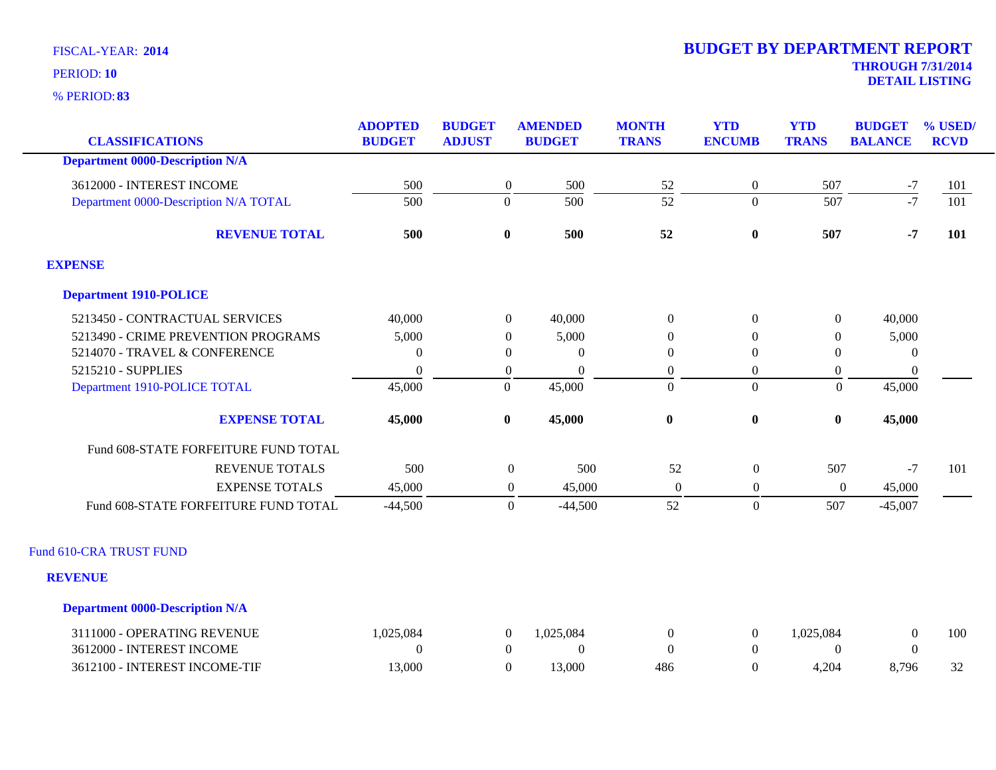**83** % PERIOD:

| <b>CLASSIFICATIONS</b>                                             | <b>ADOPTED</b><br><b>BUDGET</b> | <b>BUDGET</b><br><b>ADJUST</b>     | <b>AMENDED</b><br><b>BUDGET</b> | <b>MONTH</b><br><b>TRANS</b> | <b>YTD</b><br><b>ENCUMB</b>        | <b>YTD</b><br><b>TRANS</b> | <b>BUDGET</b><br><b>BALANCE</b> | % USED/<br><b>RCVD</b> |
|--------------------------------------------------------------------|---------------------------------|------------------------------------|---------------------------------|------------------------------|------------------------------------|----------------------------|---------------------------------|------------------------|
| <b>Department 0000-Description N/A</b>                             |                                 |                                    |                                 |                              |                                    |                            |                                 |                        |
|                                                                    |                                 |                                    |                                 |                              |                                    |                            |                                 |                        |
| 3612000 - INTEREST INCOME<br>Department 0000-Description N/A TOTAL | 500<br>500                      | $\boldsymbol{0}$<br>$\overline{0}$ | 500<br>500                      | 52<br>$\overline{52}$        | $\boldsymbol{0}$<br>$\overline{0}$ | 507<br>507                 | $\frac{-7}{-7}$                 | 101<br>101             |
|                                                                    |                                 |                                    |                                 |                              |                                    |                            |                                 |                        |
| <b>REVENUE TOTAL</b>                                               | 500                             | $\mathbf{0}$                       | 500                             | 52                           | $\boldsymbol{0}$                   | 507                        | $-7$                            | 101                    |
| <b>EXPENSE</b>                                                     |                                 |                                    |                                 |                              |                                    |                            |                                 |                        |
| <b>Department 1910-POLICE</b>                                      |                                 |                                    |                                 |                              |                                    |                            |                                 |                        |
| 5213450 - CONTRACTUAL SERVICES                                     | 40,000                          | $\boldsymbol{0}$                   | 40,000                          | $\boldsymbol{0}$             | $\boldsymbol{0}$                   | $\boldsymbol{0}$           | 40,000                          |                        |
| 5213490 - CRIME PREVENTION PROGRAMS                                | 5,000                           | $\Omega$                           | 5,000                           | $\Omega$                     | $\Omega$                           | $\theta$                   | 5,000                           |                        |
| 5214070 - TRAVEL & CONFERENCE                                      | $\Omega$                        | $\boldsymbol{0}$                   | $\theta$                        | $\Omega$                     | $\Omega$                           | $\theta$                   | $\overline{0}$                  |                        |
| 5215210 - SUPPLIES                                                 | $\theta$                        | $\overline{0}$                     | $\theta$                        | $\boldsymbol{0}$             | $\boldsymbol{0}$                   | $\boldsymbol{0}$           | $\boldsymbol{0}$                |                        |
| Department 1910-POLICE TOTAL                                       | 45,000                          | $\overline{0}$                     | 45,000                          | $\overline{0}$               | $\boldsymbol{0}$                   | $\boldsymbol{0}$           | 45,000                          |                        |
| <b>EXPENSE TOTAL</b>                                               | 45,000                          | $\bf{0}$                           | 45,000                          | $\pmb{0}$                    | $\boldsymbol{0}$                   | $\boldsymbol{0}$           | 45,000                          |                        |
| Fund 608-STATE FORFEITURE FUND TOTAL                               |                                 |                                    |                                 |                              |                                    |                            |                                 |                        |
| <b>REVENUE TOTALS</b>                                              | 500                             |                                    | 500<br>$\boldsymbol{0}$         | 52                           | $\boldsymbol{0}$                   | 507                        | $-7$                            | 101                    |
| <b>EXPENSE TOTALS</b>                                              | 45,000                          |                                    | 45,000<br>$\overline{0}$        | $\overline{0}$               | $\overline{0}$                     | $\boldsymbol{0}$           | 45,000                          |                        |
| Fund 608-STATE FORFEITURE FUND TOTAL                               | $-44,500$                       |                                    | $\overline{0}$<br>$-44,500$     | 52                           | $\overline{0}$                     | 507                        | $-45,007$                       |                        |
| Fund 610-CRA TRUST FUND                                            |                                 |                                    |                                 |                              |                                    |                            |                                 |                        |
| <b>REVENUE</b>                                                     |                                 |                                    |                                 |                              |                                    |                            |                                 |                        |
| <b>Department 0000-Description N/A</b>                             |                                 |                                    |                                 |                              |                                    |                            |                                 |                        |
| 3111000 - OPERATING REVENUE                                        | 1,025,084                       | $\boldsymbol{0}$                   | 1,025,084                       | $\boldsymbol{0}$             | $\boldsymbol{0}$                   | 1,025,084                  | $\boldsymbol{0}$                | 100                    |
| 3612000 - INTEREST INCOME                                          | $\Omega$                        | $\overline{0}$                     | $\theta$                        | $\Omega$                     | $\theta$                           | $\Omega$                   | $\theta$                        |                        |
| 3612100 - INTEREST INCOME-TIF                                      | 13,000                          | $\overline{0}$                     | 13,000                          | 486                          | $\overline{0}$                     | 4,204                      | 8,796                           | 32                     |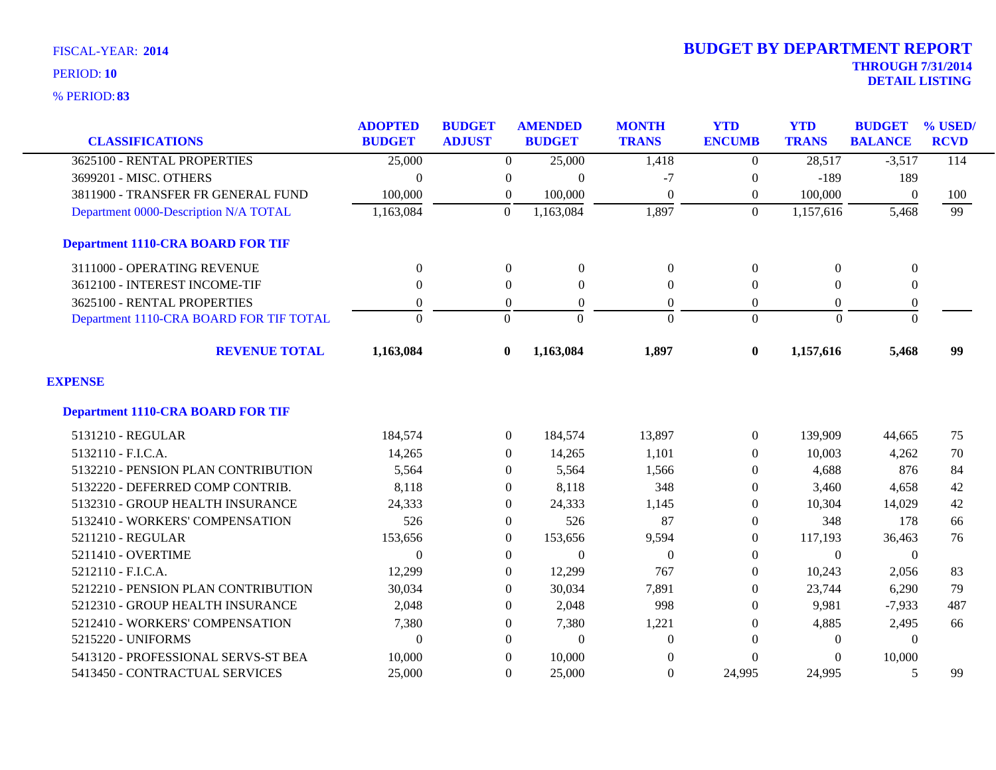**83** % PERIOD:

|                                          | <b>ADOPTED</b>   | <b>BUDGET</b>    | <b>AMENDED</b>   | <b>MONTH</b>     | <b>YTD</b>       | <b>YTD</b>     | <b>BUDGET</b>    | % USED/     |
|------------------------------------------|------------------|------------------|------------------|------------------|------------------|----------------|------------------|-------------|
| <b>CLASSIFICATIONS</b>                   | <b>BUDGET</b>    | <b>ADJUST</b>    | <b>BUDGET</b>    | <b>TRANS</b>     | <b>ENCUMB</b>    | <b>TRANS</b>   | <b>BALANCE</b>   | <b>RCVD</b> |
| 3625100 - RENTAL PROPERTIES              | 25,000           | $\overline{0}$   | 25,000           | 1,418            | $\Omega$         | 28,517         | $-3,517$         | 114         |
| 3699201 - MISC. OTHERS                   | $\theta$         | 0                | $\overline{0}$   | -7               | $\boldsymbol{0}$ | $-189$         | 189              |             |
| 3811900 - TRANSFER FR GENERAL FUND       | 100,000          | $\boldsymbol{0}$ | 100,000          | $\boldsymbol{0}$ | $\boldsymbol{0}$ | 100,000        | $\boldsymbol{0}$ | 100         |
| Department 0000-Description N/A TOTAL    | 1,163,084        | $\Omega$         | 1,163,084        | 1,897            | $\Omega$         | 1,157,616      | 5,468            | 99          |
| <b>Department 1110-CRA BOARD FOR TIF</b> |                  |                  |                  |                  |                  |                |                  |             |
| 3111000 - OPERATING REVENUE              | $\boldsymbol{0}$ | $\boldsymbol{0}$ | $\boldsymbol{0}$ | $\boldsymbol{0}$ | $\boldsymbol{0}$ | $\overline{0}$ | $\boldsymbol{0}$ |             |
| 3612100 - INTEREST INCOME-TIF            | $\theta$         | $\overline{0}$   | $\overline{0}$   | $\mathbf{0}$     | $\mathbf{0}$     | $\Omega$       | $\boldsymbol{0}$ |             |
| 3625100 - RENTAL PROPERTIES              | $\overline{0}$   | $\overline{0}$   | $\overline{0}$   | $\overline{0}$   | $\theta$         | $\Omega$       | $\boldsymbol{0}$ |             |
| Department 1110-CRA BOARD FOR TIF TOTAL  | $\Omega$         | $\Omega$         | $\Omega$         | $\Omega$         | $\Omega$         | $\Omega$       | $\Omega$         |             |
| <b>REVENUE TOTAL</b>                     | 1,163,084        | $\bf{0}$         | 1,163,084        | 1,897            | $\bf{0}$         | 1,157,616      | 5,468            | 99          |
| <b>EXPENSE</b>                           |                  |                  |                  |                  |                  |                |                  |             |
| <b>Department 1110-CRA BOARD FOR TIF</b> |                  |                  |                  |                  |                  |                |                  |             |
| 5131210 - REGULAR                        | 184,574          | $\overline{0}$   | 184,574          | 13,897           | $\overline{0}$   | 139,909        | 44,665           | 75          |
| 5132110 - F.I.C.A.                       | 14,265           | $\overline{0}$   | 14,265           | 1,101            | $\theta$         | 10,003         | 4,262            | 70          |
| 5132210 - PENSION PLAN CONTRIBUTION      | 5,564            | $\overline{0}$   | 5,564            | 1,566            | $\theta$         | 4,688          | 876              | 84          |
| 5132220 - DEFERRED COMP CONTRIB.         | 8,118            | 0                | 8,118            | 348              | $\theta$         | 3,460          | 4,658            | 42          |
| 5132310 - GROUP HEALTH INSURANCE         | 24,333           | $\Omega$         | 24,333           | 1,145            | $\Omega$         | 10,304         | 14,029           | 42          |
| 5132410 - WORKERS' COMPENSATION          | 526              | $\overline{0}$   | 526              | 87               | $\Omega$         | 348            | 178              | 66          |
| 5211210 - REGULAR                        | 153,656          | $\overline{0}$   | 153,656          | 9,594            | $\boldsymbol{0}$ | 117,193        | 36,463           | 76          |
| 5211410 - OVERTIME                       | $\theta$         | 0                | $\overline{0}$   | $\theta$         | $\theta$         | $\overline{0}$ | $\mathbf{0}$     |             |
| 5212110 - F.I.C.A.                       | 12,299           | $\Omega$         | 12,299           | 767              | $\theta$         | 10,243         | 2,056            | 83          |
| 5212210 - PENSION PLAN CONTRIBUTION      | 30,034           | $\Omega$         | 30,034           | 7,891            | $\Omega$         | 23,744         | 6,290            | 79          |
| 5212310 - GROUP HEALTH INSURANCE         | 2,048            | $\Omega$         | 2,048            | 998              | $\Omega$         | 9,981          | $-7,933$         | 487         |
| 5212410 - WORKERS' COMPENSATION          | 7,380            | $\overline{0}$   | 7,380            | 1,221            | $\Omega$         | 4,885          | 2,495            | 66          |
| 5215220 - UNIFORMS                       | $\Omega$         | $\Omega$         | $\overline{0}$   | $\Omega$         | $\Omega$         | $\Omega$       | $\Omega$         |             |
| 5413120 - PROFESSIONAL SERVS-ST BEA      | 10,000           | $\Omega$         | 10,000           | $\Omega$         | $\Omega$         | 0              | 10,000           |             |
| 5413450 - CONTRACTUAL SERVICES           | 25,000           | $\Omega$         | 25,000           | $\mathbf{0}$     | 24,995           | 24,995         | 5                | 99          |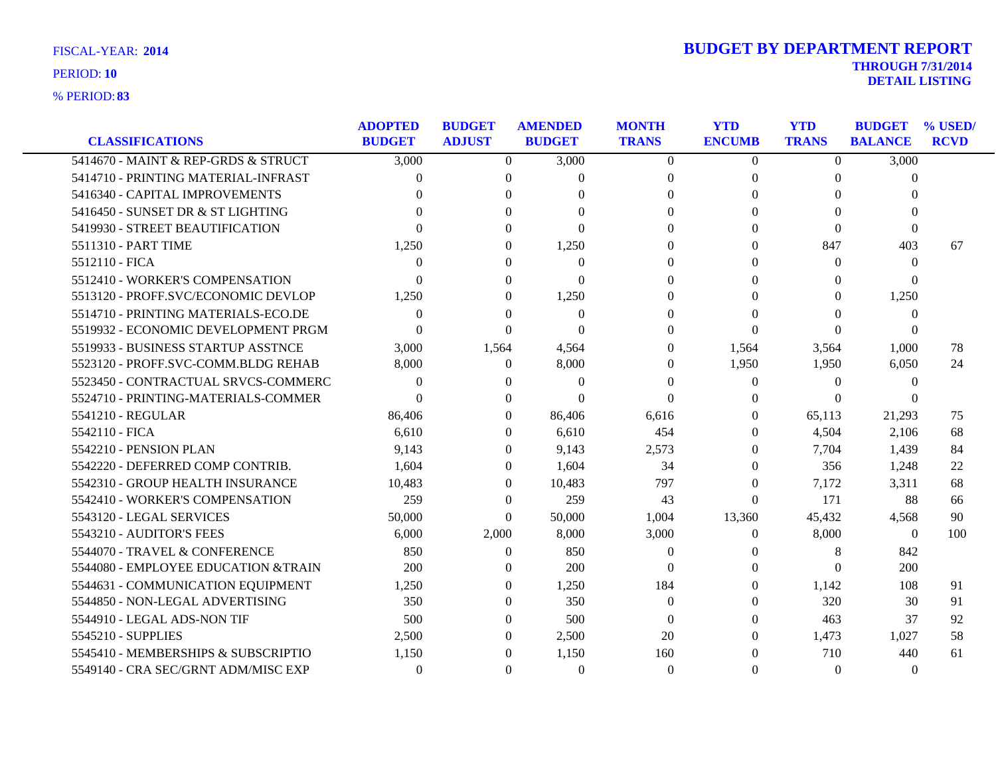| <b>FISCAL-YEAR: 2014</b> |  |
|--------------------------|--|
|                          |  |

|                                     | <b>ADOPTED</b> | <b>BUDGET</b>  | <b>AMENDED</b> | <b>MONTH</b>   | <b>YTD</b>     | <b>YTD</b>     | <b>BUDGET</b>  | % USED/     |
|-------------------------------------|----------------|----------------|----------------|----------------|----------------|----------------|----------------|-------------|
| <b>CLASSIFICATIONS</b>              | <b>BUDGET</b>  | <b>ADJUST</b>  | <b>BUDGET</b>  | <b>TRANS</b>   | <b>ENCUMB</b>  | <b>TRANS</b>   | <b>BALANCE</b> | <b>RCVD</b> |
| 5414670 - MAINT & REP-GRDS & STRUCT | 3,000          | $\overline{0}$ | 3,000          | $\overline{0}$ | $\overline{0}$ | $\overline{0}$ | 3,000          |             |
| 5414710 - PRINTING MATERIAL-INFRAST | 0              | $\theta$       | $\theta$       | $\theta$       | $\Omega$       | $\Omega$       | $\theta$       |             |
| 5416340 - CAPITAL IMPROVEMENTS      |                | $\Omega$       | ∩              | $\Omega$       | 0              | $\Omega$       | $\Omega$       |             |
| 5416450 - SUNSET DR & ST LIGHTING   |                | $\Omega$       | $\Omega$       | $\Omega$       |                | $\Omega$       | $\Omega$       |             |
| 5419930 - STREET BEAUTIFICATION     |                | $\Omega$       | $\Omega$       | $\Omega$       |                | $\Omega$       | $\theta$       |             |
| 5511310 - PART TIME                 | 1,250          | $\theta$       | 1,250          | $\Omega$       | $\theta$       | 847            | 403            | 67          |
| 5512110 - FICA                      | $\Omega$       | $\Omega$       | $\Omega$       | $\Omega$       | 0              | $\Omega$       | $\Omega$       |             |
| 5512410 - WORKER'S COMPENSATION     | $\Omega$       | $\Omega$       | $\Omega$       | 0              |                | $\Omega$       | $\Omega$       |             |
| 5513120 - PROFF.SVC/ECONOMIC DEVLOP | 1,250          | $\theta$       | 1,250          | 0              |                | $\Omega$       | 1,250          |             |
| 5514710 - PRINTING MATERIALS-ECO.DE | $\Omega$       | $\Omega$       | $\theta$       | 0              |                | $\Omega$       | $\Omega$       |             |
| 5519932 - ECONOMIC DEVELOPMENT PRGM | $\Omega$       | $\Omega$       | $\Omega$       | $\Omega$       | $\Omega$       | $\Omega$       | $\Omega$       |             |
| 5519933 - BUSINESS STARTUP ASSTNCE  | 3,000          | 1,564          | 4,564          | $\Omega$       | 1,564          | 3,564          | 1,000          | 78          |
| 5523120 - PROFF.SVC-COMM.BLDG REHAB | 8,000          | $\left($       | 8,000          | $\Omega$       | 1,950          | 1,950          | 6,050          | 24          |
| 5523450 - CONTRACTUAL SRVCS-COMMERC | $\Omega$       | $\Omega$       | $\Omega$       | $\Omega$       | $\Omega$       | $\Omega$       | $\theta$       |             |
| 5524710 - PRINTING-MATERIALS-COMMER | $\Omega$       | $\Omega$       | $\Omega$       | $\Omega$       | 0              | $\Omega$       | 0              |             |
| 5541210 - REGULAR                   | 86,406         | $\theta$       | 86,406         | 6,616          | $\Omega$       | 65,113         | 21,293         | 75          |
| 5542110 - FICA                      | 6,610          | $\Omega$       | 6,610          | 454            | $\theta$       | 4,504          | 2,106          | 68          |
| 5542210 - PENSION PLAN              | 9,143          | $\Omega$       | 9,143          | 2,573          | $\Omega$       | 7,704          | 1,439          | 84          |
| 5542220 - DEFERRED COMP CONTRIB.    | 1.604          | $\Omega$       | 1,604          | 34             | 0              | 356            | 1,248          | 22          |
| 5542310 - GROUP HEALTH INSURANCE    | 10,483         | $\Omega$       | 10,483         | 797            | 0              | 7,172          | 3,311          | 68          |
| 5542410 - WORKER'S COMPENSATION     | 259            | $\Omega$       | 259            | 43             | $\Omega$       | 171            | 88             | 66          |
| 5543120 - LEGAL SERVICES            | 50,000         | $\theta$       | 50,000         | 1,004          | 13,360         | 45,432         | 4,568          | 90          |
| 5543210 - AUDITOR'S FEES            | 6,000          | 2,000          | 8,000          | 3,000          | $\theta$       | 8,000          | $\theta$       | 100         |
| 5544070 - TRAVEL & CONFERENCE       | 850            | $\Omega$       | 850            | $\theta$       |                | 8              | 842            |             |
| 5544080 - EMPLOYEE EDUCATION &TRAIN | 200            | $\Omega$       | 200            | $\Omega$       |                | $\Omega$       | 200            |             |
| 5544631 - COMMUNICATION EQUIPMENT   | 1,250          | $\theta$       | 1,250          | 184            | 0              | 1,142          | 108            | 91          |
| 5544850 - NON-LEGAL ADVERTISING     | 350            | $\theta$       | 350            | $\overline{0}$ | 0              | 320            | 30             | 91          |
| 5544910 - LEGAL ADS-NON TIF         | 500            | $\Omega$       | 500            | $\Omega$       | 0              | 463            | 37             | 92          |
| 5545210 - SUPPLIES                  | 2,500          | $\Omega$       | 2,500          | 20             | $\theta$       | 1,473          | 1,027          | 58          |
| 5545410 - MEMBERSHIPS & SUBSCRIPTIO | 1,150          | $\Omega$       | 1,150          | 160            |                | 710            | 440            | 61          |
| 5549140 - CRA SEC/GRNT ADM/MISC EXP | $\Omega$       | $\Omega$       | $\Omega$       | $\Omega$       | 0              | $\Omega$       | $\theta$       |             |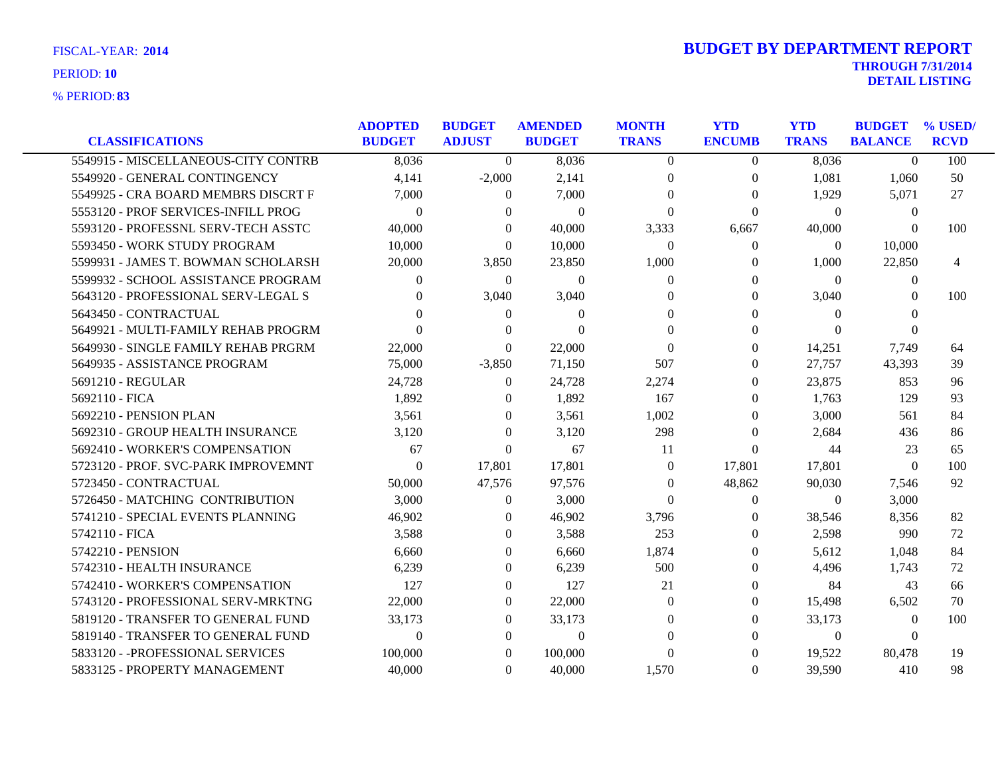**83** % PERIOD:

| <b>CLASSIFICATIONS</b>              | <b>ADOPTED</b><br><b>BUDGET</b> | <b>BUDGET</b><br><b>ADJUST</b> | <b>AMENDED</b><br><b>BUDGET</b> | <b>MONTH</b><br><b>TRANS</b> | <b>YTD</b><br><b>ENCUMB</b> | <b>YTD</b><br><b>TRANS</b> | <b>BUDGET</b><br><b>BALANCE</b> | % USED/<br><b>RCVD</b> |
|-------------------------------------|---------------------------------|--------------------------------|---------------------------------|------------------------------|-----------------------------|----------------------------|---------------------------------|------------------------|
| 5549915 - MISCELLANEOUS-CITY CONTRB | 8,036                           | $\Omega$                       | 8,036                           | $\Omega$                     | $\theta$                    | 8,036                      | $\Omega$                        | 100                    |
| 5549920 - GENERAL CONTINGENCY       | 4.141                           | $-2,000$                       | 2,141                           | $\Omega$                     | $\overline{0}$              | 1,081                      | 1,060                           | 50                     |
| 5549925 - CRA BOARD MEMBRS DISCRT F | 7,000                           | $\Omega$                       | 7,000                           | $\Omega$                     | $\Omega$                    | 1,929                      | 5,071                           | 27                     |
| 5553120 - PROF SERVICES-INFILL PROG | $\theta$                        | $\Omega$                       | $\Omega$                        | $\Omega$                     | $\Omega$                    | $\Omega$                   | $\overline{0}$                  |                        |
| 5593120 - PROFESSNL SERV-TECH ASSTC | 40,000                          | $\Omega$                       | 40,000                          | 3,333                        | 6,667                       | 40,000                     | $\Omega$                        | 100                    |
| 5593450 - WORK STUDY PROGRAM        | 10,000                          | $\Omega$                       | 10,000                          | $\Omega$                     | $\Omega$                    | $\theta$                   | 10,000                          |                        |
| 5599931 - JAMES T. BOWMAN SCHOLARSH | 20,000                          | 3,850                          | 23,850                          | 1,000                        | 0                           | 1,000                      | 22,850                          | 4                      |
| 5599932 - SCHOOL ASSISTANCE PROGRAM | $\Omega$                        | $\overline{0}$                 | $\overline{0}$                  | $\Omega$                     | $\Omega$                    | $\theta$                   | 0                               |                        |
| 5643120 - PROFESSIONAL SERV-LEGAL S | $\Omega$                        | 3,040                          | 3,040                           | $\Omega$                     | $\Omega$                    | 3,040                      | $\Omega$                        | 100                    |
| 5643450 - CONTRACTUAL               | 0                               | $\Omega$                       | $\Omega$                        | $\Omega$                     | $\Omega$                    | $\Omega$                   | $\Omega$                        |                        |
| 5649921 - MULTI-FAMILY REHAB PROGRM | $\Omega$                        | 0                              | $\theta$                        | $\Omega$                     | $\Omega$                    | $\Omega$                   | $\Omega$                        |                        |
| 5649930 - SINGLE FAMILY REHAB PRGRM | 22,000                          | $\Omega$                       | 22,000                          | $\Omega$                     | $\Omega$                    | 14,251                     | 7,749                           | 64                     |
| 5649935 - ASSISTANCE PROGRAM        | 75,000                          | $-3,850$                       | 71,150                          | 507                          | $\Omega$                    | 27,757                     | 43,393                          | 39                     |
| 5691210 - REGULAR                   | 24,728                          | $\Omega$                       | 24,728                          | 2,274                        | $\Omega$                    | 23,875                     | 853                             | 96                     |
| 5692110 - FICA                      | 1,892                           | $\Omega$                       | 1,892                           | 167                          | 0                           | 1,763                      | 129                             | 93                     |
| 5692210 - PENSION PLAN              | 3,561                           | $\overline{0}$                 | 3,561                           | 1,002                        | $\Omega$                    | 3,000                      | 561                             | 84                     |
| 5692310 - GROUP HEALTH INSURANCE    | 3,120                           | $\Omega$                       | 3,120                           | 298                          | $\Omega$                    | 2,684                      | 436                             | 86                     |
| 5692410 - WORKER'S COMPENSATION     | 67                              | $\Omega$                       | 67                              | 11                           | $\Omega$                    | 44                         | 23                              | 65                     |
| 5723120 - PROF. SVC-PARK IMPROVEMNT | $\Omega$                        | 17,801                         | 17,801                          | $\Omega$                     | 17,801                      | 17,801                     | $\theta$                        | 100                    |
| 5723450 - CONTRACTUAL               | 50,000                          | 47,576                         | 97,576                          | $\overline{0}$               | 48,862                      | 90,030                     | 7,546                           | 92                     |
| 5726450 - MATCHING CONTRIBUTION     | 3,000                           | $\overline{0}$                 | 3,000                           | $\Omega$                     | $\theta$                    | $\theta$                   | 3,000                           |                        |
| 5741210 - SPECIAL EVENTS PLANNING   | 46,902                          | $\Omega$                       | 46,902                          | 3,796                        | $\Omega$                    | 38,546                     | 8,356                           | 82                     |
| 5742110 - FICA                      | 3,588                           | $\theta$                       | 3,588                           | 253                          | $\Omega$                    | 2,598                      | 990                             | 72                     |
| 5742210 - PENSION                   | 6.660                           | $\overline{0}$                 | 6.660                           | 1.874                        | $\Omega$                    | 5,612                      | 1,048                           | 84                     |
| 5742310 - HEALTH INSURANCE          | 6,239                           | $\theta$                       | 6,239                           | 500                          | $\Omega$                    | 4,496                      | 1,743                           | 72                     |
| 5742410 - WORKER'S COMPENSATION     | 127                             | $\Omega$                       | 127                             | 21                           | $\Omega$                    | 84                         | 43                              | 66                     |
| 5743120 - PROFESSIONAL SERV-MRKTNG  | 22,000                          | $\overline{0}$                 | 22,000                          | $\Omega$                     | $\Omega$                    | 15,498                     | 6,502                           | 70                     |
| 5819120 - TRANSFER TO GENERAL FUND  | 33,173                          | $\overline{0}$                 | 33,173                          | $\Omega$                     | $\Omega$                    | 33,173                     | $\theta$                        | 100                    |
| 5819140 - TRANSFER TO GENERAL FUND  | $\Omega$                        | $\Omega$                       | $\Omega$                        | $\Omega$                     | 0                           | $\theta$                   | $\Omega$                        |                        |
| 5833120 - - PROFESSIONAL SERVICES   | 100,000                         | $\Omega$                       | 100,000                         | $\Omega$                     | 0                           | 19,522                     | 80,478                          | 19                     |
| 5833125 - PROPERTY MANAGEMENT       | 40,000                          | $\Omega$                       | 40,000                          | 1,570                        | $\Omega$                    | 39,590                     | 410                             | 98                     |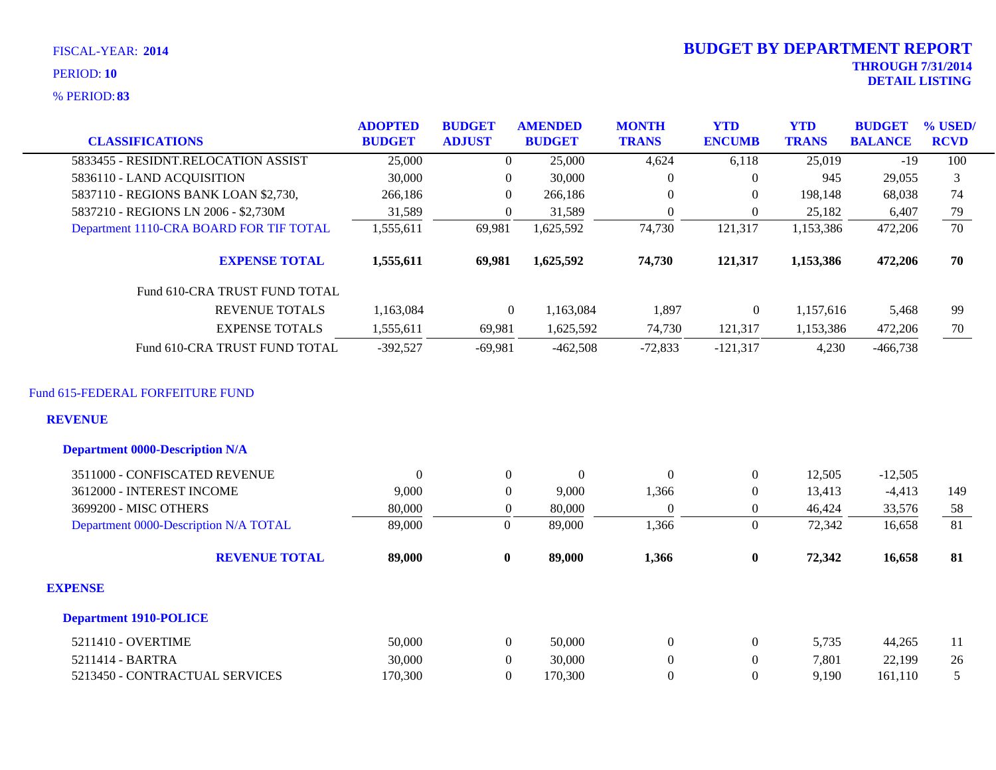**83** % PERIOD:

|                                                                                              | <b>ADOPTED</b> | <b>BUDGET</b>    | <b>AMENDED</b>   | <b>MONTH</b>     | <b>YTD</b>       | <b>YTD</b>   | <b>BUDGET</b>  | % USED/     |
|----------------------------------------------------------------------------------------------|----------------|------------------|------------------|------------------|------------------|--------------|----------------|-------------|
| <b>CLASSIFICATIONS</b>                                                                       | <b>BUDGET</b>  | <b>ADJUST</b>    | <b>BUDGET</b>    | <b>TRANS</b>     | <b>ENCUMB</b>    | <b>TRANS</b> | <b>BALANCE</b> | <b>RCVD</b> |
| 5833455 - RESIDNT.RELOCATION ASSIST                                                          | 25,000         | $\theta$         | 25,000           | 4,624            | 6,118            | 25,019       | $-19$          | 100         |
| 5836110 - LAND ACQUISITION                                                                   | 30,000         | $\overline{0}$   | 30,000           | $\boldsymbol{0}$ | $\mathbf{0}$     | 945          | 29,055         | 3           |
| 5837110 - REGIONS BANK LOAN \$2,730,                                                         | 266,186        | $\overline{0}$   | 266,186          | $\boldsymbol{0}$ | $\mathbf{0}$     | 198,148      | 68,038         | 74          |
| 5837210 - REGIONS LN 2006 - \$2,730M                                                         | 31,589         | $\overline{0}$   | 31,589           | $\theta$         | $\mathbf{0}$     | 25,182       | 6,407          | 79          |
| Department 1110-CRA BOARD FOR TIF TOTAL                                                      | 1,555,611      | 69,981           | 1,625,592        | 74,730           | 121,317          | 1,153,386    | 472,206        | 70          |
| <b>EXPENSE TOTAL</b>                                                                         | 1,555,611      | 69,981           | 1,625,592        | 74,730           | 121,317          | 1,153,386    | 472,206        | 70          |
| Fund 610-CRA TRUST FUND TOTAL                                                                |                |                  |                  |                  |                  |              |                |             |
| <b>REVENUE TOTALS</b>                                                                        | 1,163,084      | $\overline{0}$   | 1,163,084        | 1,897            | $\overline{0}$   | 1,157,616    | 5,468          | 99          |
| <b>EXPENSE TOTALS</b>                                                                        | 1,555,611      | 69,981           | 1,625,592        | 74,730           | 121,317          | 1,153,386    | 472,206        | 70          |
| Fund 610-CRA TRUST FUND TOTAL                                                                | $-392,527$     | $-69,981$        | $-462,508$       | $-72,833$        | $-121,317$       | 4,230        | $-466,738$     |             |
| Fund 615-FEDERAL FORFEITURE FUND<br><b>REVENUE</b><br><b>Department 0000-Description N/A</b> |                |                  |                  |                  |                  |              |                |             |
| 3511000 - CONFISCATED REVENUE                                                                | $\overline{0}$ | $\overline{0}$   | $\boldsymbol{0}$ | $\theta$         | $\boldsymbol{0}$ | 12,505       | $-12,505$      |             |
| 3612000 - INTEREST INCOME                                                                    | 9,000          | $\overline{0}$   | 9,000            | 1,366            | $\Omega$         | 13,413       | $-4,413$       | 149         |
| 3699200 - MISC OTHERS                                                                        | 80,000         | $\boldsymbol{0}$ | 80,000           | $\mathbf{0}$     | $\mathbf{0}$     | 46,424       | 33,576         | 58          |
| Department 0000-Description N/A TOTAL                                                        | 89,000         | $\mathbf{0}$     | 89,000           | 1,366            | $\overline{0}$   | 72,342       | 16,658         | 81          |
| <b>REVENUE TOTAL</b>                                                                         | 89,000         | $\bf{0}$         | 89,000           | 1,366            | $\bf{0}$         | 72,342       | 16,658         | 81          |
| <b>EXPENSE</b>                                                                               |                |                  |                  |                  |                  |              |                |             |
| <b>Department 1910-POLICE</b>                                                                |                |                  |                  |                  |                  |              |                |             |
| 5211410 - OVERTIME                                                                           | 50,000         | $\mathbf{0}$     | 50,000           | $\boldsymbol{0}$ | $\boldsymbol{0}$ | 5,735        | 44,265         | 11          |
| 5211414 - BARTRA                                                                             | 30,000         | $\overline{0}$   | 30,000           | $\boldsymbol{0}$ | $\boldsymbol{0}$ | 7,801        | 22,199         | 26          |
| 5213450 - CONTRACTUAL SERVICES                                                               | 170,300        | $\Omega$         | 170,300          | $\overline{0}$   | $\theta$         | 9,190        | 161,110        | 5           |